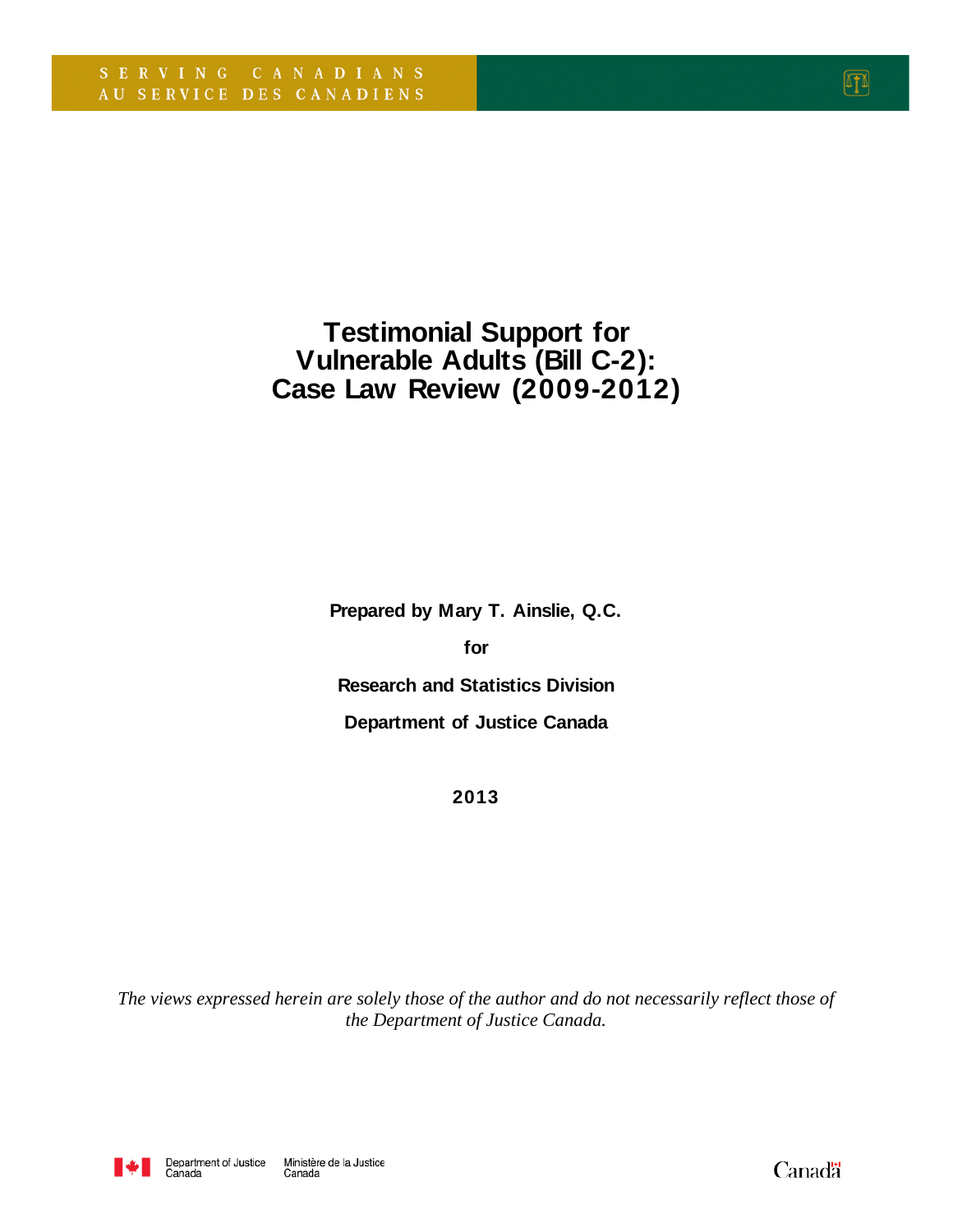# **Testimonial Support for Vulnerable Adults (Bill C-2): Case Law Review (2009-2012)**

**Prepared by Mary T. Ainslie, Q.C.**

**for**

**Research and Statistics Division**

**Department of Justice Canada**

**2013**

*The views expressed herein are solely those of the author and do not necessarily reflect those of the Department of Justice Canada.* 

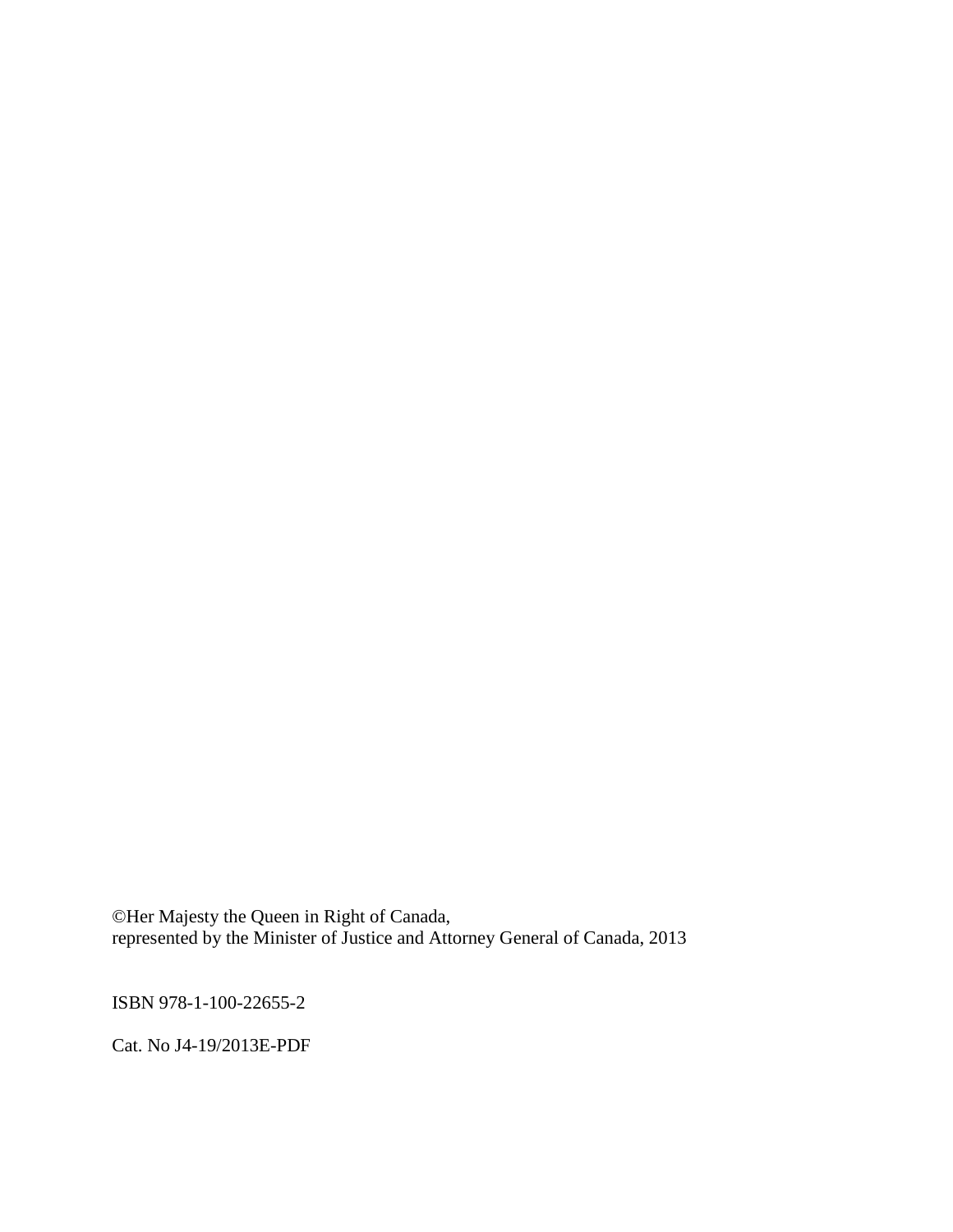©Her Majesty the Queen in Right of Canada, represented by the Minister of Justice and Attorney General of Canada, 2013

ISBN 978-1-100-22655-2

Cat. No J4-19/2013E-PDF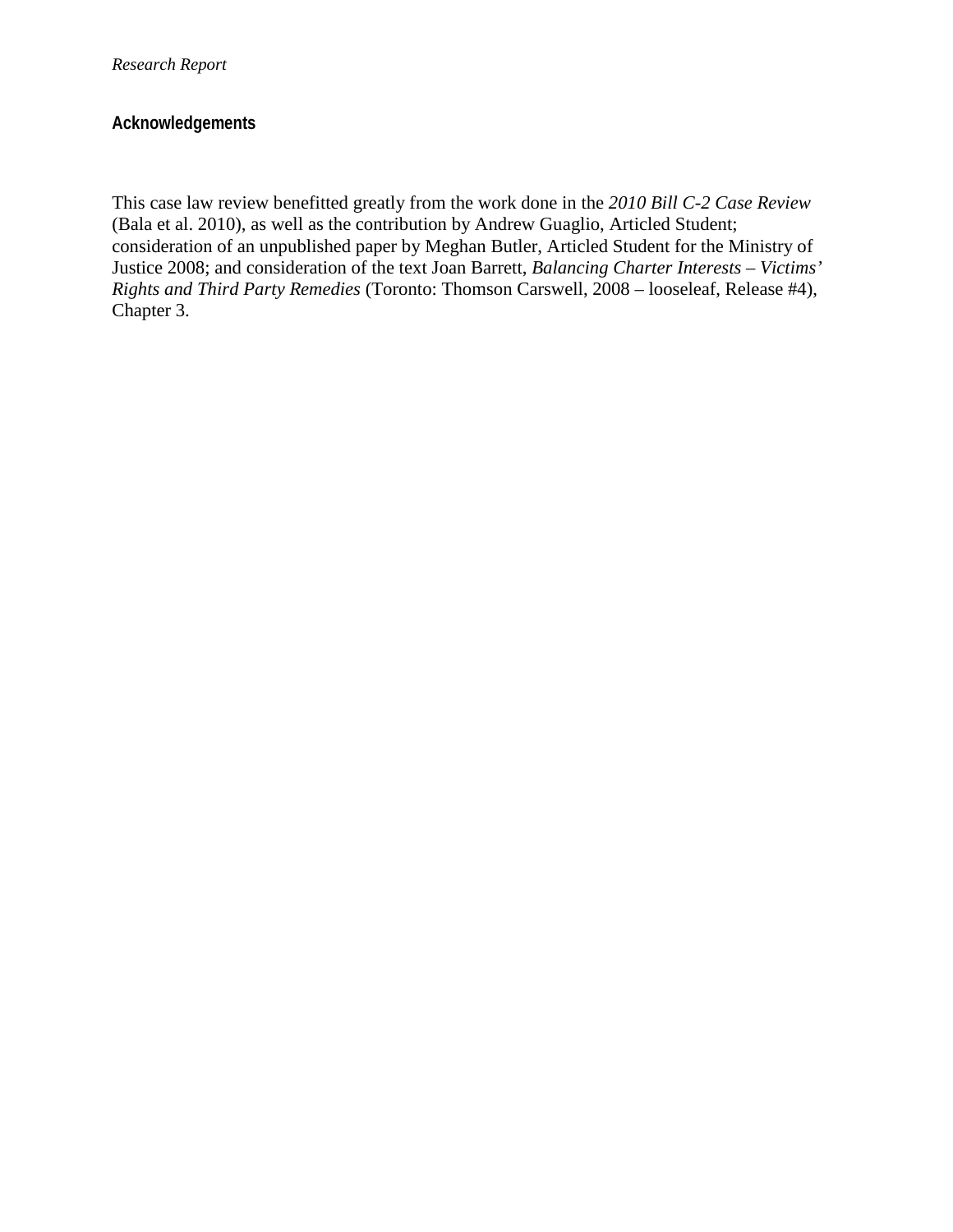#### **Acknowledgements**

This case law review benefitted greatly from the work done in the *2010 Bill C-2 Case Review* (Bala et al. 2010), as well as the contribution by Andrew Guaglio, Articled Student; consideration of an unpublished paper by Meghan Butler, Articled Student for the Ministry of Justice 2008; and consideration of the text Joan Barrett, *Balancing Charter Interests – Victims' Rights and Third Party Remedies* (Toronto: Thomson Carswell, 2008 – looseleaf, Release #4), Chapter 3.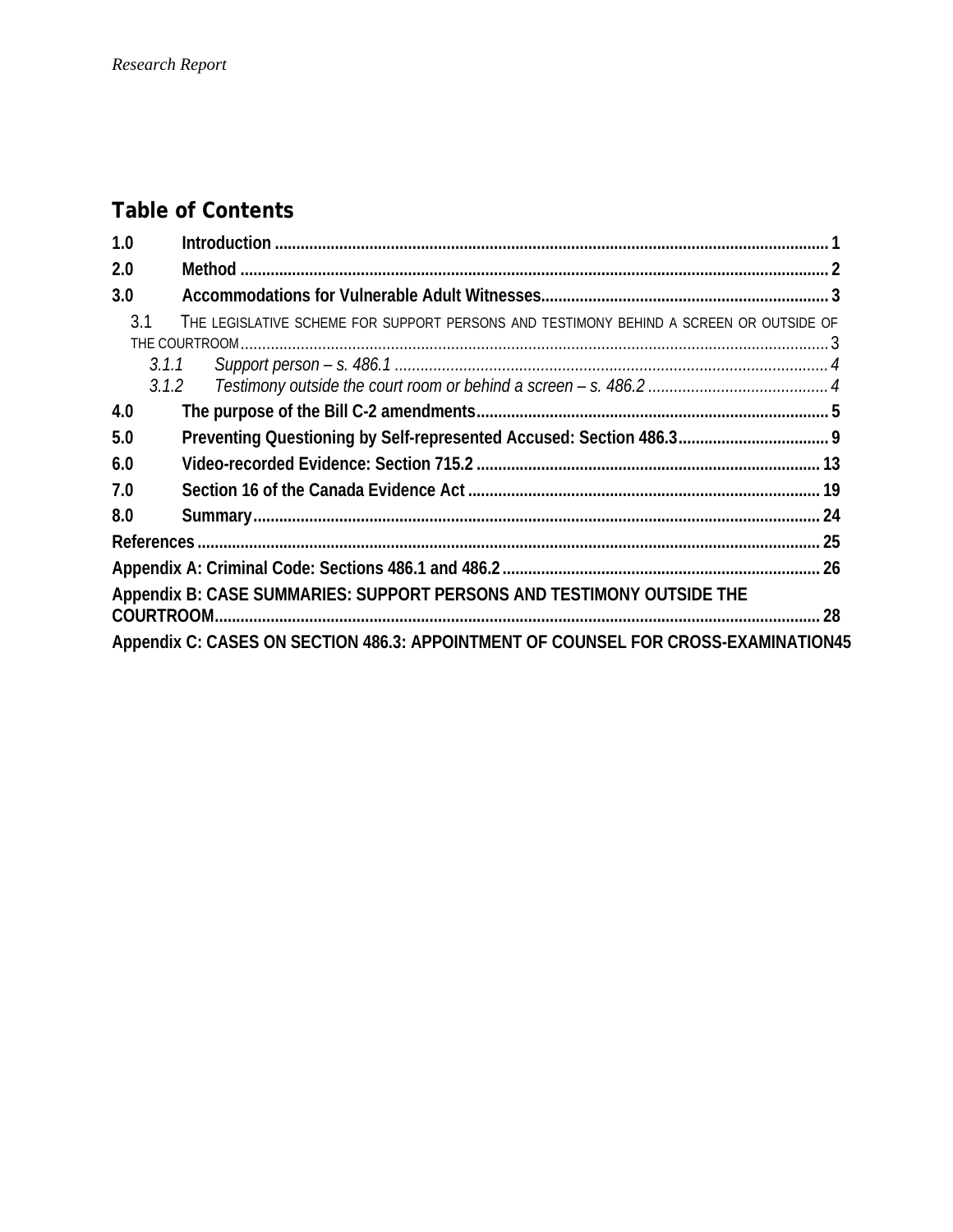## **Table of Contents**

| 1.0            |                                                                                        |  |
|----------------|----------------------------------------------------------------------------------------|--|
| 2.0            |                                                                                        |  |
| 3.0            |                                                                                        |  |
| 3.1            | THE LEGISLATIVE SCHEME FOR SUPPORT PERSONS AND TESTIMONY BEHIND A SCREEN OR OUTSIDE OF |  |
| 3.1.1<br>3.1.2 |                                                                                        |  |
| 4.0            |                                                                                        |  |
| 5.0            |                                                                                        |  |
| 6.0            |                                                                                        |  |
| 7.0            |                                                                                        |  |
| 8.0            |                                                                                        |  |
|                |                                                                                        |  |
|                |                                                                                        |  |
|                | Appendix B: CASE SUMMARIES: SUPPORT PERSONS AND TESTIMONY OUTSIDE THE                  |  |
|                | Appendix C: CASES ON SECTION 486.3: APPOINTMENT OF COUNSEL FOR CROSS-EXAMINATION45     |  |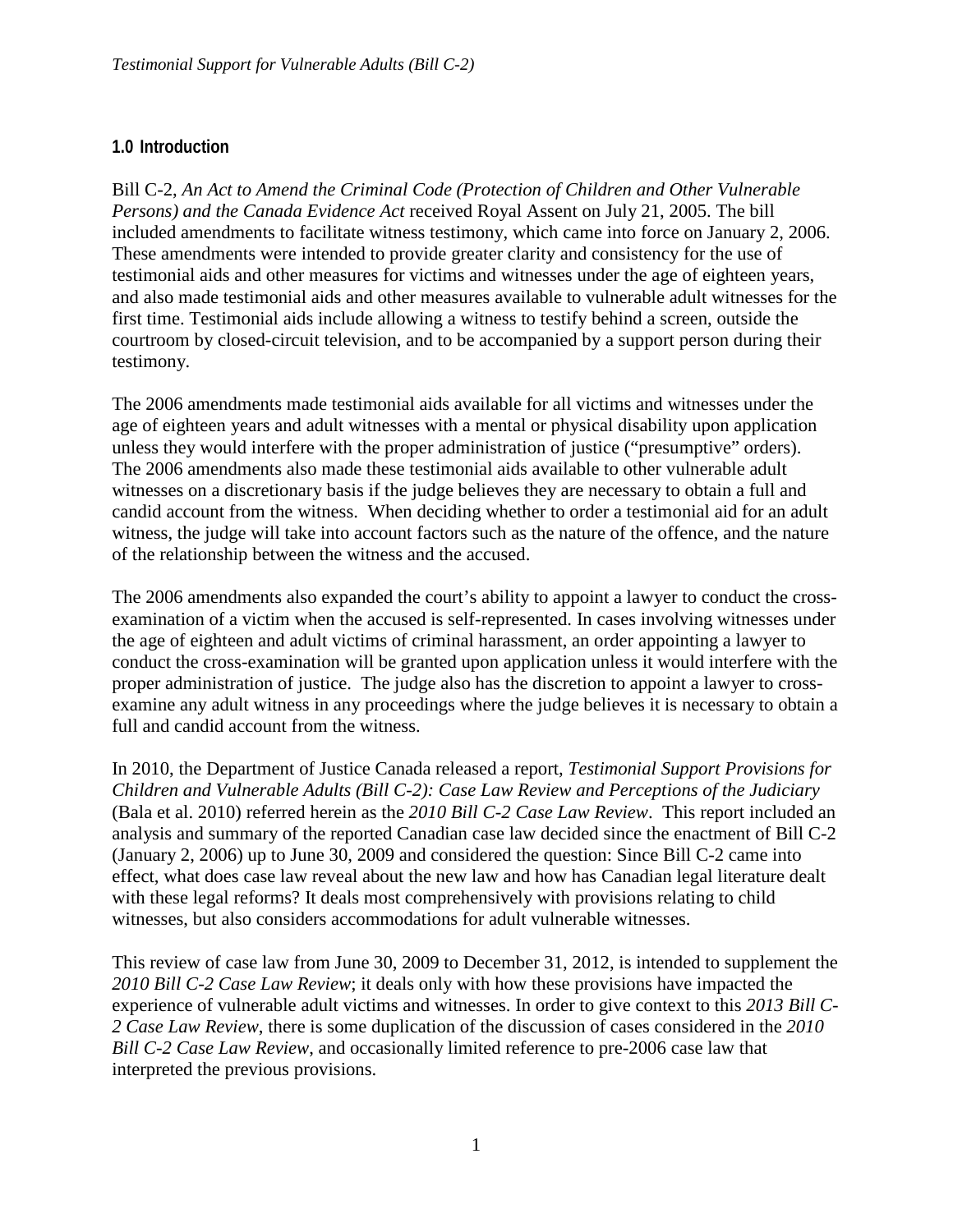#### <span id="page-4-0"></span>**1.0 Introduction**

Bill C-2, *An Act to Amend the Criminal Code (Protection of Children and Other Vulnerable Persons) and the Canada Evidence Act* received Royal Assent on July 21, 2005. The bill included amendments to facilitate witness testimony, which came into force on January 2, 2006. These amendments were intended to provide greater clarity and consistency for the use of testimonial aids and other measures for victims and witnesses under the age of eighteen years, and also made testimonial aids and other measures available to vulnerable adult witnesses for the first time. Testimonial aids include allowing a witness to testify behind a screen, outside the courtroom by closed-circuit television, and to be accompanied by a support person during their testimony.

The 2006 amendments made testimonial aids available for all victims and witnesses under the age of eighteen years and adult witnesses with a mental or physical disability upon application unless they would interfere with the proper administration of justice ("presumptive" orders). The 2006 amendments also made these testimonial aids available to other vulnerable adult witnesses on a discretionary basis if the judge believes they are necessary to obtain a full and candid account from the witness. When deciding whether to order a testimonial aid for an adult witness, the judge will take into account factors such as the nature of the offence, and the nature of the relationship between the witness and the accused.

The 2006 amendments also expanded the court's ability to appoint a lawyer to conduct the crossexamination of a victim when the accused is self-represented. In cases involving witnesses under the age of eighteen and adult victims of criminal harassment, an order appointing a lawyer to conduct the cross-examination will be granted upon application unless it would interfere with the proper administration of justice. The judge also has the discretion to appoint a lawyer to crossexamine any adult witness in any proceedings where the judge believes it is necessary to obtain a full and candid account from the witness.

In 2010, the Department of Justice Canada released a report, *Testimonial Support Provisions for Children and Vulnerable Adults (Bill C-2): Case Law Review and Perceptions of the Judiciary* (Bala et al. 2010) referred herein as the *2010 Bill C-2 Case Law Review*. This report included an analysis and summary of the reported Canadian case law decided since the enactment of Bill C-2 (January 2, 2006) up to June 30, 2009 and considered the question: Since Bill C-2 came into effect, what does case law reveal about the new law and how has Canadian legal literature dealt with these legal reforms? It deals most comprehensively with provisions relating to child witnesses, but also considers accommodations for adult vulnerable witnesses.

<span id="page-4-1"></span>This review of case law from June 30, 2009 to December 31, 2012, is intended to supplement the *2010 Bill C-2 Case Law Review*; it deals only with how these provisions have impacted the experience of vulnerable adult victims and witnesses. In order to give context to this *2013 Bill C-2 Case Law Review*, there is some duplication of the discussion of cases considered in the *2010 Bill C-2 Case Law Review*, and occasionally limited reference to pre-2006 case law that interpreted the previous provisions.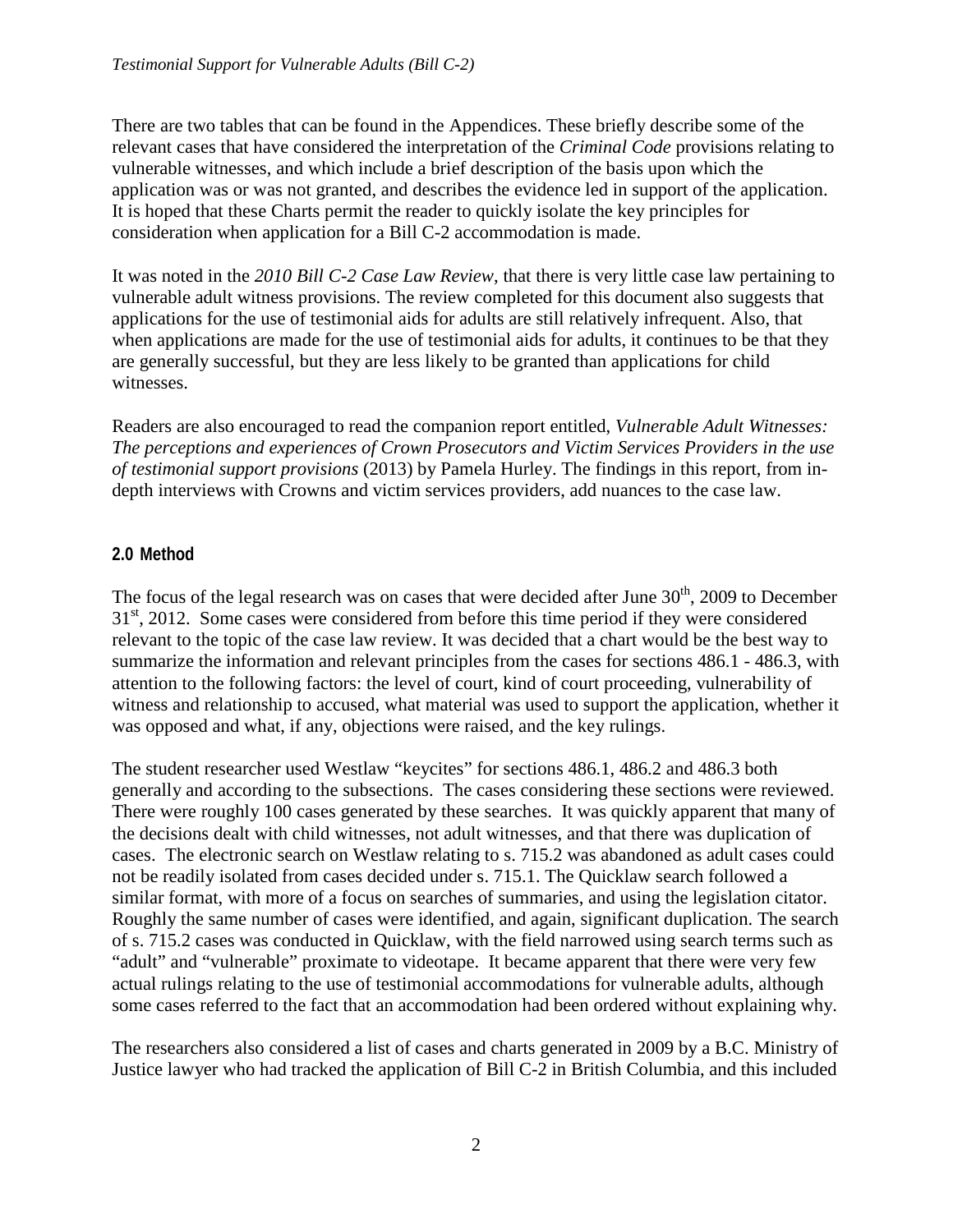There are two tables that can be found in the Appendices. These briefly describe some of the relevant cases that have considered the interpretation of the *Criminal Code* provisions relating to vulnerable witnesses, and which include a brief description of the basis upon which the application was or was not granted, and describes the evidence led in support of the application. It is hoped that these Charts permit the reader to quickly isolate the key principles for consideration when application for a Bill C-2 accommodation is made.

It was noted in the *2010 Bill C-2 Case Law Review*, that there is very little case law pertaining to vulnerable adult witness provisions. The review completed for this document also suggests that applications for the use of testimonial aids for adults are still relatively infrequent. Also, that when applications are made for the use of testimonial aids for adults, it continues to be that they are generally successful, but they are less likely to be granted than applications for child witnesses.

Readers are also encouraged to read the companion report entitled, *Vulnerable Adult Witnesses: The perceptions and experiences of Crown Prosecutors and Victim Services Providers in the use of testimonial support provisions* (2013) by Pamela Hurley. The findings in this report, from indepth interviews with Crowns and victim services providers, add nuances to the case law.

#### <span id="page-5-0"></span>**2.0 Method**

The focus of the legal research was on cases that were decided after June  $30<sup>th</sup>$ , 2009 to December  $31<sup>st</sup>$ , 2012. Some cases were considered from before this time period if they were considered relevant to the topic of the case law review. It was decided that a chart would be the best way to summarize the information and relevant principles from the cases for sections 486.1 - 486.3, with attention to the following factors: the level of court, kind of court proceeding, vulnerability of witness and relationship to accused, what material was used to support the application, whether it was opposed and what, if any, objections were raised, and the key rulings.

The student researcher used Westlaw "keycites" for sections 486.1, 486.2 and 486.3 both generally and according to the subsections. The cases considering these sections were reviewed. There were roughly 100 cases generated by these searches. It was quickly apparent that many of the decisions dealt with child witnesses, not adult witnesses, and that there was duplication of cases. The electronic search on Westlaw relating to s. 715.2 was abandoned as adult cases could not be readily isolated from cases decided under s. 715.1. The Quicklaw search followed a similar format, with more of a focus on searches of summaries, and using the legislation citator. Roughly the same number of cases were identified, and again, significant duplication. The search of s. 715.2 cases was conducted in Quicklaw, with the field narrowed using search terms such as "adult" and "vulnerable" proximate to videotape. It became apparent that there were very few actual rulings relating to the use of testimonial accommodations for vulnerable adults, although some cases referred to the fact that an accommodation had been ordered without explaining why.

The researchers also considered a list of cases and charts generated in 2009 by a B.C. Ministry of Justice lawyer who had tracked the application of Bill C-2 in British Columbia, and this included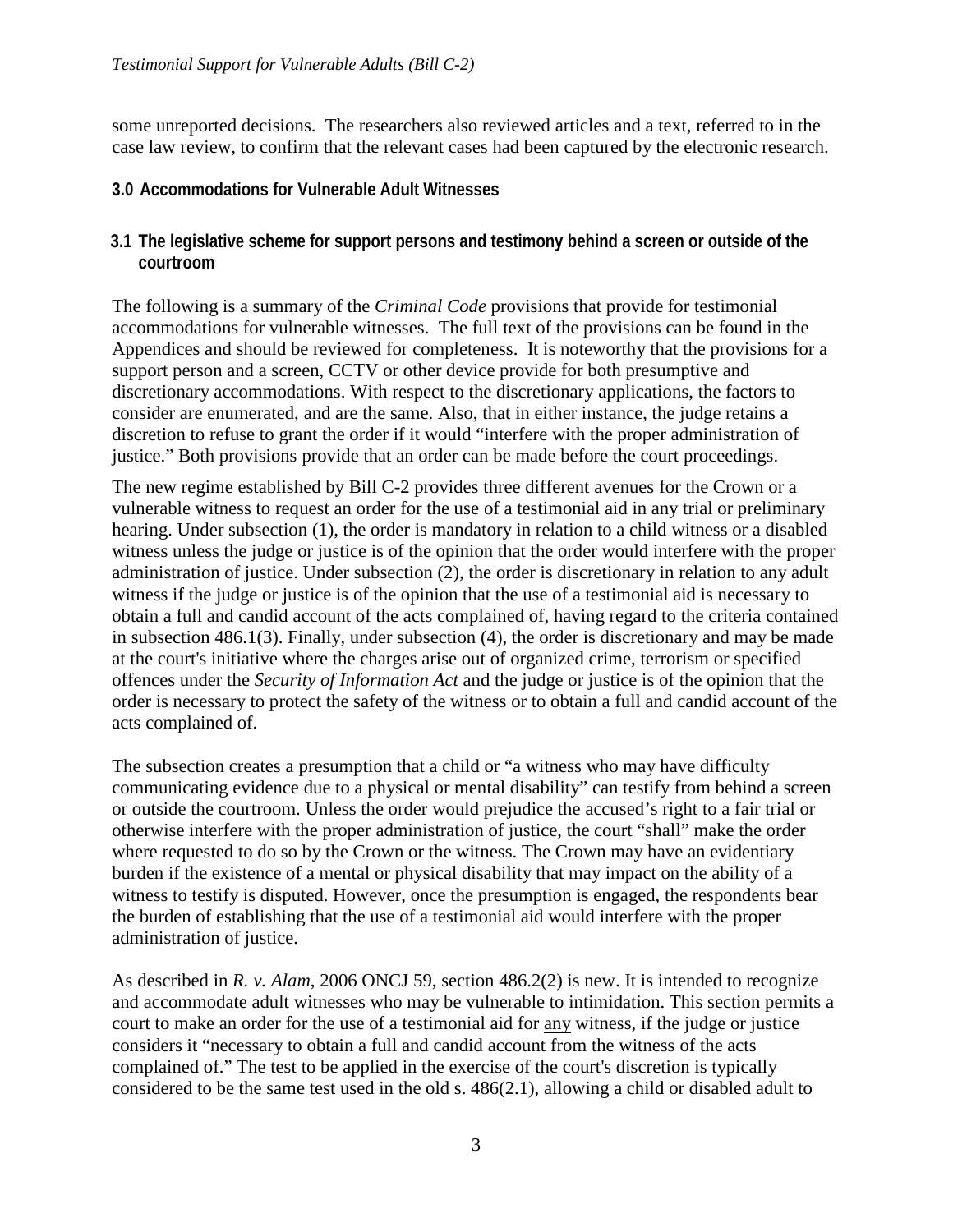some unreported decisions. The researchers also reviewed articles and a text, referred to in the case law review, to confirm that the relevant cases had been captured by the electronic research.

#### <span id="page-6-0"></span>**3.0 Accommodations for Vulnerable Adult Witnesses**

#### <span id="page-6-1"></span>**3.1 The legislative scheme for support persons and testimony behind a screen or outside of the courtroom**

The following is a summary of the *Criminal Code* provisions that provide for testimonial accommodations for vulnerable witnesses. The full text of the provisions can be found in the Appendices and should be reviewed for completeness. It is noteworthy that the provisions for a support person and a screen, CCTV or other device provide for both presumptive and discretionary accommodations. With respect to the discretionary applications, the factors to consider are enumerated, and are the same. Also, that in either instance, the judge retains a discretion to refuse to grant the order if it would "interfere with the proper administration of justice." Both provisions provide that an order can be made before the court proceedings.

The new regime established by Bill C-2 provides three different avenues for the Crown or a vulnerable witness to request an order for the use of a testimonial aid in any trial or preliminary hearing. Under subsection (1), the order is mandatory in relation to a child witness or a disabled witness unless the judge or justice is of the opinion that the order would interfere with the proper administration of justice. Under subsection (2), the order is discretionary in relation to any adult witness if the judge or justice is of the opinion that the use of a testimonial aid is necessary to obtain a full and candid account of the acts complained of, having regard to the criteria contained in subsection 486.1(3). Finally, under subsection (4), the order is discretionary and may be made at the court's initiative where the charges arise out of organized crime, terrorism or specified offences under the *Security of Information Act* and the judge or justice is of the opinion that the order is necessary to protect the safety of the witness or to obtain a full and candid account of the acts complained of.

The subsection creates a presumption that a child or "a witness who may have difficulty communicating evidence due to a physical or mental disability" can testify from behind a screen or outside the courtroom. Unless the order would prejudice the accused's right to a fair trial or otherwise interfere with the proper administration of justice, the court "shall" make the order where requested to do so by the Crown or the witness. The Crown may have an evidentiary burden if the existence of a mental or physical disability that may impact on the ability of a witness to testify is disputed. However, once the presumption is engaged, the respondents bear the burden of establishing that the use of a testimonial aid would interfere with the proper administration of justice.

As described in *R. v. Alam*, 2006 ONCJ 59, section 486.2(2) is new. It is intended to recognize and accommodate adult witnesses who may be vulnerable to intimidation. This section permits a court to make an order for the use of a testimonial aid for any witness, if the judge or justice considers it "necessary to obtain a full and candid account from the witness of the acts complained of." The test to be applied in the exercise of the court's discretion is typically considered to be the same test used in the old s. 486(2.1), allowing a child or disabled adult to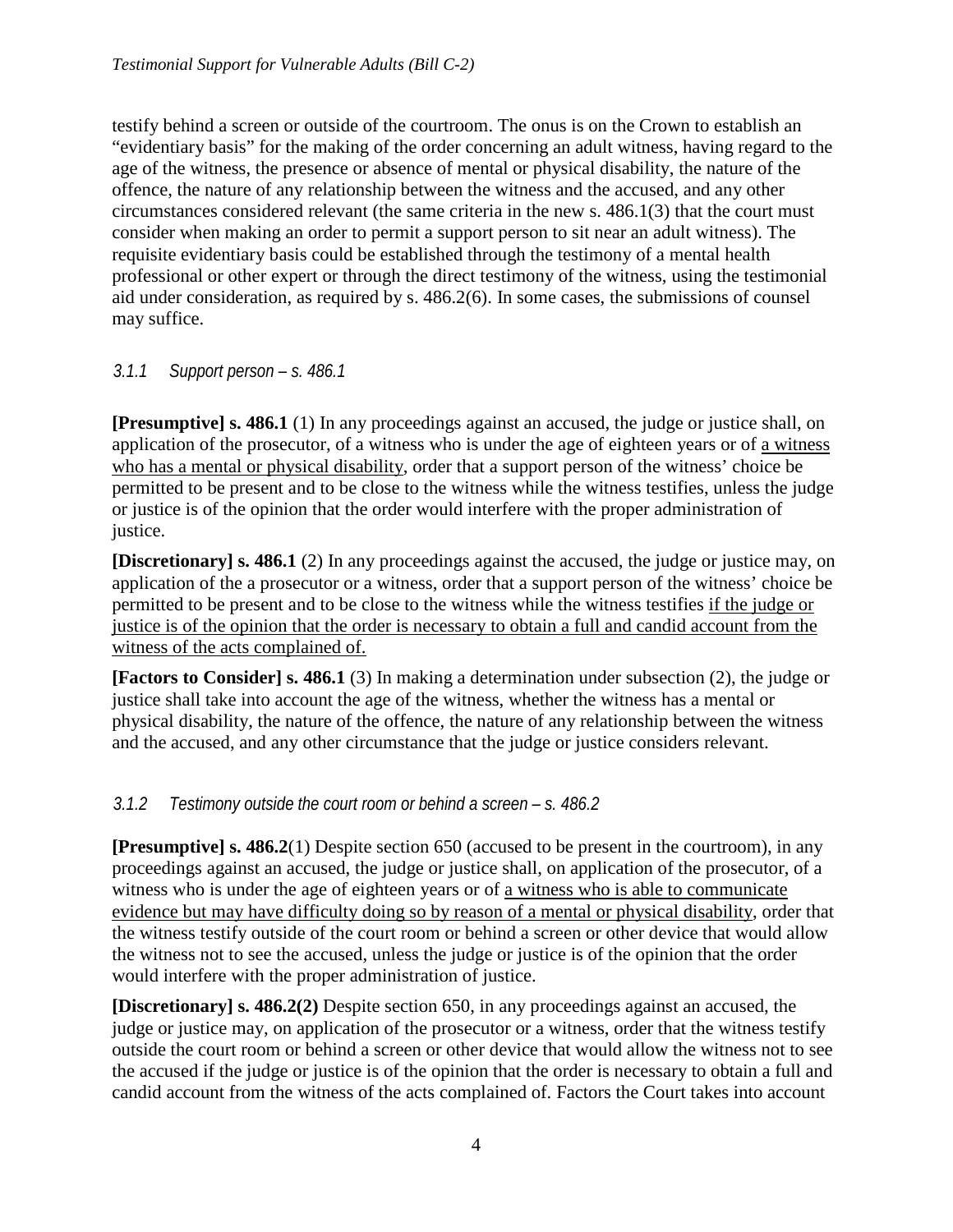testify behind a screen or outside of the courtroom. The onus is on the Crown to establish an "evidentiary basis" for the making of the order concerning an adult witness, having regard to the age of the witness, the presence or absence of mental or physical disability, the nature of the offence, the nature of any relationship between the witness and the accused, and any other circumstances considered relevant (the same criteria in the new s. 486.1(3) that the court must consider when making an order to permit a support person to sit near an adult witness). The requisite evidentiary basis could be established through the testimony of a mental health professional or other expert or through the direct testimony of the witness, using the testimonial aid under consideration, as required by s. 486.2(6). In some cases, the submissions of counsel may suffice.

#### <span id="page-7-0"></span>*3.1.1 Support person – s. 486.1*

**[Presumptive] s. 486.1** (1) In any proceedings against an accused, the judge or justice shall, on application of the prosecutor, of a witness who is under the age of eighteen years or of a witness who has a mental or physical disability, order that a support person of the witness' choice be permitted to be present and to be close to the witness while the witness testifies, unless the judge or justice is of the opinion that the order would interfere with the proper administration of justice.

**[Discretionary] s. 486.1** (2) In any proceedings against the accused, the judge or justice may, on application of the a prosecutor or a witness, order that a support person of the witness' choice be permitted to be present and to be close to the witness while the witness testifies if the judge or justice is of the opinion that the order is necessary to obtain a full and candid account from the witness of the acts complained of.

**[Factors to Consider] s. 486.1** (3) In making a determination under subsection (2), the judge or justice shall take into account the age of the witness, whether the witness has a mental or physical disability, the nature of the offence, the nature of any relationship between the witness and the accused, and any other circumstance that the judge or justice considers relevant.

#### <span id="page-7-1"></span>*3.1.2 Testimony outside the court room or behind a screen – s. 486.2*

**[Presumptive] s. 486.2**(1) Despite section 650 (accused to be present in the courtroom), in any proceedings against an accused, the judge or justice shall, on application of the prosecutor, of a witness who is under the age of eighteen years or of a witness who is able to communicate evidence but may have difficulty doing so by reason of a mental or physical disability, order that the witness testify outside of the court room or behind a screen or other device that would allow the witness not to see the accused, unless the judge or justice is of the opinion that the order would interfere with the proper administration of justice.

**[Discretionary] s. 486.2(2)** Despite section 650, in any proceedings against an accused, the judge or justice may, on application of the prosecutor or a witness, order that the witness testify outside the court room or behind a screen or other device that would allow the witness not to see the accused if the judge or justice is of the opinion that the order is necessary to obtain a full and candid account from the witness of the acts complained of. Factors the Court takes into account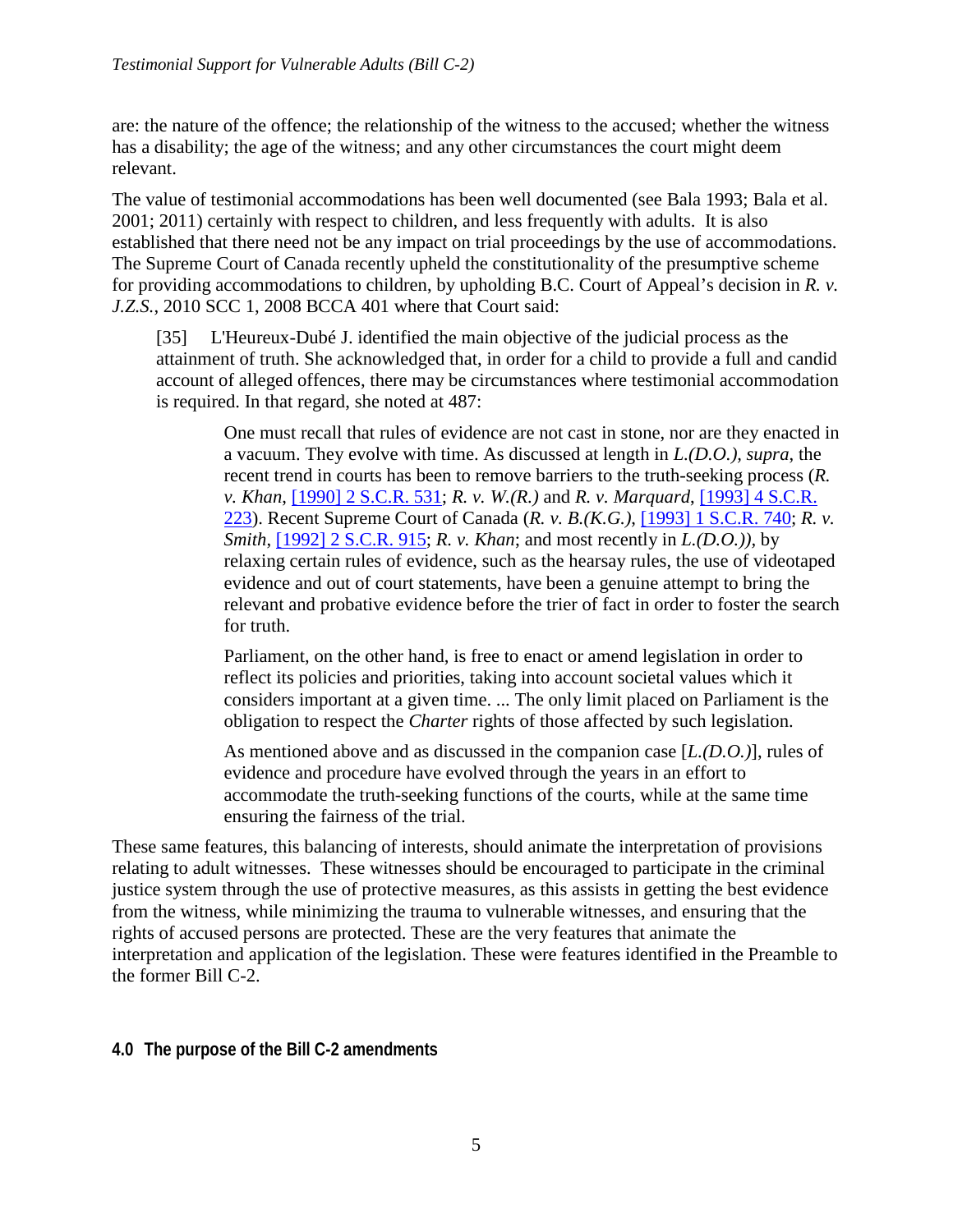are: the nature of the offence; the relationship of the witness to the accused; whether the witness has a disability; the age of the witness; and any other circumstances the court might deem relevant.

The value of testimonial accommodations has been well documented (see Bala 1993; Bala et al. 2001; 2011) certainly with respect to children, and less frequently with adults. It is also established that there need not be any impact on trial proceedings by the use of accommodations. The Supreme Court of Canada recently upheld the constitutionality of the presumptive scheme for providing accommodations to children, by upholding B.C. Court of Appeal's decision in *R. v. J.Z.S.*, 2010 SCC 1, 2008 BCCA 401 where that Court said:

[35] L'Heureux-Dubé J. identified the main objective of the judicial process as the attainment of truth. She acknowledged that, in order for a child to provide a full and candid account of alleged offences, there may be circumstances where testimonial accommodation is required. In that regard, she noted at 487:

One must recall that rules of evidence are not cast in stone, nor are they enacted in a vacuum. They evolve with time. As discussed at length in *L.(D.O.), supra*, the recent trend in courts has been to remove barriers to the truth-seeking process (*R. v. Khan*, [\[1990\] 2 S.C.R. 531;](http://www.lexisnexis.com/ca/legal/search/runRemoteLink.do?langcountry=CA&linkInfo=F%23CA%23SCR%23sel2%252%25year%251990%25page%25531%25sel1%251990%25vol%252%25&risb=21_T17584394474&bct=A&service=citation&A=0.43781740438416195) *R. v. W.(R.)* and *R. v. Marquard*, [\[1993\] 4 S.C.R.](http://www.lexisnexis.com/ca/legal/search/runRemoteLink.do?langcountry=CA&linkInfo=F%23CA%23SCR%23sel2%254%25year%251993%25page%25223%25sel1%251993%25vol%254%25&risb=21_T17584394474&bct=A&service=citation&A=0.6596952289189506)  [223\)](http://www.lexisnexis.com/ca/legal/search/runRemoteLink.do?langcountry=CA&linkInfo=F%23CA%23SCR%23sel2%254%25year%251993%25page%25223%25sel1%251993%25vol%254%25&risb=21_T17584394474&bct=A&service=citation&A=0.6596952289189506). Recent Supreme Court of Canada (*R. v. B.(K.G.)*, [\[1993\] 1 S.C.R. 740;](http://www.lexisnexis.com/ca/legal/search/runRemoteLink.do?langcountry=CA&linkInfo=F%23CA%23SCR%23sel2%251%25year%251993%25page%25740%25sel1%251993%25vol%251%25&risb=21_T17584394474&bct=A&service=citation&A=0.763474882456182) *R. v. Smith*, [\[1992\] 2 S.C.R. 915;](http://www.lexisnexis.com/ca/legal/search/runRemoteLink.do?langcountry=CA&linkInfo=F%23CA%23SCR%23sel2%252%25year%251992%25page%25915%25sel1%251992%25vol%252%25&risb=21_T17584394474&bct=A&service=citation&A=0.19423369169626603) *R. v. Khan*; and most recently in *L.(D.O.)),* by relaxing certain rules of evidence, such as the hearsay rules, the use of videotaped evidence and out of court statements, have been a genuine attempt to bring the relevant and probative evidence before the trier of fact in order to foster the search for truth.

Parliament, on the other hand, is free to enact or amend legislation in order to reflect its policies and priorities, taking into account societal values which it considers important at a given time. ... The only limit placed on Parliament is the obligation to respect the *Charter* rights of those affected by such legislation.

As mentioned above and as discussed in the companion case [*L.(D.O.)*], rules of evidence and procedure have evolved through the years in an effort to accommodate the truth-seeking functions of the courts, while at the same time ensuring the fairness of the trial.

These same features, this balancing of interests, should animate the interpretation of provisions relating to adult witnesses. These witnesses should be encouraged to participate in the criminal justice system through the use of protective measures, as this assists in getting the best evidence from the witness, while minimizing the trauma to vulnerable witnesses, and ensuring that the rights of accused persons are protected. These are the very features that animate the interpretation and application of the legislation. These were features identified in the Preamble to the former Bill C-2.

<span id="page-8-0"></span>**4.0 The purpose of the Bill C-2 amendments**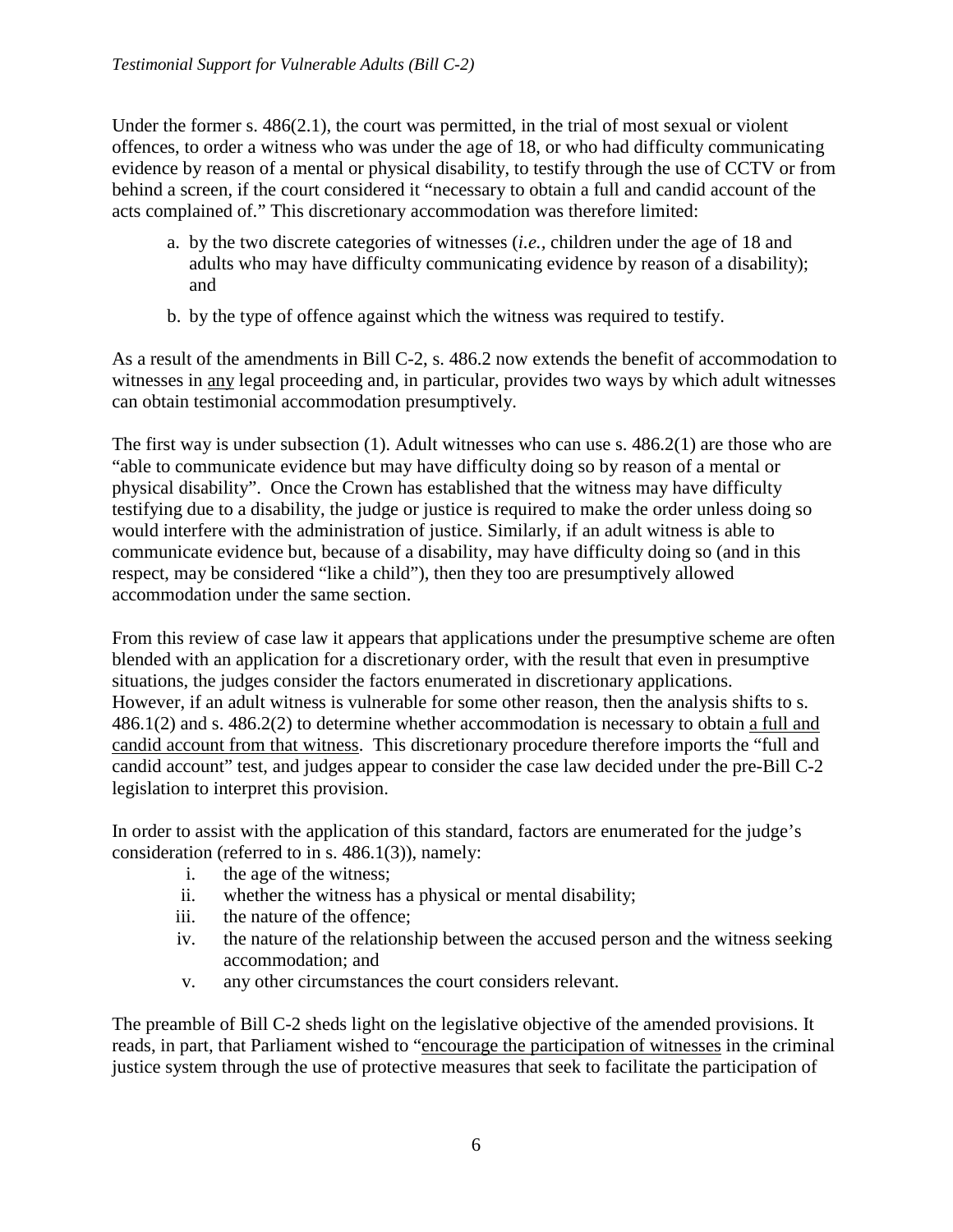Under the former s.  $486(2.1)$ , the court was permitted, in the trial of most sexual or violent offences, to order a witness who was under the age of 18, or who had difficulty communicating evidence by reason of a mental or physical disability, to testify through the use of CCTV or from behind a screen, if the court considered it "necessary to obtain a full and candid account of the acts complained of." This discretionary accommodation was therefore limited:

- a. by the two discrete categories of witnesses (*i.e.,* children under the age of 18 and adults who may have difficulty communicating evidence by reason of a disability); and
- b. by the type of offence against which the witness was required to testify.

As a result of the amendments in Bill C-2, s. 486.2 now extends the benefit of accommodation to witnesses in any legal proceeding and, in particular, provides two ways by which adult witnesses can obtain testimonial accommodation presumptively.

The first way is under subsection (1). Adult witnesses who can use s. 486.2(1) are those who are "able to communicate evidence but may have difficulty doing so by reason of a mental or physical disability". Once the Crown has established that the witness may have difficulty testifying due to a disability, the judge or justice is required to make the order unless doing so would interfere with the administration of justice. Similarly, if an adult witness is able to communicate evidence but, because of a disability, may have difficulty doing so (and in this respect, may be considered "like a child"), then they too are presumptively allowed accommodation under the same section.

From this review of case law it appears that applications under the presumptive scheme are often blended with an application for a discretionary order, with the result that even in presumptive situations, the judges consider the factors enumerated in discretionary applications. However, if an adult witness is vulnerable for some other reason, then the analysis shifts to s. 486.1(2) and s. 486.2(2) to determine whether accommodation is necessary to obtain a full and candid account from that witness. This discretionary procedure therefore imports the "full and candid account" test, and judges appear to consider the case law decided under the pre-Bill C-2 legislation to interpret this provision.

In order to assist with the application of this standard, factors are enumerated for the judge's consideration (referred to in s. 486.1(3)), namely:

- i. the age of the witness;
- ii. whether the witness has a physical or mental disability;
- iii. the nature of the offence;
- iv. the nature of the relationship between the accused person and the witness seeking accommodation; and
- v. any other circumstances the court considers relevant.

The preamble of Bill C-2 sheds light on the legislative objective of the amended provisions. It reads, in part, that Parliament wished to "encourage the participation of witnesses in the criminal justice system through the use of protective measures that seek to facilitate the participation of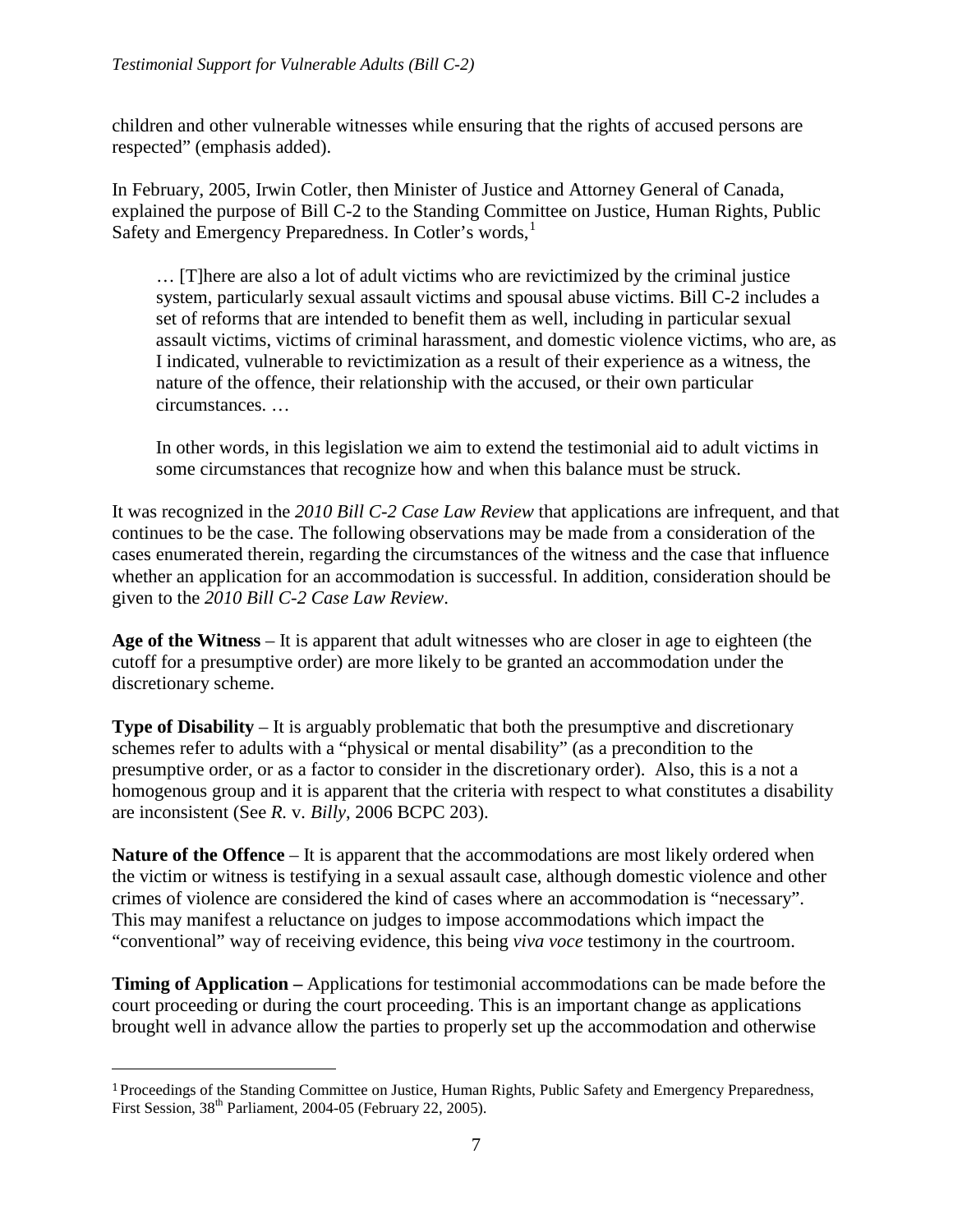children and other vulnerable witnesses while ensuring that the rights of accused persons are respected" (emphasis added).

In February, 2005, Irwin Cotler, then Minister of Justice and Attorney General of Canada, explained the purpose of Bill C-2 to the Standing Committee on Justice, Human Rights, Public Safety and Emergency Preparedness. In Cotler's words,<sup>[1](#page-4-1)</sup>

… [T]here are also a lot of adult victims who are revictimized by the criminal justice system, particularly sexual assault victims and spousal abuse victims. Bill C-2 includes a set of reforms that are intended to benefit them as well, including in particular sexual assault victims, victims of criminal harassment, and domestic violence victims, who are, as I indicated, vulnerable to revictimization as a result of their experience as a witness, the nature of the offence, their relationship with the accused, or their own particular circumstances. …

In other words, in this legislation we aim to extend the testimonial aid to adult victims in some circumstances that recognize how and when this balance must be struck.

It was recognized in the *2010 Bill C-2 Case Law Review* that applications are infrequent, and that continues to be the case. The following observations may be made from a consideration of the cases enumerated therein, regarding the circumstances of the witness and the case that influence whether an application for an accommodation is successful. In addition, consideration should be given to the *2010 Bill C-2 Case Law Review*.

**Age of the Witness** – It is apparent that adult witnesses who are closer in age to eighteen (the cutoff for a presumptive order) are more likely to be granted an accommodation under the discretionary scheme.

**Type of Disability** – It is arguably problematic that both the presumptive and discretionary schemes refer to adults with a "physical or mental disability" (as a precondition to the presumptive order, or as a factor to consider in the discretionary order). Also, this is a not a homogenous group and it is apparent that the criteria with respect to what constitutes a disability are inconsistent (See *R.* v*. Billy*, 2006 BCPC 203).

**Nature of the Offence** – It is apparent that the accommodations are most likely ordered when the victim or witness is testifying in a sexual assault case, although domestic violence and other crimes of violence are considered the kind of cases where an accommodation is "necessary". This may manifest a reluctance on judges to impose accommodations which impact the "conventional" way of receiving evidence, this being *viva voce* testimony in the courtroom.

<span id="page-10-0"></span>**Timing of Application –** Applications for testimonial accommodations can be made before the court proceeding or during the court proceeding. This is an important change as applications brought well in advance allow the parties to properly set up the accommodation and otherwise

 $\overline{a}$ 

<sup>1</sup> Proceedings of the Standing Committee on Justice, Human Rights, Public Safety and Emergency Preparedness, First Session, 38th Parliament, 2004-05 (February 22, 2005).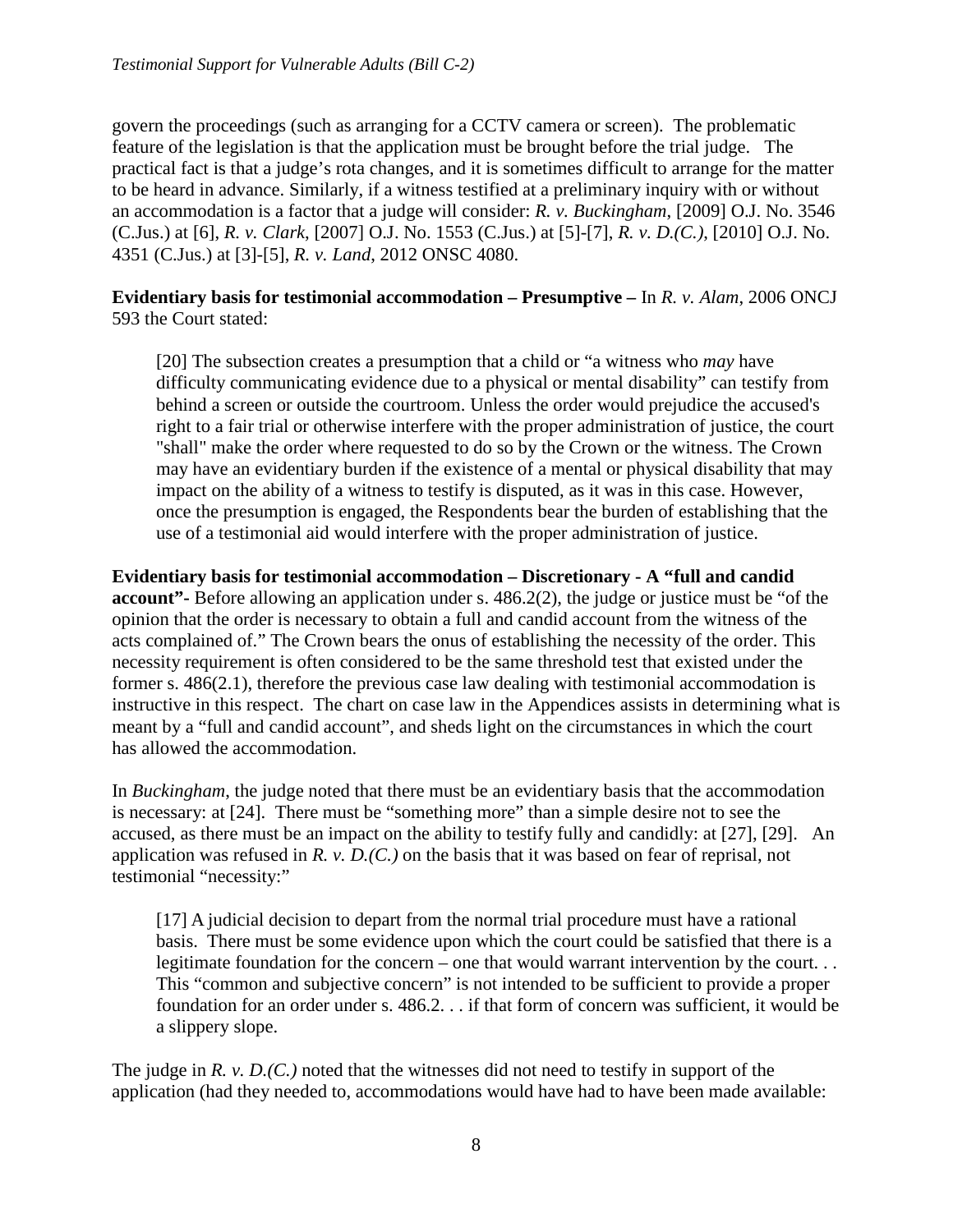govern the proceedings (such as arranging for a CCTV camera or screen). The problematic feature of the legislation is that the application must be brought before the trial judge. The practical fact is that a judge's rota changes, and it is sometimes difficult to arrange for the matter to be heard in advance. Similarly, if a witness testified at a preliminary inquiry with or without an accommodation is a factor that a judge will consider: *R. v. Buckingham*, [2009] O.J. No. 3546 (C.Jus.) at [6], *R. v. Clark*, [2007] O.J. No. 1553 (C.Jus.) at [5]-[7], *R. v. D.(C.)*, [2010] O.J. No. 4351 (C.Jus.) at [3]-[5], *R. v. Land*, 2012 ONSC 4080.

#### **Evidentiary basis for testimonial accommodation – Presumptive –** In *R. v. Alam*, 2006 ONCJ 593 the Court stated:

[20] The subsection creates a presumption that a child or "a witness who *may* have difficulty communicating evidence due to a physical or mental disability" can testify from behind a screen or outside the courtroom. Unless the order would prejudice the accused's right to a fair trial or otherwise interfere with the proper administration of justice, the court "shall" make the order where requested to do so by the Crown or the witness. The Crown may have an evidentiary burden if the existence of a mental or physical disability that may impact on the ability of a witness to testify is disputed, as it was in this case. However, once the presumption is engaged, the Respondents bear the burden of establishing that the use of a testimonial aid would interfere with the proper administration of justice.

**Evidentiary basis for testimonial accommodation – Discretionary - A "full and candid account"-** Before allowing an application under s. 486.2(2), the judge or justice must be "of the opinion that the order is necessary to obtain a full and candid account from the witness of the acts complained of." The Crown bears the onus of establishing the necessity of the order. This necessity requirement is often considered to be the same threshold test that existed under the former s. 486(2.1), therefore the previous case law dealing with testimonial accommodation is instructive in this respect. The chart on case law in the Appendices assists in determining what is meant by a "full and candid account", and sheds light on the circumstances in which the court has allowed the accommodation.

In *Buckingham*, the judge noted that there must be an evidentiary basis that the accommodation is necessary: at [24]. There must be "something more" than a simple desire not to see the accused, as there must be an impact on the ability to testify fully and candidly: at [27], [29]. An application was refused in *R. v. D.(C.)* on the basis that it was based on fear of reprisal, not testimonial "necessity:"

[17] A judicial decision to depart from the normal trial procedure must have a rational basis. There must be some evidence upon which the court could be satisfied that there is a legitimate foundation for the concern – one that would warrant intervention by the court... This "common and subjective concern" is not intended to be sufficient to provide a proper foundation for an order under s. 486.2. . . if that form of concern was sufficient, it would be a slippery slope.

The judge in *R. v. D.(C.)* noted that the witnesses did not need to testify in support of the application (had they needed to, accommodations would have had to have been made available: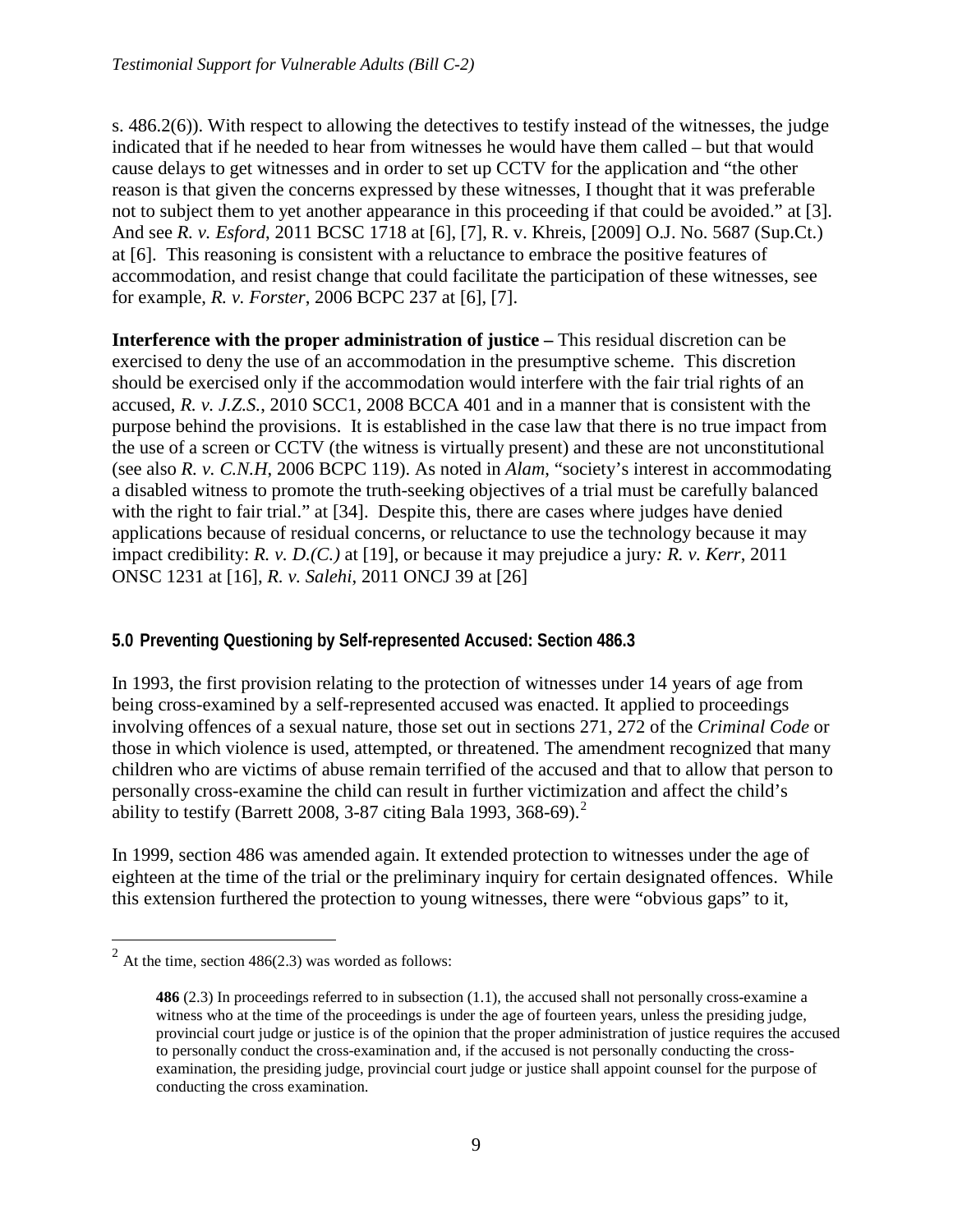s. 486.2(6)). With respect to allowing the detectives to testify instead of the witnesses, the judge indicated that if he needed to hear from witnesses he would have them called – but that would cause delays to get witnesses and in order to set up CCTV for the application and "the other reason is that given the concerns expressed by these witnesses, I thought that it was preferable not to subject them to yet another appearance in this proceeding if that could be avoided." at [3]. And see *R. v. Esford*, 2011 BCSC 1718 at [6], [7], R. v. Khreis, [2009] O.J. No. 5687 (Sup.Ct.) at [6]. This reasoning is consistent with a reluctance to embrace the positive features of accommodation, and resist change that could facilitate the participation of these witnesses, see for example, *R. v. Forster*, 2006 BCPC 237 at [6], [7].

**Interference with the proper administration of justice –** This residual discretion can be exercised to deny the use of an accommodation in the presumptive scheme. This discretion should be exercised only if the accommodation would interfere with the fair trial rights of an accused, *R. v. J.Z.S.*, 2010 SCC1, 2008 BCCA 401 and in a manner that is consistent with the purpose behind the provisions. It is established in the case law that there is no true impact from the use of a screen or CCTV (the witness is virtually present) and these are not unconstitutional (see also *R. v. C.N.H*, 2006 BCPC 119). As noted in *Alam*, "society's interest in accommodating a disabled witness to promote the truth-seeking objectives of a trial must be carefully balanced with the right to fair trial." at [34]. Despite this, there are cases where judges have denied applications because of residual concerns, or reluctance to use the technology because it may impact credibility: *R. v. D.(C.)* at [19], or because it may prejudice a jury*: R. v. Kerr*, 2011 ONSC 1231 at [16], *R. v. Salehi*, 2011 ONCJ 39 at [26]

#### <span id="page-12-0"></span>**5.0 Preventing Questioning by Self-represented Accused: Section 486.3**

In 1993, the first provision relating to the protection of witnesses under 14 years of age from being cross-examined by a self-represented accused was enacted. It applied to proceedings involving offences of a sexual nature, those set out in sections 271, 272 of the *Criminal Code* or those in which violence is used, attempted, or threatened. The amendment recognized that many children who are victims of abuse remain terrified of the accused and that to allow that person to personally cross-examine the child can result in further victimization and affect the child's ability to testify (Barrett [2](#page-10-0)008, 3-87 citing Bala 1993, 368-69).<sup>2</sup>

In 1999, section 486 was amended again. It extended protection to witnesses under the age of eighteen at the time of the trial or the preliminary inquiry for certain designated offences. While this extension furthered the protection to young witnesses, there were "obvious gaps" to it,

 $^{2}$  At the time, section 486(2.3) was worded as follows:

**<sup>486</sup>** (2.3) In proceedings referred to in subsection (1.1), the accused shall not personally cross-examine a witness who at the time of the proceedings is under the age of fourteen years, unless the presiding judge, provincial court judge or justice is of the opinion that the proper administration of justice requires the accused to personally conduct the cross-examination and, if the accused is not personally conducting the crossexamination, the presiding judge, provincial court judge or justice shall appoint counsel for the purpose of conducting the cross examination.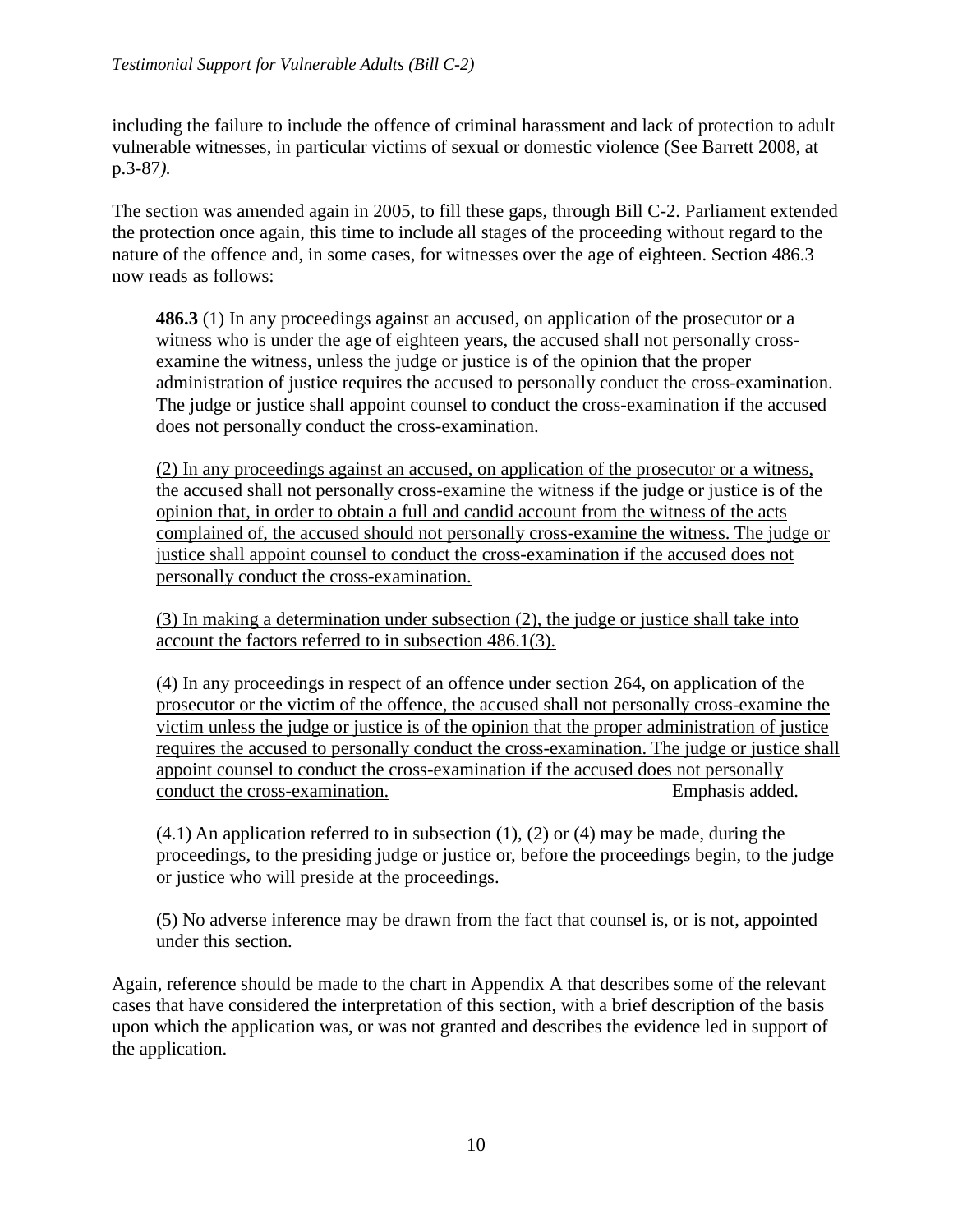including the failure to include the offence of criminal harassment and lack of protection to adult vulnerable witnesses, in particular victims of sexual or domestic violence (See Barrett 2008, at p.3-87*).*

The section was amended again in 2005, to fill these gaps, through Bill C-2. Parliament extended the protection once again, this time to include all stages of the proceeding without regard to the nature of the offence and, in some cases, for witnesses over the age of eighteen. Section 486.3 now reads as follows:

**486.3** (1) In any proceedings against an accused, on application of the prosecutor or a witness who is under the age of eighteen years, the accused shall not personally crossexamine the witness, unless the judge or justice is of the opinion that the proper administration of justice requires the accused to personally conduct the cross-examination. The judge or justice shall appoint counsel to conduct the cross-examination if the accused does not personally conduct the cross-examination.

(2) In any proceedings against an accused, on application of the prosecutor or a witness, the accused shall not personally cross-examine the witness if the judge or justice is of the opinion that, in order to obtain a full and candid account from the witness of the acts complained of, the accused should not personally cross-examine the witness. The judge or justice shall appoint counsel to conduct the cross-examination if the accused does not personally conduct the cross-examination.

(3) In making a determination under subsection (2), the judge or justice shall take into account the factors referred to in subsection 486.1(3).

(4) In any proceedings in respect of an offence under section 264, on application of the prosecutor or the victim of the offence, the accused shall not personally cross-examine the victim unless the judge or justice is of the opinion that the proper administration of justice requires the accused to personally conduct the cross-examination. The judge or justice shall appoint counsel to conduct the cross-examination if the accused does not personally conduct the cross-examination. Emphasis added.

 $(4.1)$  An application referred to in subsection  $(1)$ ,  $(2)$  or  $(4)$  may be made, during the proceedings, to the presiding judge or justice or, before the proceedings begin, to the judge or justice who will preside at the proceedings.

(5) No adverse inference may be drawn from the fact that counsel is, or is not, appointed under this section.

Again, reference should be made to the chart in Appendix A that describes some of the relevant cases that have considered the interpretation of this section, with a brief description of the basis upon which the application was, or was not granted and describes the evidence led in support of the application.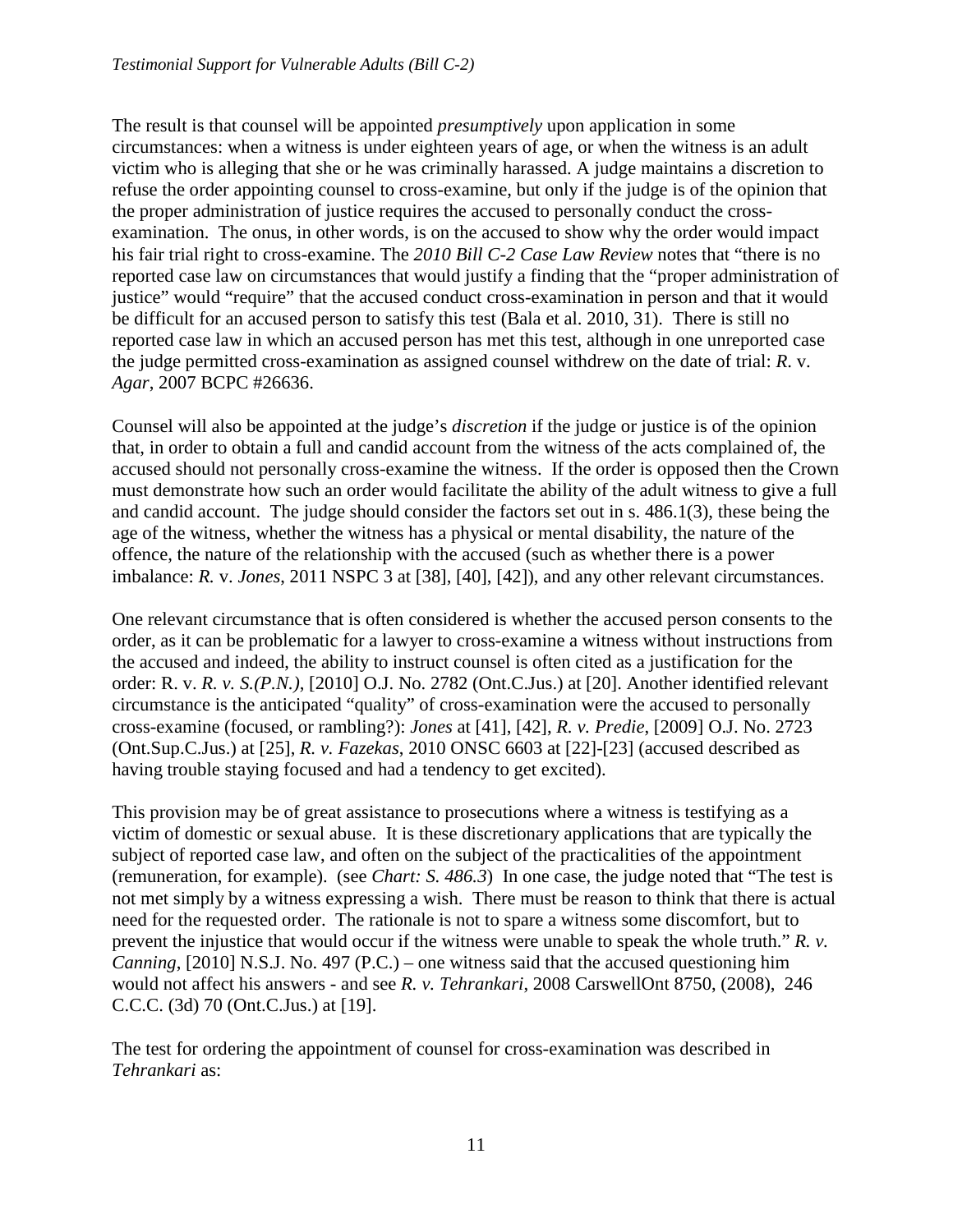The result is that counsel will be appointed *presumptively* upon application in some circumstances: when a witness is under eighteen years of age, or when the witness is an adult victim who is alleging that she or he was criminally harassed. A judge maintains a discretion to refuse the order appointing counsel to cross-examine, but only if the judge is of the opinion that the proper administration of justice requires the accused to personally conduct the crossexamination. The onus, in other words, is on the accused to show why the order would impact his fair trial right to cross-examine. The *2010 Bill C-2 Case Law Review* notes that "there is no reported case law on circumstances that would justify a finding that the "proper administration of justice" would "require" that the accused conduct cross-examination in person and that it would be difficult for an accused person to satisfy this test (Bala et al. 2010, 31). There is still no reported case law in which an accused person has met this test, although in one unreported case the judge permitted cross-examination as assigned counsel withdrew on the date of trial: *R*. v. *Agar*, 2007 BCPC #26636.

Counsel will also be appointed at the judge's *discretion* if the judge or justice is of the opinion that, in order to obtain a full and candid account from the witness of the acts complained of, the accused should not personally cross-examine the witness. If the order is opposed then the Crown must demonstrate how such an order would facilitate the ability of the adult witness to give a full and candid account. The judge should consider the factors set out in s. 486.1(3), these being the age of the witness, whether the witness has a physical or mental disability, the nature of the offence, the nature of the relationship with the accused (such as whether there is a power imbalance: *R.* v. *Jones*, 2011 NSPC 3 at [38], [40], [42]), and any other relevant circumstances.

One relevant circumstance that is often considered is whether the accused person consents to the order, as it can be problematic for a lawyer to cross-examine a witness without instructions from the accused and indeed, the ability to instruct counsel is often cited as a justification for the order: R. v. *R. v. S.(P.N.)*, [2010] O.J. No. 2782 (Ont.C.Jus.) at [20]. Another identified relevant circumstance is the anticipated "quality" of cross-examination were the accused to personally cross-examine (focused, or rambling?): *Jones* at [41], [42], *R. v. Predie*, [2009] O.J. No. 2723 (Ont.Sup.C.Jus.) at [25], *R. v. Fazekas*, 2010 ONSC 6603 at [22]-[23] (accused described as having trouble staying focused and had a tendency to get excited).

This provision may be of great assistance to prosecutions where a witness is testifying as a victim of domestic or sexual abuse. It is these discretionary applications that are typically the subject of reported case law, and often on the subject of the practicalities of the appointment (remuneration, for example). (see *Chart: S. 486.3*) In one case, the judge noted that "The test is not met simply by a witness expressing a wish. There must be reason to think that there is actual need for the requested order. The rationale is not to spare a witness some discomfort, but to prevent the injustice that would occur if the witness were unable to speak the whole truth." *R. v. Canning*, [2010] N.S.J. No. 497 (P.C.) – one witness said that the accused questioning him would not affect his answers - and see *R. v. Tehrankari*, 2008 CarswellOnt 8750, (2008), 246 C.C.C. (3d) 70 (Ont.C.Jus.) at [19].

The test for ordering the appointment of counsel for cross-examination was described in *Tehrankari* as: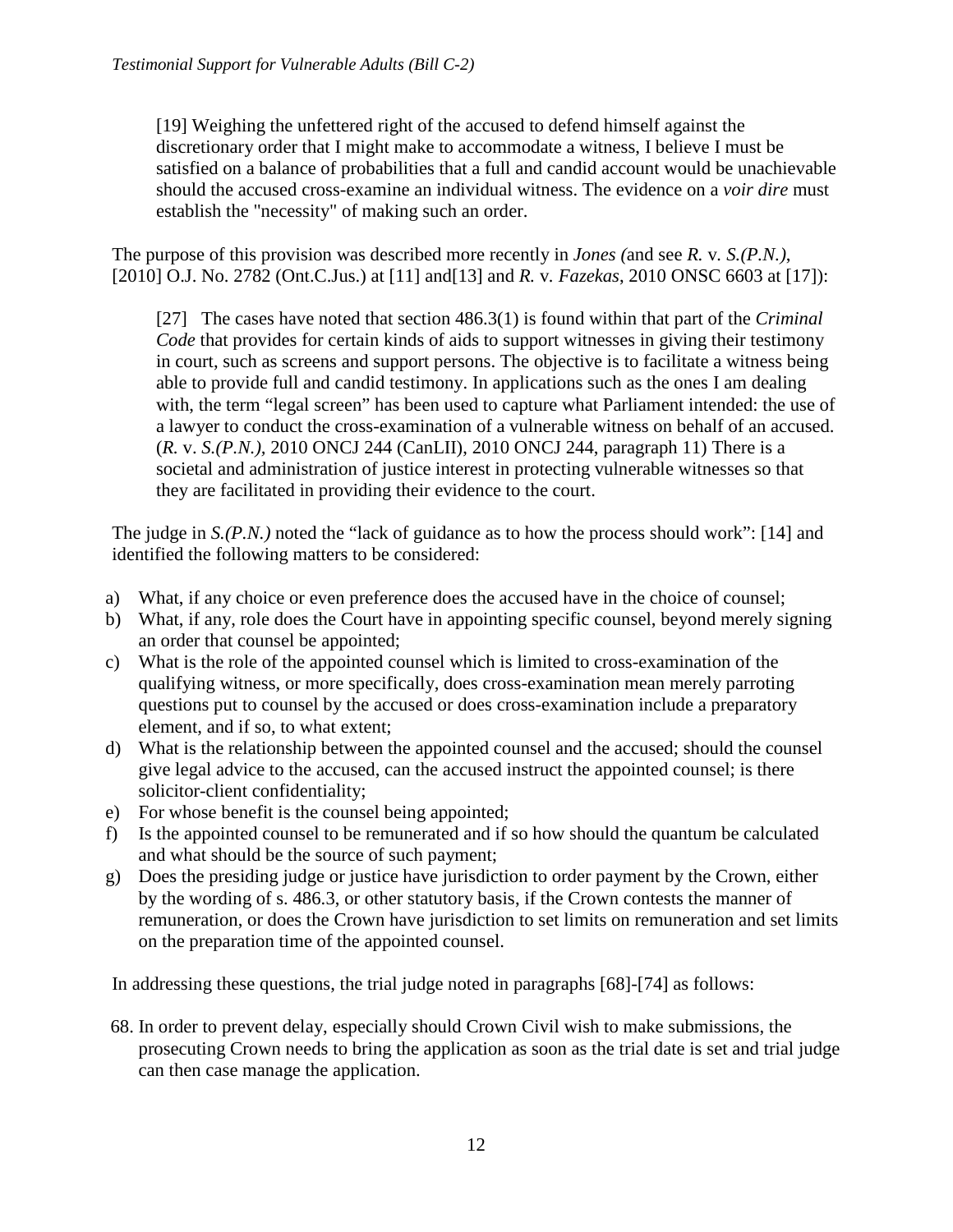[19] Weighing the unfettered right of the accused to defend himself against the discretionary order that I might make to accommodate a witness, I believe I must be satisfied on a balance of probabilities that a full and candid account would be unachievable should the accused cross-examine an individual witness. The evidence on a *voir dire* must establish the "necessity" of making such an order.

The purpose of this provision was described more recently in *Jones (*and see *R.* v*. S.(P.N.)*, [2010] O.J. No. 2782 (Ont.C.Jus.) at [11] and[13] and *R.* v*. Fazekas*, 2010 ONSC 6603 at [17]):

[27] The cases have noted that section 486.3(1) is found within that part of the *Criminal Code* that provides for certain kinds of aids to support witnesses in giving their testimony in court, such as screens and support persons. The objective is to facilitate a witness being able to provide full and candid testimony. In applications such as the ones I am dealing with, the term "legal screen" has been used to capture what Parliament intended: the use of a lawyer to conduct the cross-examination of a vulnerable witness on behalf of an accused. (*R.* v. *S.(P.N.),* 2010 ONCJ 244 (CanLII), 2010 ONCJ 244, paragraph 11) There is a societal and administration of justice interest in protecting vulnerable witnesses so that they are facilitated in providing their evidence to the court.

The judge in *S.(P.N.)* noted the "lack of guidance as to how the process should work": [14] and identified the following matters to be considered:

- a) What, if any choice or even preference does the accused have in the choice of counsel;
- b) What, if any, role does the Court have in appointing specific counsel, beyond merely signing an order that counsel be appointed;
- c) What is the role of the appointed counsel which is limited to cross-examination of the qualifying witness, or more specifically, does cross-examination mean merely parroting questions put to counsel by the accused or does cross-examination include a preparatory element, and if so, to what extent;
- d) What is the relationship between the appointed counsel and the accused; should the counsel give legal advice to the accused, can the accused instruct the appointed counsel; is there solicitor-client confidentiality;
- e) For whose benefit is the counsel being appointed;
- f) Is the appointed counsel to be remunerated and if so how should the quantum be calculated and what should be the source of such payment;
- g) Does the presiding judge or justice have jurisdiction to order payment by the Crown, either by the wording of s. 486.3, or other statutory basis, if the Crown contests the manner of remuneration, or does the Crown have jurisdiction to set limits on remuneration and set limits on the preparation time of the appointed counsel.

In addressing these questions, the trial judge noted in paragraphs [68]-[74] as follows:

68. In order to prevent delay, especially should Crown Civil wish to make submissions, the prosecuting Crown needs to bring the application as soon as the trial date is set and trial judge can then case manage the application.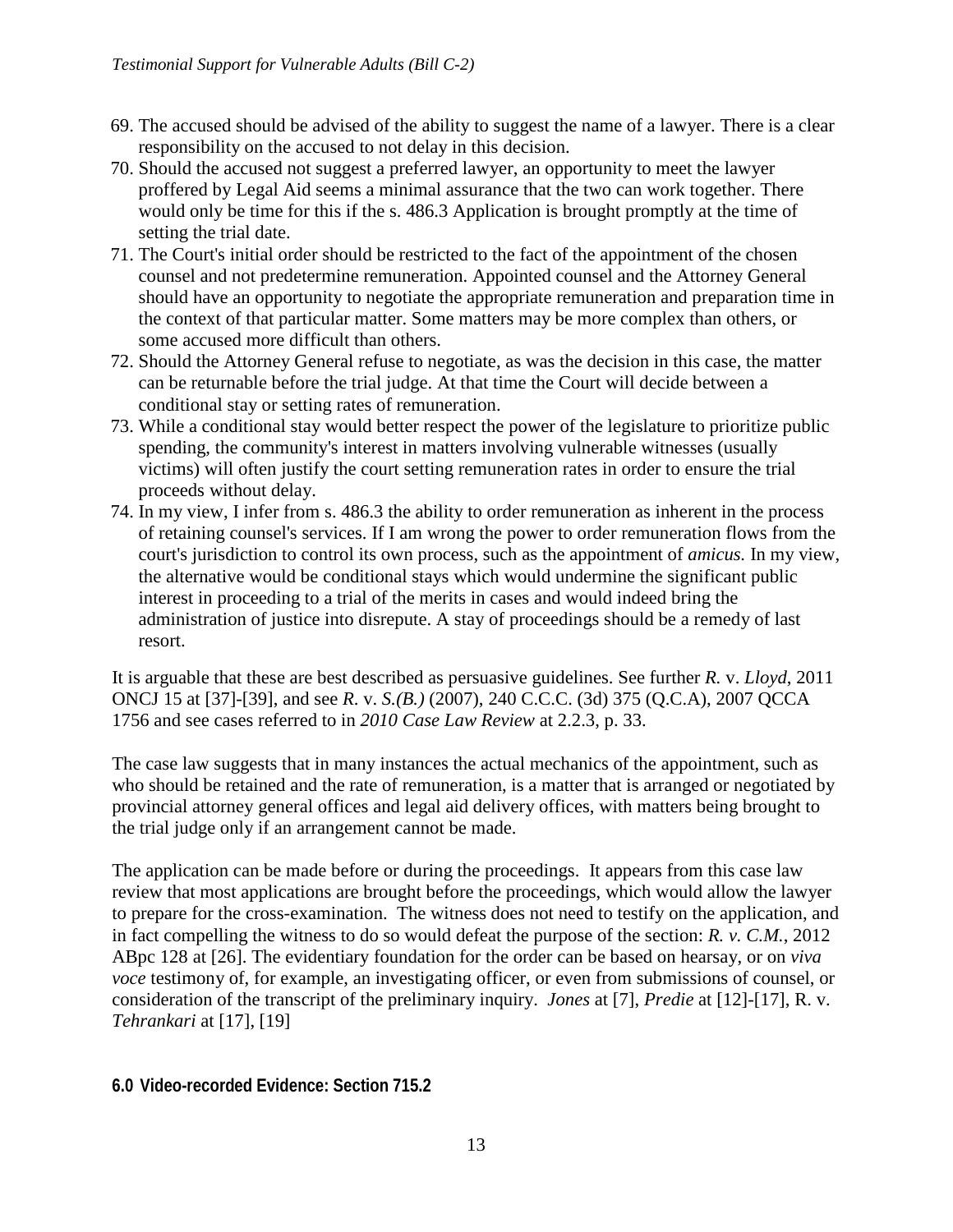- 69. The accused should be advised of the ability to suggest the name of a lawyer. There is a clear responsibility on the accused to not delay in this decision.
- 70. Should the accused not suggest a preferred lawyer, an opportunity to meet the lawyer proffered by Legal Aid seems a minimal assurance that the two can work together. There would only be time for this if the s. 486.3 Application is brought promptly at the time of setting the trial date.
- 71. The Court's initial order should be restricted to the fact of the appointment of the chosen counsel and not predetermine remuneration. Appointed counsel and the Attorney General should have an opportunity to negotiate the appropriate remuneration and preparation time in the context of that particular matter. Some matters may be more complex than others, or some accused more difficult than others.
- 72. Should the Attorney General refuse to negotiate, as was the decision in this case, the matter can be returnable before the trial judge. At that time the Court will decide between a conditional stay or setting rates of remuneration.
- 73. While a conditional stay would better respect the power of the legislature to prioritize public spending, the community's interest in matters involving vulnerable witnesses (usually victims) will often justify the court setting remuneration rates in order to ensure the trial proceeds without delay.
- 74. In my view, I infer from s. 486.3 the ability to order remuneration as inherent in the process of retaining counsel's services. If I am wrong the power to order remuneration flows from the court's jurisdiction to control its own process, such as the appointment of *amicus.* In my view, the alternative would be conditional stays which would undermine the significant public interest in proceeding to a trial of the merits in cases and would indeed bring the administration of justice into disrepute. A stay of proceedings should be a remedy of last resort.

It is arguable that these are best described as persuasive guidelines. See further *R.* v. *Lloyd*, 2011 ONCJ 15 at [37]-[39], and see *R*. v. *S.(B.)* (2007), 240 C.C.C. (3d) 375 (Q.C.A), 2007 QCCA 1756 and see cases referred to in *2010 Case Law Review* at 2.2.3, p. 33.

The case law suggests that in many instances the actual mechanics of the appointment, such as who should be retained and the rate of remuneration, is a matter that is arranged or negotiated by provincial attorney general offices and legal aid delivery offices, with matters being brought to the trial judge only if an arrangement cannot be made.

The application can be made before or during the proceedings. It appears from this case law review that most applications are brought before the proceedings, which would allow the lawyer to prepare for the cross-examination. The witness does not need to testify on the application, and in fact compelling the witness to do so would defeat the purpose of the section: *R. v. C.M.*, 2012 ABpc 128 at [26]. The evidentiary foundation for the order can be based on hearsay, or on *viva voce* testimony of, for example, an investigating officer, or even from submissions of counsel, or consideration of the transcript of the preliminary inquiry. *Jones* at [7], *Predie* at [12]-[17], R. v. *Tehrankari* at [17], [19]

#### <span id="page-16-0"></span>**6.0 Video-recorded Evidence: Section 715.2**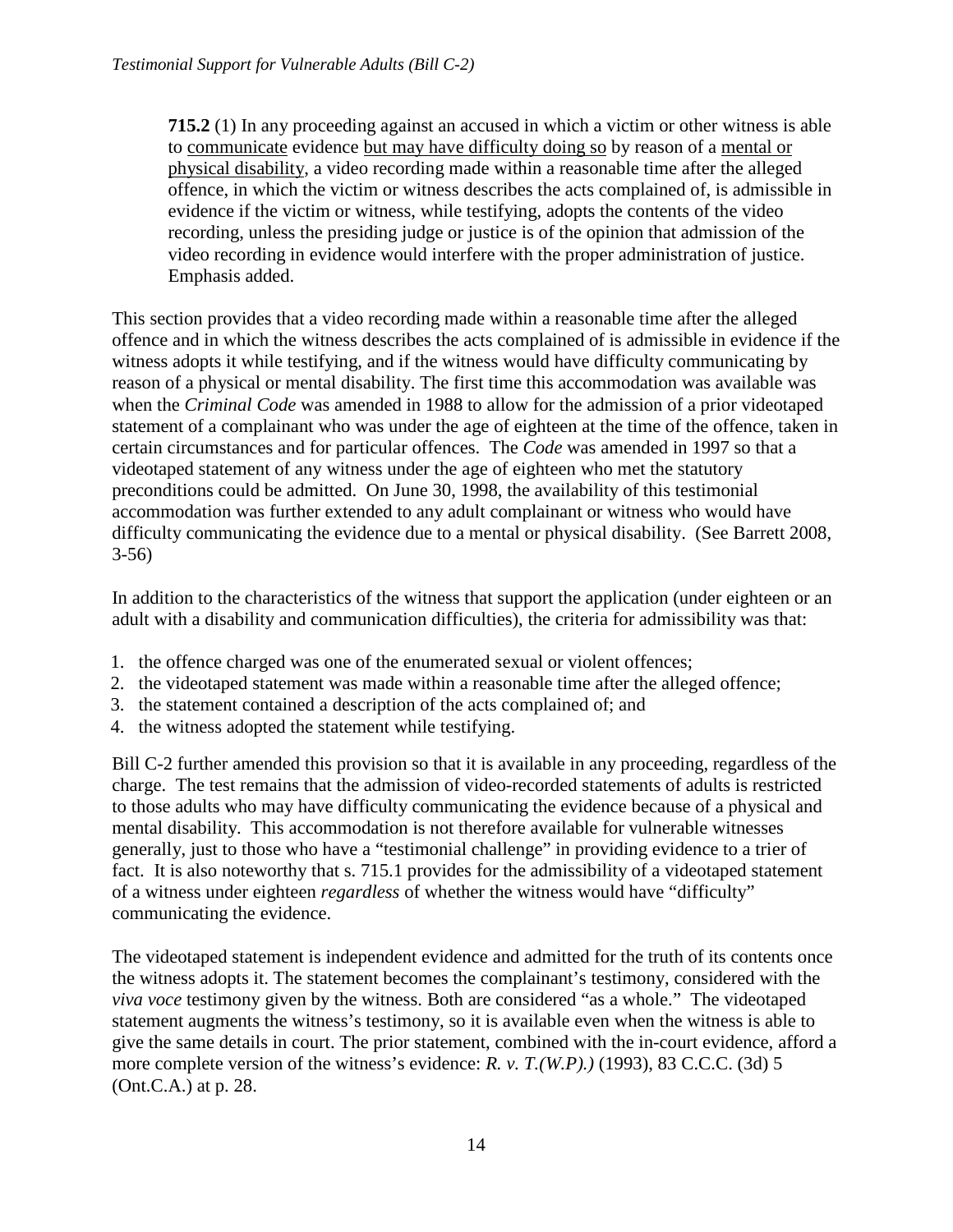**715.2** (1) In any proceeding against an accused in which a victim or other witness is able to communicate evidence but may have difficulty doing so by reason of a mental or physical disability, a video recording made within a reasonable time after the alleged offence, in which the victim or witness describes the acts complained of, is admissible in evidence if the victim or witness, while testifying, adopts the contents of the video recording, unless the presiding judge or justice is of the opinion that admission of the video recording in evidence would interfere with the proper administration of justice. Emphasis added.

This section provides that a video recording made within a reasonable time after the alleged offence and in which the witness describes the acts complained of is admissible in evidence if the witness adopts it while testifying, and if the witness would have difficulty communicating by reason of a physical or mental disability. The first time this accommodation was available was when the *Criminal Code* was amended in 1988 to allow for the admission of a prior videotaped statement of a complainant who was under the age of eighteen at the time of the offence, taken in certain circumstances and for particular offences. The *Code* was amended in 1997 so that a videotaped statement of any witness under the age of eighteen who met the statutory preconditions could be admitted. On June 30, 1998, the availability of this testimonial accommodation was further extended to any adult complainant or witness who would have difficulty communicating the evidence due to a mental or physical disability. (See Barrett 2008, 3-56)

In addition to the characteristics of the witness that support the application (under eighteen or an adult with a disability and communication difficulties), the criteria for admissibility was that:

- 1. the offence charged was one of the enumerated sexual or violent offences;
- 2. the videotaped statement was made within a reasonable time after the alleged offence;
- 3. the statement contained a description of the acts complained of; and
- 4. the witness adopted the statement while testifying.

Bill C-2 further amended this provision so that it is available in any proceeding, regardless of the charge. The test remains that the admission of video-recorded statements of adults is restricted to those adults who may have difficulty communicating the evidence because of a physical and mental disability. This accommodation is not therefore available for vulnerable witnesses generally, just to those who have a "testimonial challenge" in providing evidence to a trier of fact. It is also noteworthy that s. 715.1 provides for the admissibility of a videotaped statement of a witness under eighteen *regardless* of whether the witness would have "difficulty" communicating the evidence.

The videotaped statement is independent evidence and admitted for the truth of its contents once the witness adopts it. The statement becomes the complainant's testimony, considered with the *viva voce* testimony given by the witness. Both are considered "as a whole." The videotaped statement augments the witness's testimony, so it is available even when the witness is able to give the same details in court. The prior statement, combined with the in-court evidence, afford a more complete version of the witness's evidence: *R. v. T.(W.P).)* (1993), 83 C.C.C. (3d) 5 (Ont.C.A.) at p. 28.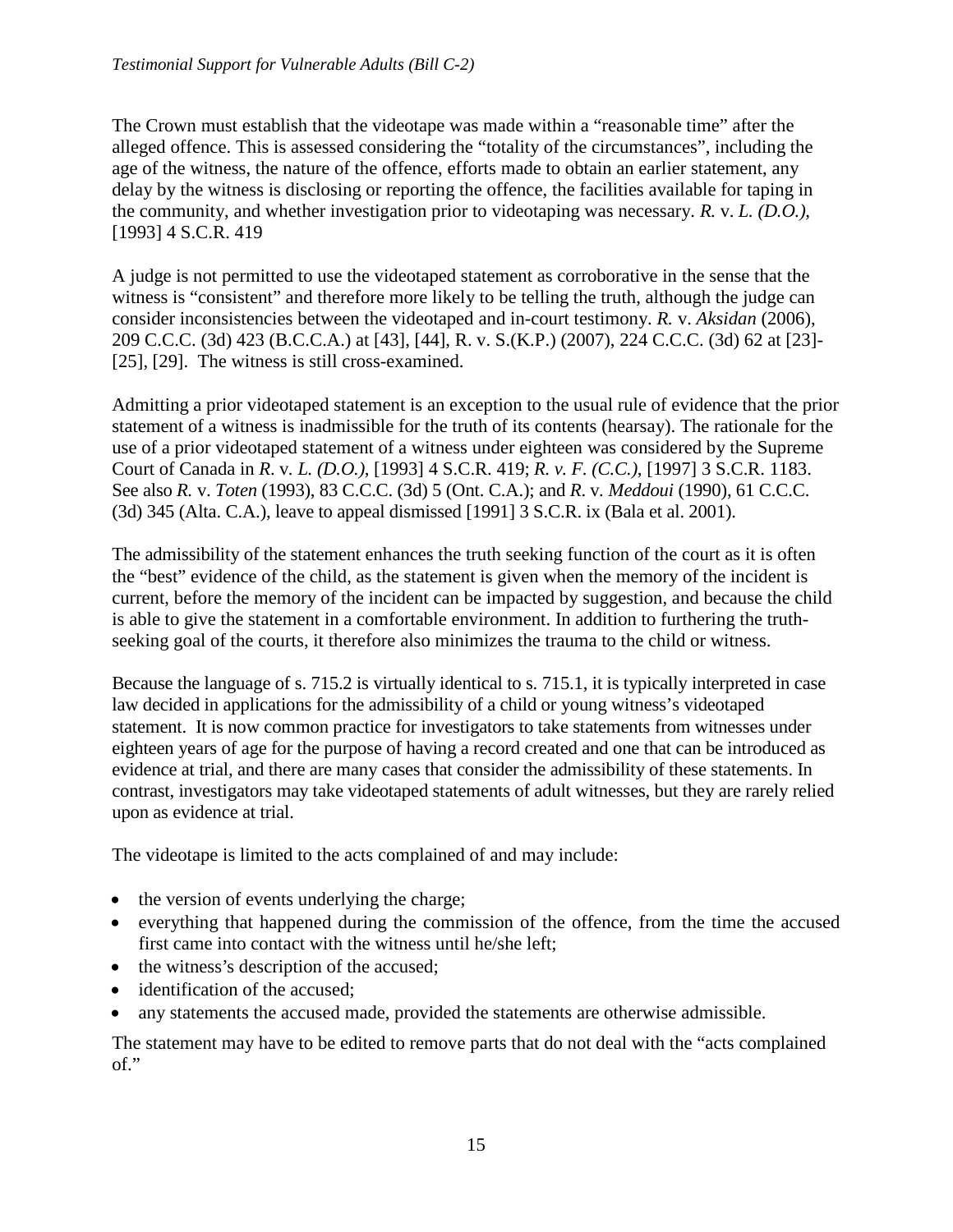The Crown must establish that the videotape was made within a "reasonable time" after the alleged offence. This is assessed considering the "totality of the circumstances", including the age of the witness, the nature of the offence, efforts made to obtain an earlier statement, any delay by the witness is disclosing or reporting the offence, the facilities available for taping in the community, and whether investigation prior to videotaping was necessary. *R.* v. *L. (D.O.)*, [1993] 4 S.C.R. 419

A judge is not permitted to use the videotaped statement as corroborative in the sense that the witness is "consistent" and therefore more likely to be telling the truth, although the judge can consider inconsistencies between the videotaped and in-court testimony. *R.* v. *Aksidan* (2006), 209 C.C.C. (3d) 423 (B.C.C.A.) at [43], [44], R. v. S.(K.P.) (2007), 224 C.C.C. (3d) 62 at [23]- [25], [29]. The witness is still cross-examined.

Admitting a prior videotaped statement is an exception to the usual rule of evidence that the prior statement of a witness is inadmissible for the truth of its contents (hearsay). The rationale for the use of a prior videotaped statement of a witness under eighteen was considered by the Supreme Court of Canada in *R*. v*. L. (D.O.)*, [1993] 4 S.C.R. 419; *R. v. F. (C.C.)*, [1997] 3 S.C.R. 1183. See also *R.* v. *Toten* (1993), 83 C.C.C. (3d) 5 (Ont. C.A.); and *R*. v*. Meddoui* (1990), 61 C.C.C. (3d) 345 (Alta. C.A.), leave to appeal dismissed [1991] 3 S.C.R. ix (Bala et al. 2001).

The admissibility of the statement enhances the truth seeking function of the court as it is often the "best" evidence of the child, as the statement is given when the memory of the incident is current, before the memory of the incident can be impacted by suggestion, and because the child is able to give the statement in a comfortable environment. In addition to furthering the truthseeking goal of the courts, it therefore also minimizes the trauma to the child or witness.

Because the language of s. 715.2 is virtually identical to s. 715.1, it is typically interpreted in case law decided in applications for the admissibility of a child or young witness's videotaped statement. It is now common practice for investigators to take statements from witnesses under eighteen years of age for the purpose of having a record created and one that can be introduced as evidence at trial, and there are many cases that consider the admissibility of these statements. In contrast, investigators may take videotaped statements of adult witnesses, but they are rarely relied upon as evidence at trial.

The videotape is limited to the acts complained of and may include:

- the version of events underlying the charge;
- everything that happened during the commission of the offence, from the time the accused first came into contact with the witness until he/she left;
- the witness's description of the accused;
- identification of the accused;
- any statements the accused made, provided the statements are otherwise admissible.

The statement may have to be edited to remove parts that do not deal with the "acts complained of."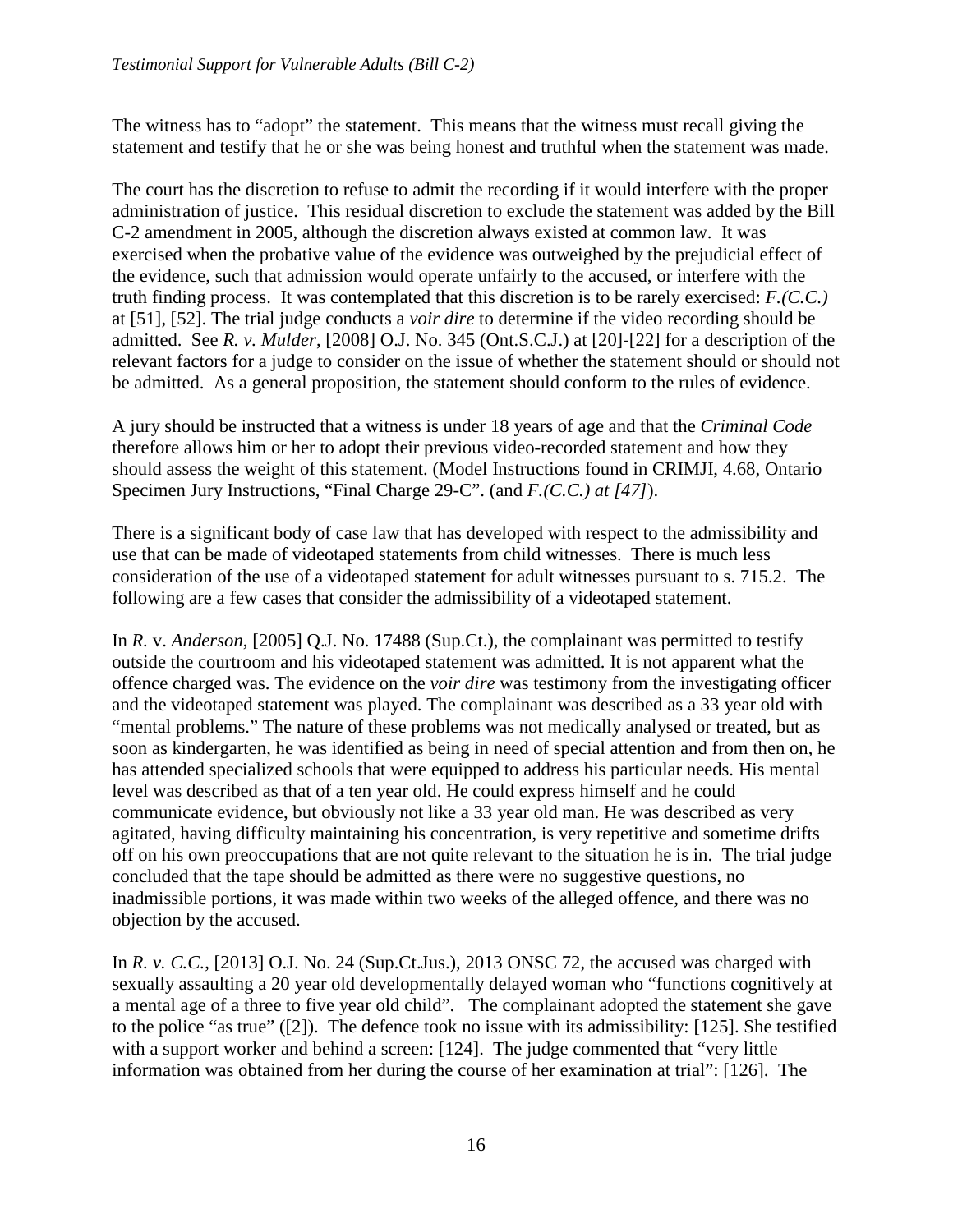The witness has to "adopt" the statement. This means that the witness must recall giving the statement and testify that he or she was being honest and truthful when the statement was made.

The court has the discretion to refuse to admit the recording if it would interfere with the proper administration of justice. This residual discretion to exclude the statement was added by the Bill C-2 amendment in 2005, although the discretion always existed at common law. It was exercised when the probative value of the evidence was outweighed by the prejudicial effect of the evidence, such that admission would operate unfairly to the accused, or interfere with the truth finding process. It was contemplated that this discretion is to be rarely exercised: *F.(C.C.)* at [51], [52]. The trial judge conducts a *voir dire* to determine if the video recording should be admitted. See *R. v. Mulder*, [2008] O.J. No. 345 (Ont.S.C.J.) at [20]-[22] for a description of the relevant factors for a judge to consider on the issue of whether the statement should or should not be admitted. As a general proposition, the statement should conform to the rules of evidence.

A jury should be instructed that a witness is under 18 years of age and that the *Criminal Code* therefore allows him or her to adopt their previous video-recorded statement and how they should assess the weight of this statement. (Model Instructions found in CRIMJI, 4.68, Ontario Specimen Jury Instructions, "Final Charge 29-C". (and *F.(C.C.) at [47]*).

There is a significant body of case law that has developed with respect to the admissibility and use that can be made of videotaped statements from child witnesses. There is much less consideration of the use of a videotaped statement for adult witnesses pursuant to s. 715.2. The following are a few cases that consider the admissibility of a videotaped statement.

In *R.* v. *Anderson*, [2005] Q.J. No. 17488 (Sup.Ct.), the complainant was permitted to testify outside the courtroom and his videotaped statement was admitted. It is not apparent what the offence charged was. The evidence on the *voir dire* was testimony from the investigating officer and the videotaped statement was played. The complainant was described as a 33 year old with "mental problems." The nature of these problems was not medically analysed or treated, but as soon as kindergarten, he was identified as being in need of special attention and from then on, he has attended specialized schools that were equipped to address his particular needs. His mental level was described as that of a ten year old. He could express himself and he could communicate evidence, but obviously not like a 33 year old man. He was described as very agitated, having difficulty maintaining his concentration, is very repetitive and sometime drifts off on his own preoccupations that are not quite relevant to the situation he is in. The trial judge concluded that the tape should be admitted as there were no suggestive questions, no inadmissible portions, it was made within two weeks of the alleged offence, and there was no objection by the accused.

In *R. v. C.C.*, [2013] O.J. No. 24 (Sup.Ct.Jus.), 2013 ONSC 72, the accused was charged with sexually assaulting a 20 year old developmentally delayed woman who "functions cognitively at a mental age of a three to five year old child". The complainant adopted the statement she gave to the police "as true" ([2]). The defence took no issue with its admissibility: [125]. She testified with a support worker and behind a screen: [124]. The judge commented that "very little information was obtained from her during the course of her examination at trial": [126]. The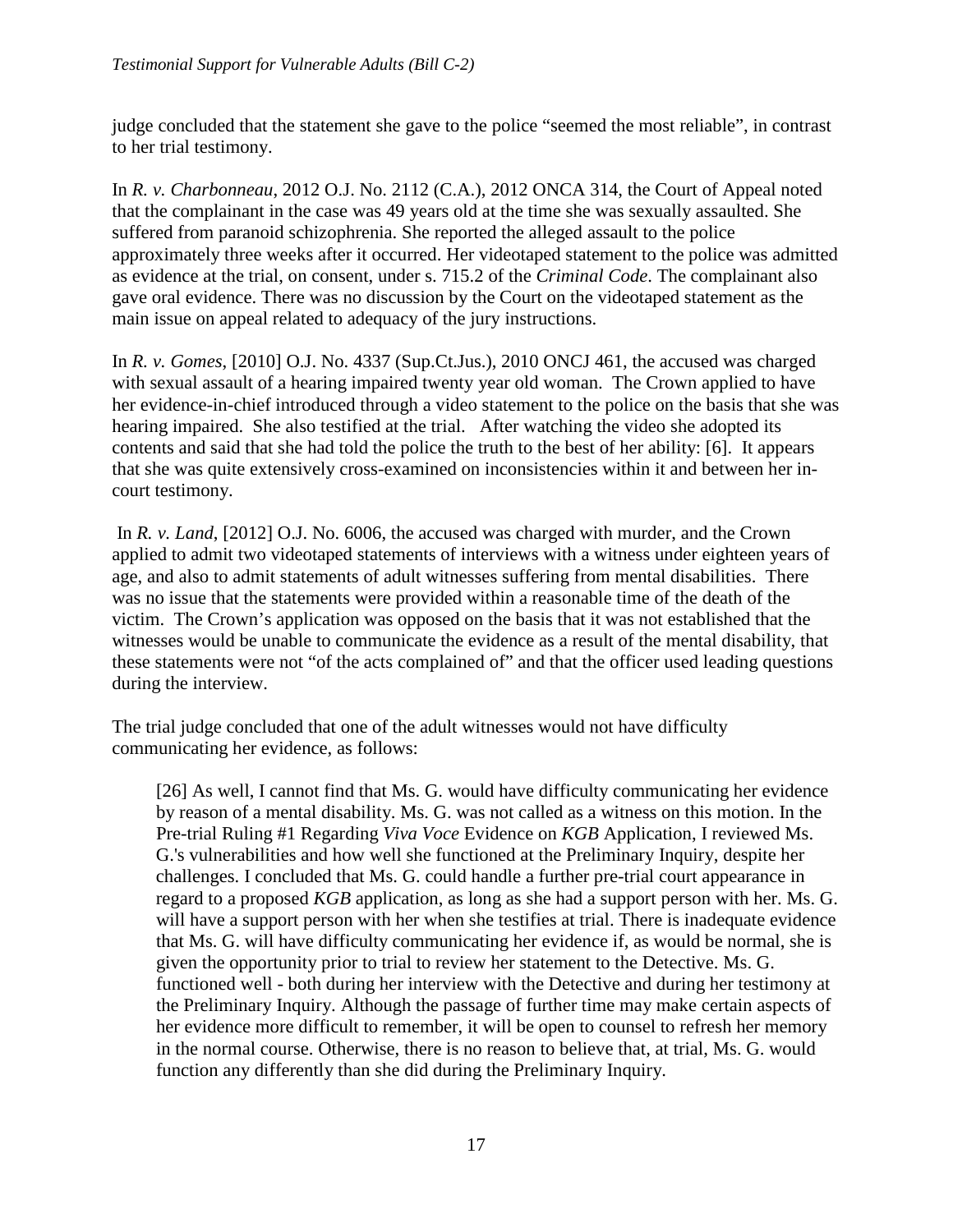judge concluded that the statement she gave to the police "seemed the most reliable", in contrast to her trial testimony.

In *R. v. Charbonneau*, 2012 O.J. No. 2112 (C.A.), 2012 ONCA 314, the Court of Appeal noted that the complainant in the case was 49 years old at the time she was sexually assaulted. She suffered from paranoid schizophrenia. She reported the alleged assault to the police approximately three weeks after it occurred. Her videotaped statement to the police was admitted as evidence at the trial, on consent, under s. 715.2 of the *Criminal Code*. The complainant also gave oral evidence. There was no discussion by the Court on the videotaped statement as the main issue on appeal related to adequacy of the jury instructions.

In *R. v. Gomes*, [2010] O.J. No. 4337 (Sup.Ct.Jus.), 2010 ONCJ 461, the accused was charged with sexual assault of a hearing impaired twenty year old woman. The Crown applied to have her evidence-in-chief introduced through a video statement to the police on the basis that she was hearing impaired. She also testified at the trial. After watching the video she adopted its contents and said that she had told the police the truth to the best of her ability: [6]. It appears that she was quite extensively cross-examined on inconsistencies within it and between her incourt testimony.

In *R. v. Land*, [2012] O.J. No. 6006, the accused was charged with murder, and the Crown applied to admit two videotaped statements of interviews with a witness under eighteen years of age, and also to admit statements of adult witnesses suffering from mental disabilities. There was no issue that the statements were provided within a reasonable time of the death of the victim. The Crown's application was opposed on the basis that it was not established that the witnesses would be unable to communicate the evidence as a result of the mental disability, that these statements were not "of the acts complained of" and that the officer used leading questions during the interview.

The trial judge concluded that one of the adult witnesses would not have difficulty communicating her evidence, as follows:

[26] As well, I cannot find that Ms. G. would have difficulty communicating her evidence by reason of a mental disability. Ms. G. was not called as a witness on this motion. In the Pre-trial Ruling #1 Regarding *Viva Voce* Evidence on *KGB* Application, I reviewed Ms. G.'s vulnerabilities and how well she functioned at the Preliminary Inquiry, despite her challenges. I concluded that Ms. G. could handle a further pre-trial court appearance in regard to a proposed *KGB* application, as long as she had a support person with her. Ms. G. will have a support person with her when she testifies at trial. There is inadequate evidence that Ms. G. will have difficulty communicating her evidence if, as would be normal, she is given the opportunity prior to trial to review her statement to the Detective. Ms. G. functioned well - both during her interview with the Detective and during her testimony at the Preliminary Inquiry. Although the passage of further time may make certain aspects of her evidence more difficult to remember, it will be open to counsel to refresh her memory in the normal course. Otherwise, there is no reason to believe that, at trial, Ms. G. would function any differently than she did during the Preliminary Inquiry.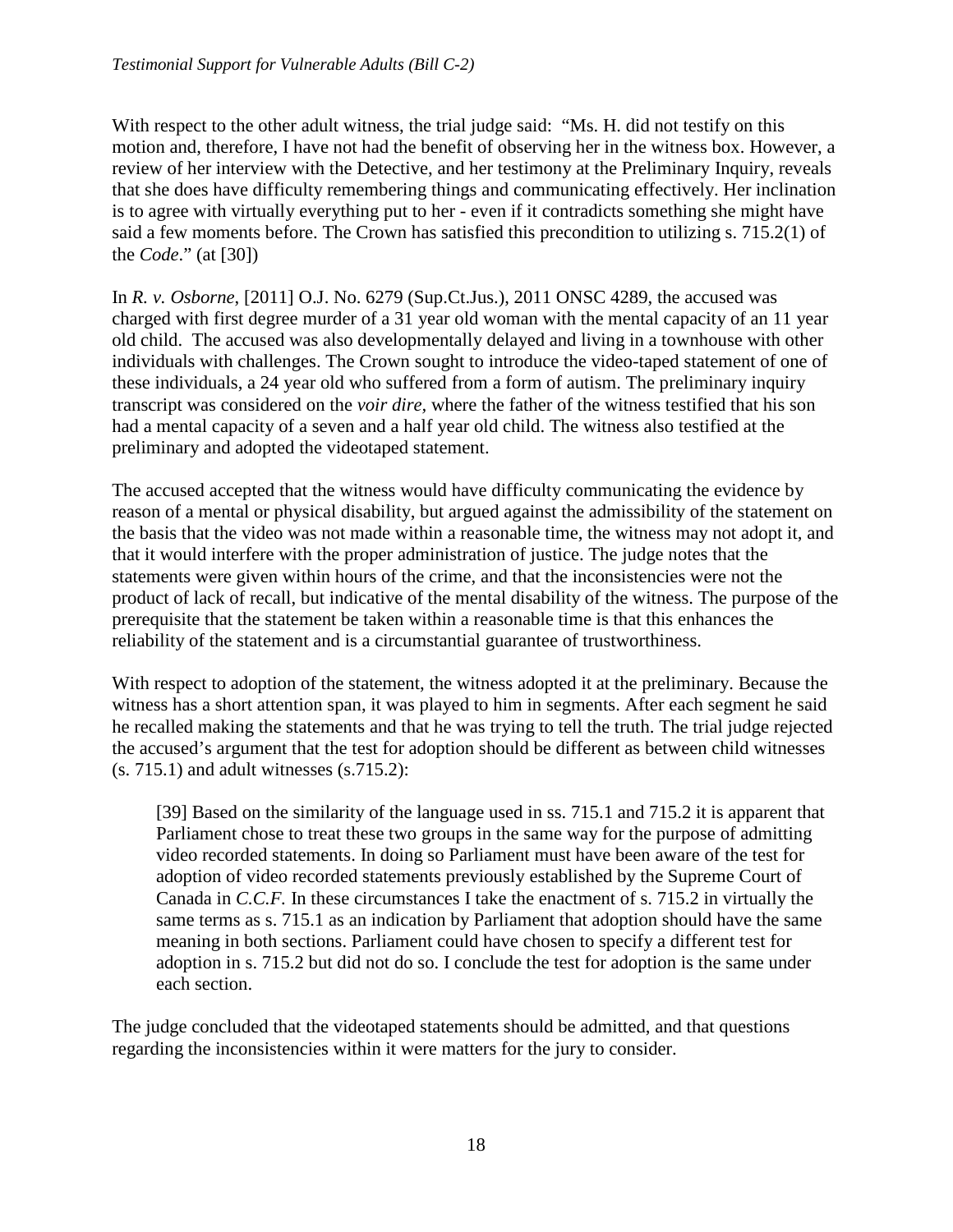With respect to the other adult witness, the trial judge said: "Ms. H. did not testify on this motion and, therefore, I have not had the benefit of observing her in the witness box. However, a review of her interview with the Detective, and her testimony at the Preliminary Inquiry, reveals that she does have difficulty remembering things and communicating effectively. Her inclination is to agree with virtually everything put to her - even if it contradicts something she might have said a few moments before. The Crown has satisfied this precondition to utilizing s. 715.2(1) of the *Code*." (at [30])

In *R. v. Osborne*, [2011] O.J. No. 6279 (Sup.Ct.Jus.), 2011 ONSC 4289, the accused was charged with first degree murder of a 31 year old woman with the mental capacity of an 11 year old child. The accused was also developmentally delayed and living in a townhouse with other individuals with challenges. The Crown sought to introduce the video-taped statement of one of these individuals, a 24 year old who suffered from a form of autism. The preliminary inquiry transcript was considered on the *voir dire,* where the father of the witness testified that his son had a mental capacity of a seven and a half year old child. The witness also testified at the preliminary and adopted the videotaped statement.

The accused accepted that the witness would have difficulty communicating the evidence by reason of a mental or physical disability, but argued against the admissibility of the statement on the basis that the video was not made within a reasonable time, the witness may not adopt it, and that it would interfere with the proper administration of justice. The judge notes that the statements were given within hours of the crime, and that the inconsistencies were not the product of lack of recall, but indicative of the mental disability of the witness. The purpose of the prerequisite that the statement be taken within a reasonable time is that this enhances the reliability of the statement and is a circumstantial guarantee of trustworthiness.

With respect to adoption of the statement, the witness adopted it at the preliminary. Because the witness has a short attention span, it was played to him in segments. After each segment he said he recalled making the statements and that he was trying to tell the truth. The trial judge rejected the accused's argument that the test for adoption should be different as between child witnesses  $(s. 715.1)$  and adult witnesses  $(s.715.2)$ :

[39] Based on the similarity of the language used in ss. 715.1 and 715.2 it is apparent that Parliament chose to treat these two groups in the same way for the purpose of admitting video recorded statements. In doing so Parliament must have been aware of the test for adoption of video recorded statements previously established by the Supreme Court of Canada in *C.C.F.* In these circumstances I take the enactment of s. 715.2 in virtually the same terms as s. 715.1 as an indication by Parliament that adoption should have the same meaning in both sections. Parliament could have chosen to specify a different test for adoption in s. 715.2 but did not do so. I conclude the test for adoption is the same under each section.

The judge concluded that the videotaped statements should be admitted, and that questions regarding the inconsistencies within it were matters for the jury to consider.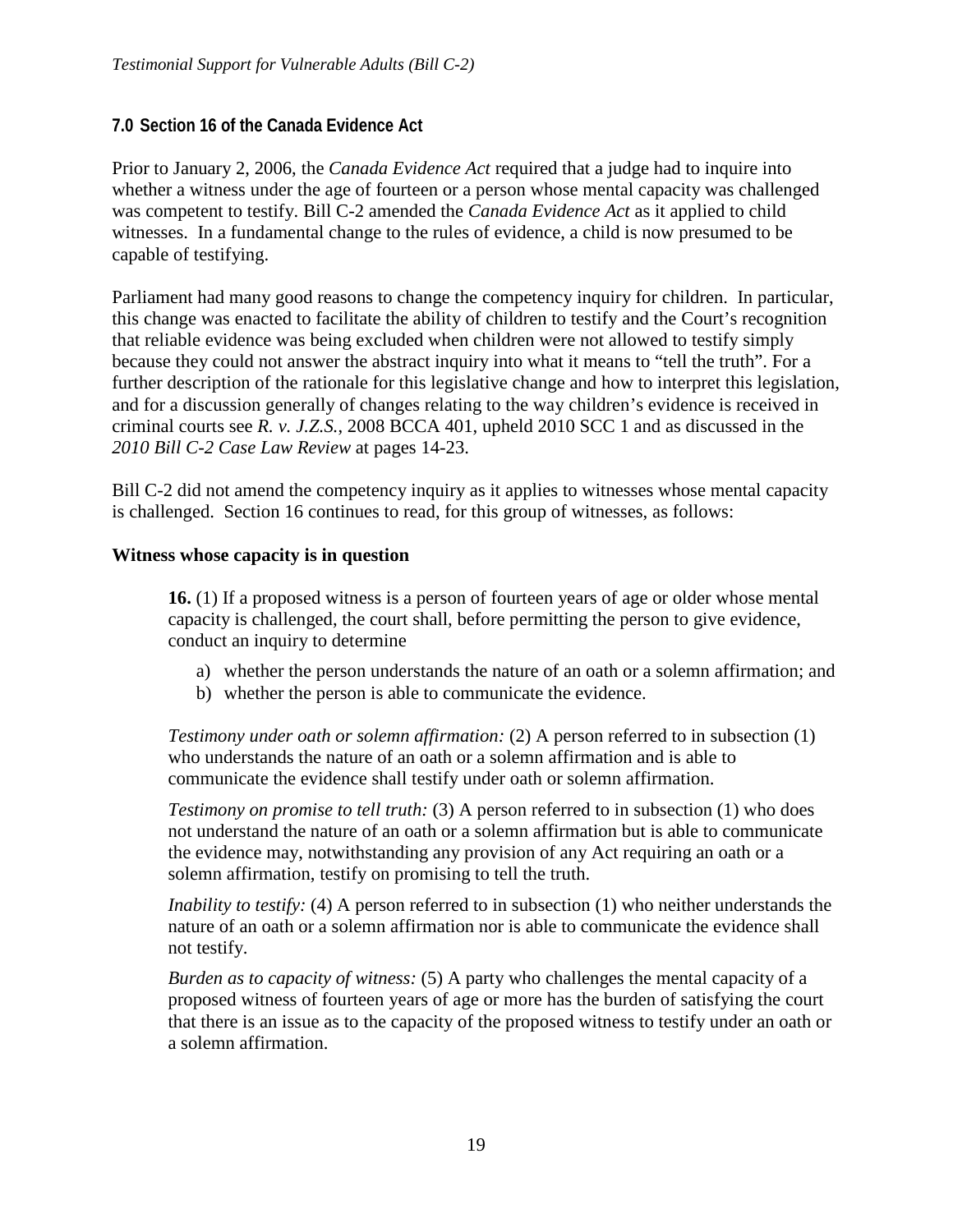#### <span id="page-22-0"></span>**7.0 Section 16 of the Canada Evidence Act**

Prior to January 2, 2006, the *Canada Evidence Act* required that a judge had to inquire into whether a witness under the age of fourteen or a person whose mental capacity was challenged was competent to testify. Bill C-2 amended the *Canada Evidence Act* as it applied to child witnesses. In a fundamental change to the rules of evidence, a child is now presumed to be capable of testifying.

Parliament had many good reasons to change the competency inquiry for children. In particular, this change was enacted to facilitate the ability of children to testify and the Court's recognition that reliable evidence was being excluded when children were not allowed to testify simply because they could not answer the abstract inquiry into what it means to "tell the truth". For a further description of the rationale for this legislative change and how to interpret this legislation, and for a discussion generally of changes relating to the way children's evidence is received in criminal courts see *R. v. J.Z.S.*, 2008 BCCA 401, upheld 2010 SCC 1 and as discussed in the *2010 Bill C-2 Case Law Review* at pages 14-23.

Bill C-2 did not amend the competency inquiry as it applies to witnesses whose mental capacity is challenged. Section 16 continues to read, for this group of witnesses, as follows:

#### **Witness whose capacity is in question**

**16.** (1) If a proposed witness is a person of fourteen years of age or older whose mental capacity is challenged, the court shall, before permitting the person to give evidence, conduct an inquiry to determine

- a) whether the person understands the nature of an oath or a solemn affirmation; and
- b) whether the person is able to communicate the evidence.

*Testimony under oath or solemn affirmation:* (2) A person referred to in subsection (1) who understands the nature of an oath or a solemn affirmation and is able to communicate the evidence shall testify under oath or solemn affirmation.

*Testimony on promise to tell truth:* (3) A person referred to in subsection (1) who does not understand the nature of an oath or a solemn affirmation but is able to communicate the evidence may, notwithstanding any provision of any Act requiring an oath or a solemn affirmation, testify on promising to tell the truth.

*Inability to testify:* (4) A person referred to in subsection (1) who neither understands the nature of an oath or a solemn affirmation nor is able to communicate the evidence shall not testify.

*Burden as to capacity of witness:* (5) A party who challenges the mental capacity of a proposed witness of fourteen years of age or more has the burden of satisfying the court that there is an issue as to the capacity of the proposed witness to testify under an oath or a solemn affirmation.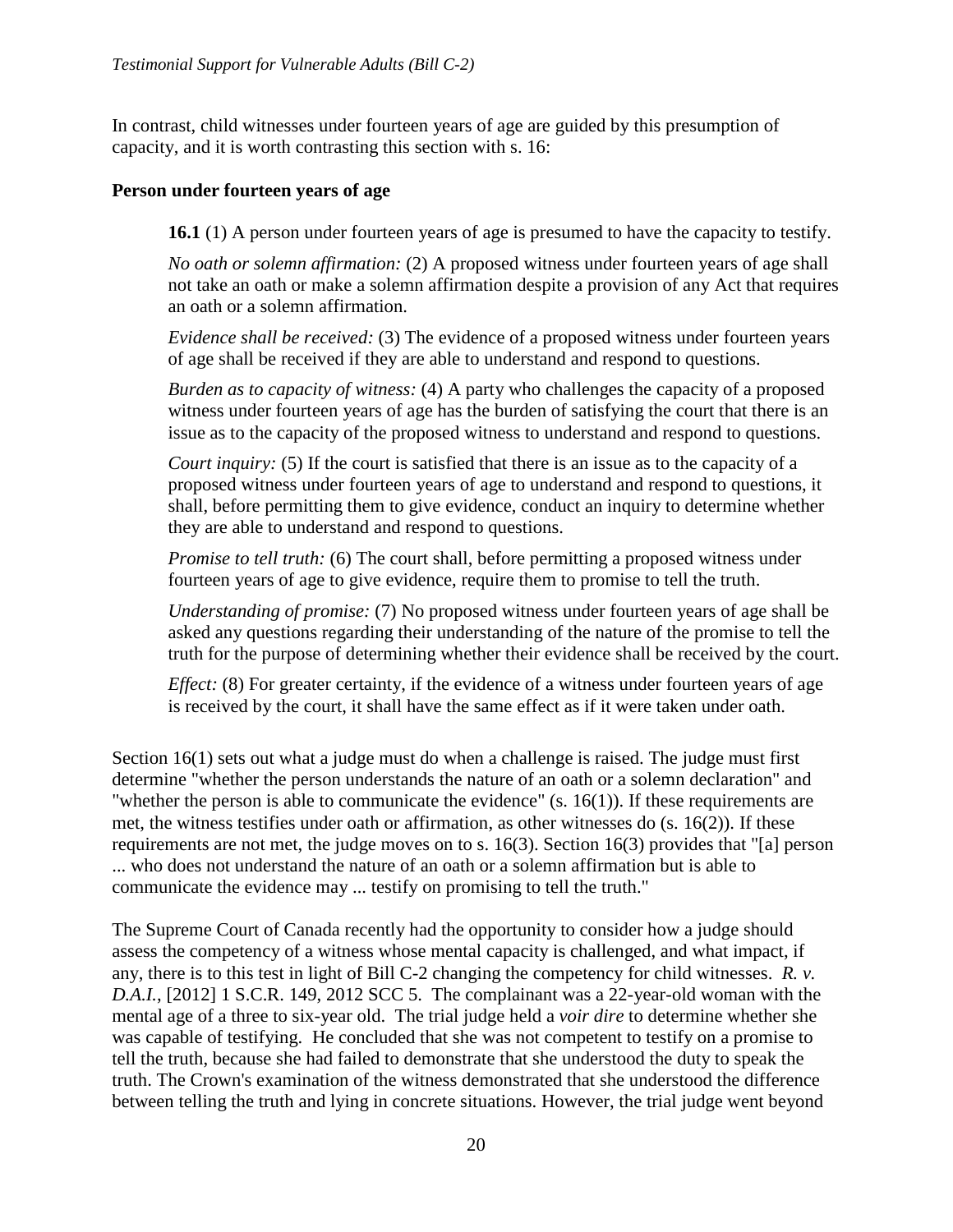In contrast, child witnesses under fourteen years of age are guided by this presumption of capacity, and it is worth contrasting this section with s. 16:

#### **Person under fourteen years of age**

**16.1** (1) A person under fourteen years of age is presumed to have the capacity to testify.

*No oath or solemn affirmation:* (2) A proposed witness under fourteen years of age shall not take an oath or make a solemn affirmation despite a provision of any Act that requires an oath or a solemn affirmation.

*Evidence shall be received:* (3) The evidence of a proposed witness under fourteen years of age shall be received if they are able to understand and respond to questions.

*Burden as to capacity of witness:* (4) A party who challenges the capacity of a proposed witness under fourteen years of age has the burden of satisfying the court that there is an issue as to the capacity of the proposed witness to understand and respond to questions.

*Court inquiry:* (5) If the court is satisfied that there is an issue as to the capacity of a proposed witness under fourteen years of age to understand and respond to questions, it shall, before permitting them to give evidence, conduct an inquiry to determine whether they are able to understand and respond to questions.

*Promise to tell truth:* (6) The court shall, before permitting a proposed witness under fourteen years of age to give evidence, require them to promise to tell the truth.

*Understanding of promise:* (7) No proposed witness under fourteen years of age shall be asked any questions regarding their understanding of the nature of the promise to tell the truth for the purpose of determining whether their evidence shall be received by the court.

*Effect:* (8) For greater certainty, if the evidence of a witness under fourteen years of age is received by the court, it shall have the same effect as if it were taken under oath.

Section 16(1) sets out what a judge must do when a challenge is raised. The judge must first determine "whether the person understands the nature of an oath or a solemn declaration" and "whether the person is able to communicate the evidence"  $(s, 16(1))$ . If these requirements are met, the witness testifies under oath or affirmation, as other witnesses do (s. 16(2)). If these requirements are not met, the judge moves on to s. 16(3). Section 16(3) provides that "[a] person ... who does not understand the nature of an oath or a solemn affirmation but is able to communicate the evidence may ... testify on promising to tell the truth."

The Supreme Court of Canada recently had the opportunity to consider how a judge should assess the competency of a witness whose mental capacity is challenged, and what impact, if any, there is to this test in light of Bill C-2 changing the competency for child witnesses. *R. v. D.A.I.*, [2012] 1 S.C.R. 149, 2012 SCC 5. The complainant was a 22-year-old woman with the mental age of a three to six-year old. The trial judge held a *voir dire* to determine whether she was capable of testifying. He concluded that she was not competent to testify on a promise to tell the truth, because she had failed to demonstrate that she understood the duty to speak the truth. The Crown's examination of the witness demonstrated that she understood the difference between telling the truth and lying in concrete situations. However, the trial judge went beyond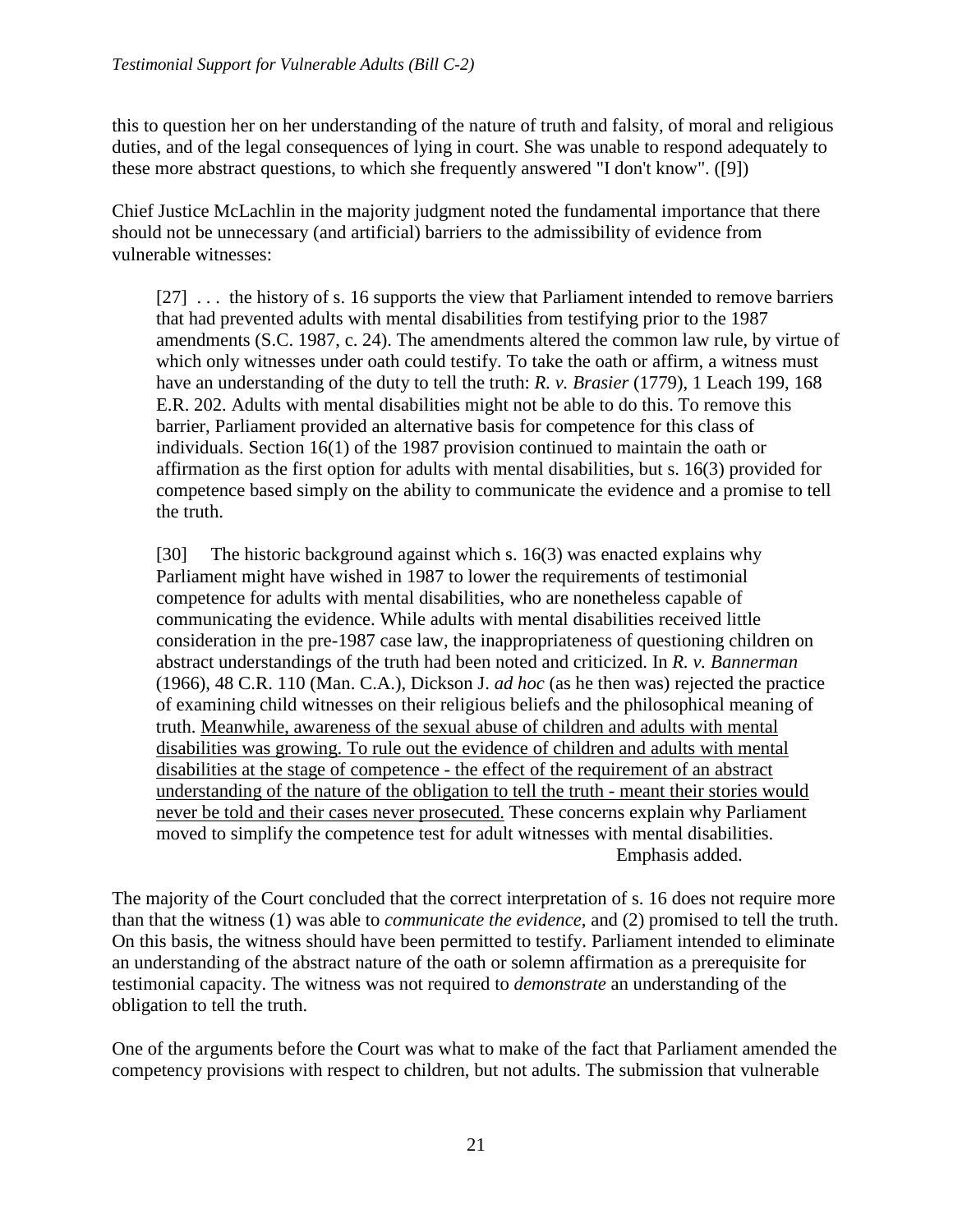this to question her on her understanding of the nature of truth and falsity, of moral and religious duties, and of the legal consequences of lying in court. She was unable to respond adequately to these more abstract questions, to which she frequently answered "I don't know". ([9])

Chief Justice McLachlin in the majority judgment noted the fundamental importance that there should not be unnecessary (and artificial) barriers to the admissibility of evidence from vulnerable witnesses:

[27] ... the history of s. 16 supports the view that Parliament intended to remove barriers that had prevented adults with mental disabilities from testifying prior to the 1987 amendments (S.C. 1987, c. 24). The amendments altered the common law rule, by virtue of which only witnesses under oath could testify. To take the oath or affirm, a witness must have an understanding of the duty to tell the truth: *R. v. Brasier* (1779), 1 Leach 199, 168 E.R. 202. Adults with mental disabilities might not be able to do this. To remove this barrier, Parliament provided an alternative basis for competence for this class of individuals. Section 16(1) of the 1987 provision continued to maintain the oath or affirmation as the first option for adults with mental disabilities, but s. 16(3) provided for competence based simply on the ability to communicate the evidence and a promise to tell the truth.

[30] The historic background against which s. 16(3) was enacted explains why Parliament might have wished in 1987 to lower the requirements of testimonial competence for adults with mental disabilities, who are nonetheless capable of communicating the evidence. While adults with mental disabilities received little consideration in the pre-1987 case law, the inappropriateness of questioning children on abstract understandings of the truth had been noted and criticized. In *R. v. Bannerman* (1966), 48 C.R. 110 (Man. C.A.), Dickson J. *ad hoc* (as he then was) rejected the practice of examining child witnesses on their religious beliefs and the philosophical meaning of truth. Meanwhile, awareness of the sexual abuse of children and adults with mental disabilities was growing. To rule out the evidence of children and adults with mental disabilities at the stage of competence - the effect of the requirement of an abstract understanding of the nature of the obligation to tell the truth - meant their stories would never be told and their cases never prosecuted. These concerns explain why Parliament moved to simplify the competence test for adult witnesses with mental disabilities. Emphasis added.

The majority of the Court concluded that the correct interpretation of s. 16 does not require more than that the witness (1) was able to *communicate the evidence*, and (2) promised to tell the truth. On this basis, the witness should have been permitted to testify. Parliament intended to eliminate an understanding of the abstract nature of the oath or solemn affirmation as a prerequisite for testimonial capacity. The witness was not required to *demonstrate* an understanding of the obligation to tell the truth.

One of the arguments before the Court was what to make of the fact that Parliament amended the competency provisions with respect to children, but not adults. The submission that vulnerable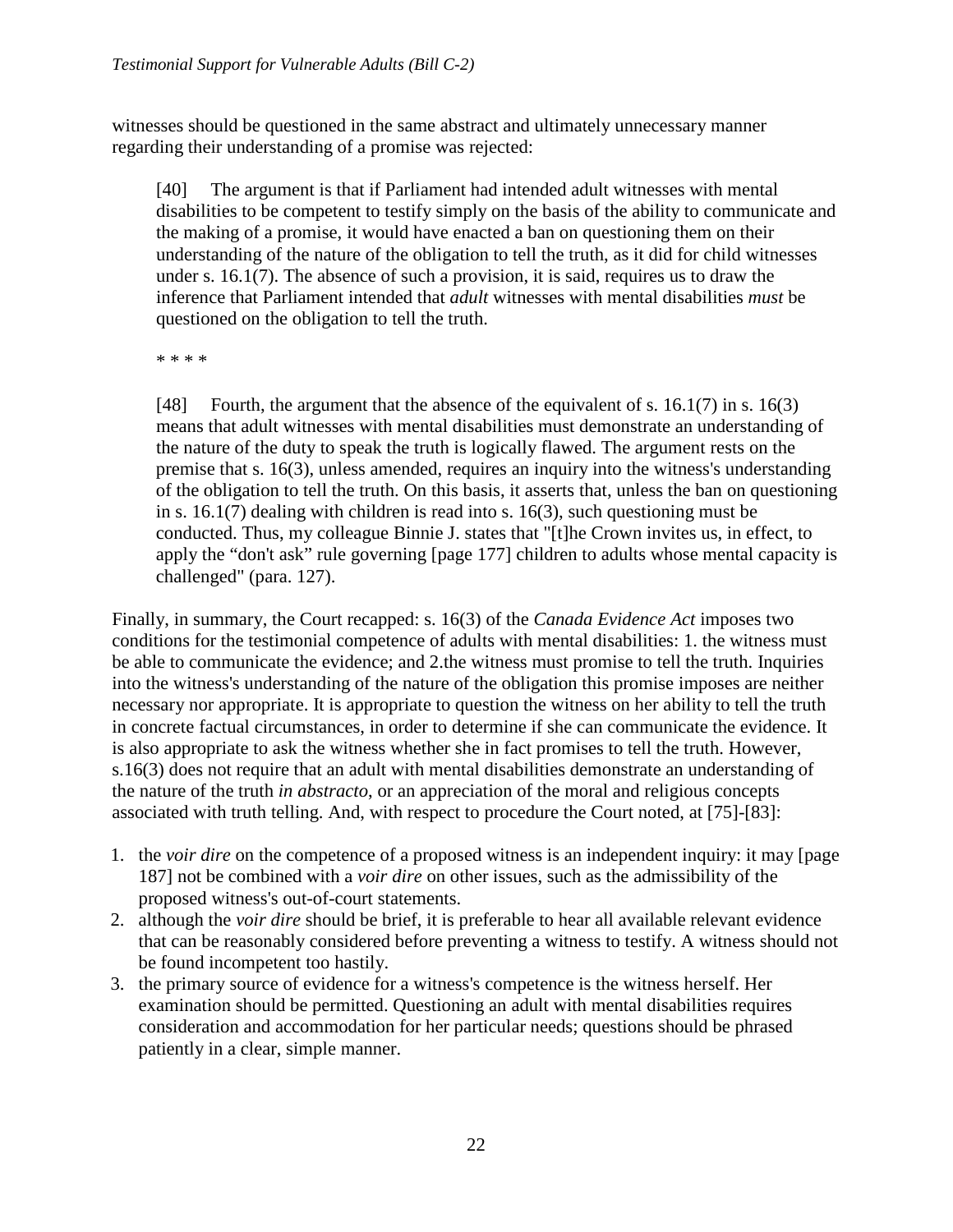witnesses should be questioned in the same abstract and ultimately unnecessary manner regarding their understanding of a promise was rejected:

[40] The argument is that if Parliament had intended adult witnesses with mental disabilities to be competent to testify simply on the basis of the ability to communicate and the making of a promise, it would have enacted a ban on questioning them on their understanding of the nature of the obligation to tell the truth, as it did for child witnesses under s.  $16.1(7)$ . The absence of such a provision, it is said, requires us to draw the inference that Parliament intended that *adult* witnesses with mental disabilities *must* be questioned on the obligation to tell the truth.

\* \* \* \*

[48] Fourth, the argument that the absence of the equivalent of s. 16.1(7) in s. 16(3) means that adult witnesses with mental disabilities must demonstrate an understanding of the nature of the duty to speak the truth is logically flawed. The argument rests on the premise that s. 16(3), unless amended, requires an inquiry into the witness's understanding of the obligation to tell the truth. On this basis, it asserts that, unless the ban on questioning in s. 16.1(7) dealing with children is read into s. 16(3), such questioning must be conducted. Thus, my colleague Binnie J. states that "[t]he Crown invites us, in effect, to apply the "don't ask" rule governing [page 177] children to adults whose mental capacity is challenged" (para. 127).

Finally, in summary, the Court recapped: s. 16(3) of the *Canada Evidence Act* imposes two conditions for the testimonial competence of adults with mental disabilities: 1. the witness must be able to communicate the evidence; and 2.the witness must promise to tell the truth. Inquiries into the witness's understanding of the nature of the obligation this promise imposes are neither necessary nor appropriate. It is appropriate to question the witness on her ability to tell the truth in concrete factual circumstances, in order to determine if she can communicate the evidence. It is also appropriate to ask the witness whether she in fact promises to tell the truth. However, s.16(3) does not require that an adult with mental disabilities demonstrate an understanding of the nature of the truth *in abstracto*, or an appreciation of the moral and religious concepts associated with truth telling. And, with respect to procedure the Court noted, at [75]-[83]:

- 1. the *voir dire* on the competence of a proposed witness is an independent inquiry: it may [page 187] not be combined with a *voir dire* on other issues, such as the admissibility of the proposed witness's out-of-court statements.
- 2. although the *voir dire* should be brief, it is preferable to hear all available relevant evidence that can be reasonably considered before preventing a witness to testify. A witness should not be found incompetent too hastily.
- 3. the primary source of evidence for a witness's competence is the witness herself. Her examination should be permitted. Questioning an adult with mental disabilities requires consideration and accommodation for her particular needs; questions should be phrased patiently in a clear, simple manner.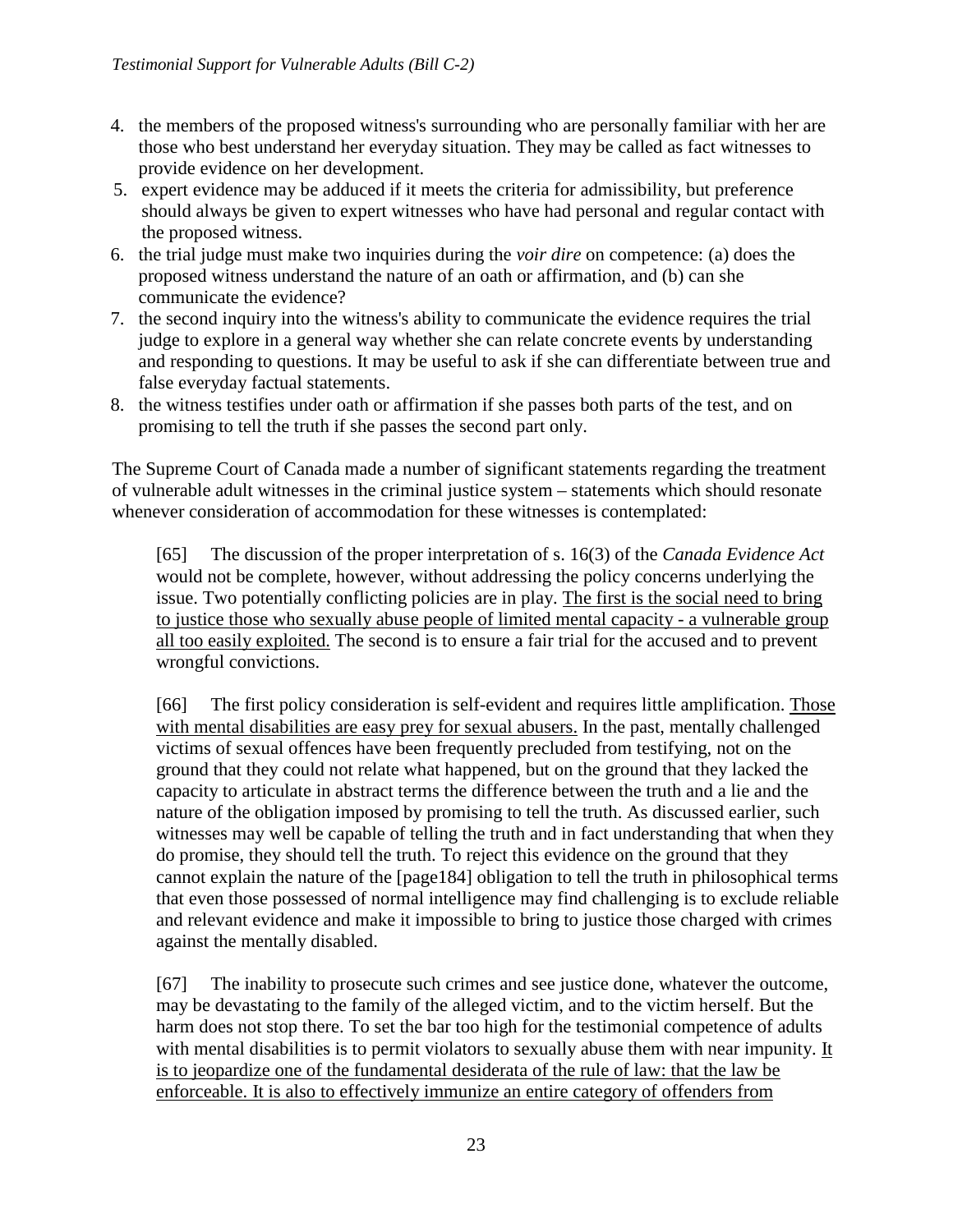- 4. the members of the proposed witness's surrounding who are personally familiar with her are those who best understand her everyday situation. They may be called as fact witnesses to provide evidence on her development.
- 5. expert evidence may be adduced if it meets the criteria for admissibility, but preference should always be given to expert witnesses who have had personal and regular contact with the proposed witness.
- 6. the trial judge must make two inquiries during the *voir dire* on competence: (a) does the proposed witness understand the nature of an oath or affirmation, and (b) can she communicate the evidence?
- 7. the second inquiry into the witness's ability to communicate the evidence requires the trial judge to explore in a general way whether she can relate concrete events by understanding and responding to questions. It may be useful to ask if she can differentiate between true and false everyday factual statements.
- 8. the witness testifies under oath or affirmation if she passes both parts of the test, and on promising to tell the truth if she passes the second part only.

The Supreme Court of Canada made a number of significant statements regarding the treatment of vulnerable adult witnesses in the criminal justice system – statements which should resonate whenever consideration of accommodation for these witnesses is contemplated:

[65] The discussion of the proper interpretation of s. 16(3) of the *Canada Evidence Act* would not be complete, however, without addressing the policy concerns underlying the issue. Two potentially conflicting policies are in play. The first is the social need to bring to justice those who sexually abuse people of limited mental capacity - a vulnerable group all too easily exploited. The second is to ensure a fair trial for the accused and to prevent wrongful convictions.

[66] The first policy consideration is self-evident and requires little amplification. Those with mental disabilities are easy prey for sexual abusers. In the past, mentally challenged victims of sexual offences have been frequently precluded from testifying, not on the ground that they could not relate what happened, but on the ground that they lacked the capacity to articulate in abstract terms the difference between the truth and a lie and the nature of the obligation imposed by promising to tell the truth. As discussed earlier, such witnesses may well be capable of telling the truth and in fact understanding that when they do promise, they should tell the truth. To reject this evidence on the ground that they cannot explain the nature of the [page184] obligation to tell the truth in philosophical terms that even those possessed of normal intelligence may find challenging is to exclude reliable and relevant evidence and make it impossible to bring to justice those charged with crimes against the mentally disabled.

[67] The inability to prosecute such crimes and see justice done, whatever the outcome, may be devastating to the family of the alleged victim, and to the victim herself. But the harm does not stop there. To set the bar too high for the testimonial competence of adults with mental disabilities is to permit violators to sexually abuse them with near impunity. It is to jeopardize one of the fundamental desiderata of the rule of law: that the law be enforceable. It is also to effectively immunize an entire category of offenders from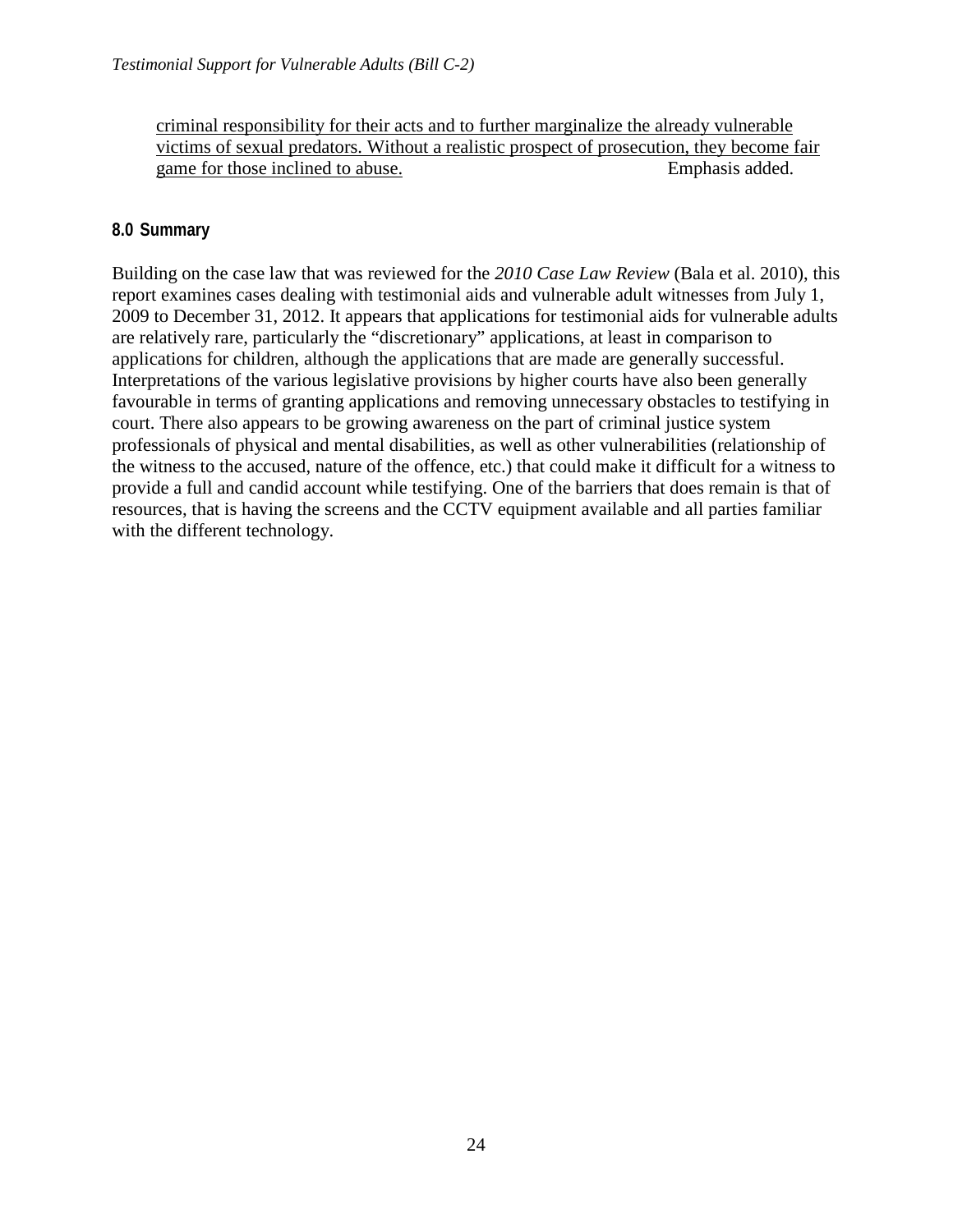criminal responsibility for their acts and to further marginalize the already vulnerable victims of sexual predators. Without a realistic prospect of prosecution, they become fair game for those inclined to abuse. Emphasis added.

#### <span id="page-27-0"></span>**8.0 Summary**

Building on the case law that was reviewed for the *2010 Case Law Review* (Bala et al. 2010), this report examines cases dealing with testimonial aids and vulnerable adult witnesses from July 1, 2009 to December 31, 2012. It appears that applications for testimonial aids for vulnerable adults are relatively rare, particularly the "discretionary" applications, at least in comparison to applications for children, although the applications that are made are generally successful. Interpretations of the various legislative provisions by higher courts have also been generally favourable in terms of granting applications and removing unnecessary obstacles to testifying in court. There also appears to be growing awareness on the part of criminal justice system professionals of physical and mental disabilities, as well as other vulnerabilities (relationship of the witness to the accused, nature of the offence, etc.) that could make it difficult for a witness to provide a full and candid account while testifying. One of the barriers that does remain is that of resources, that is having the screens and the CCTV equipment available and all parties familiar with the different technology.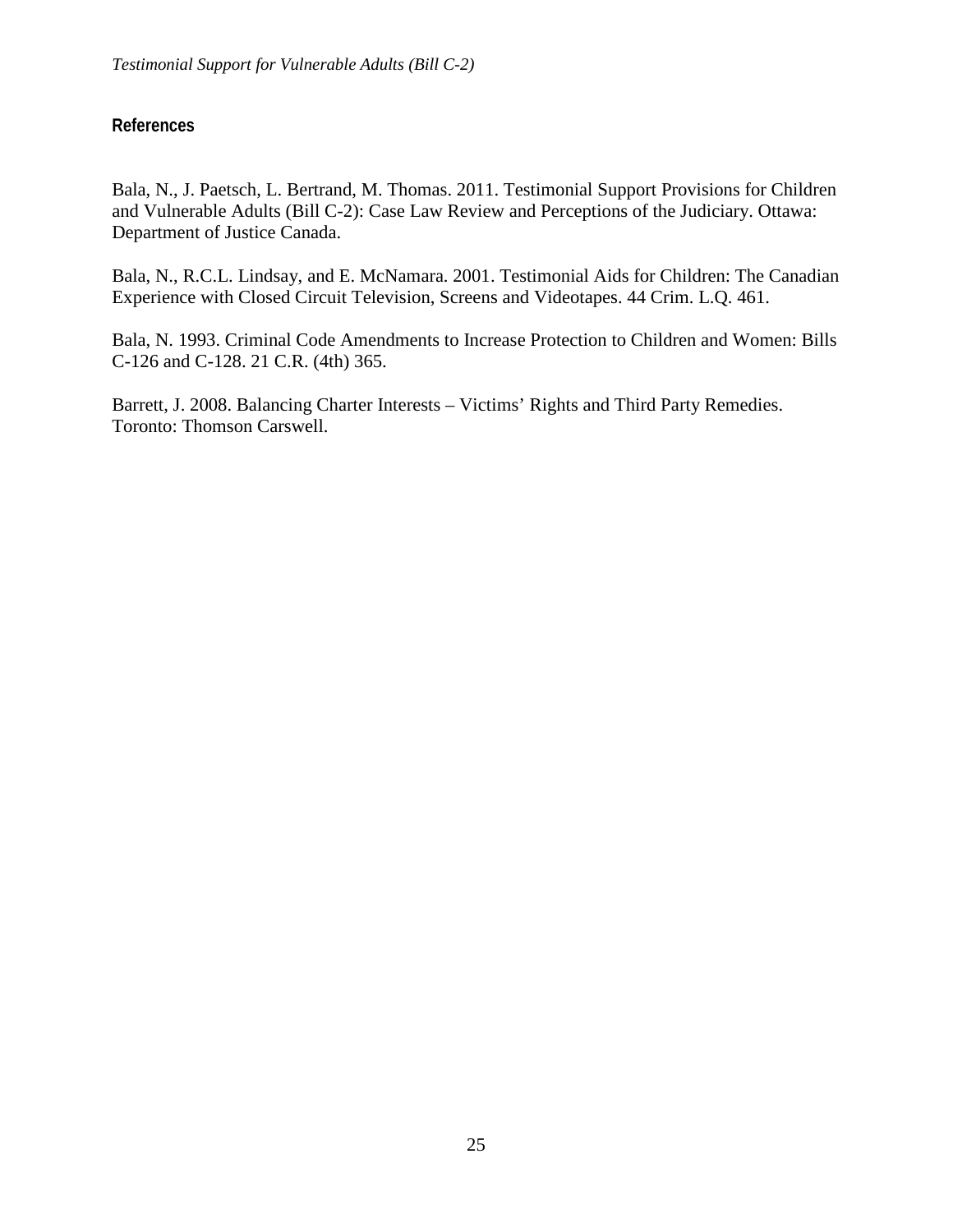#### <span id="page-28-0"></span>**References**

Bala, N., J. Paetsch, L. Bertrand, M. Thomas. 2011. Testimonial Support Provisions for Children and Vulnerable Adults (Bill C-2): Case Law Review and Perceptions of the Judiciary. Ottawa: Department of Justice Canada.

Bala, N., R.C.L. Lindsay, and E. McNamara. 2001. Testimonial Aids for Children: The Canadian Experience with Closed Circuit Television, Screens and Videotapes. 44 Crim. L.Q. 461.

Bala, N. 1993. Criminal Code Amendments to Increase Protection to Children and Women: Bills C-126 and C-128. 21 C.R. (4th) 365.

Barrett, J. 2008. Balancing Charter Interests – Victims' Rights and Third Party Remedies. Toronto: Thomson Carswell.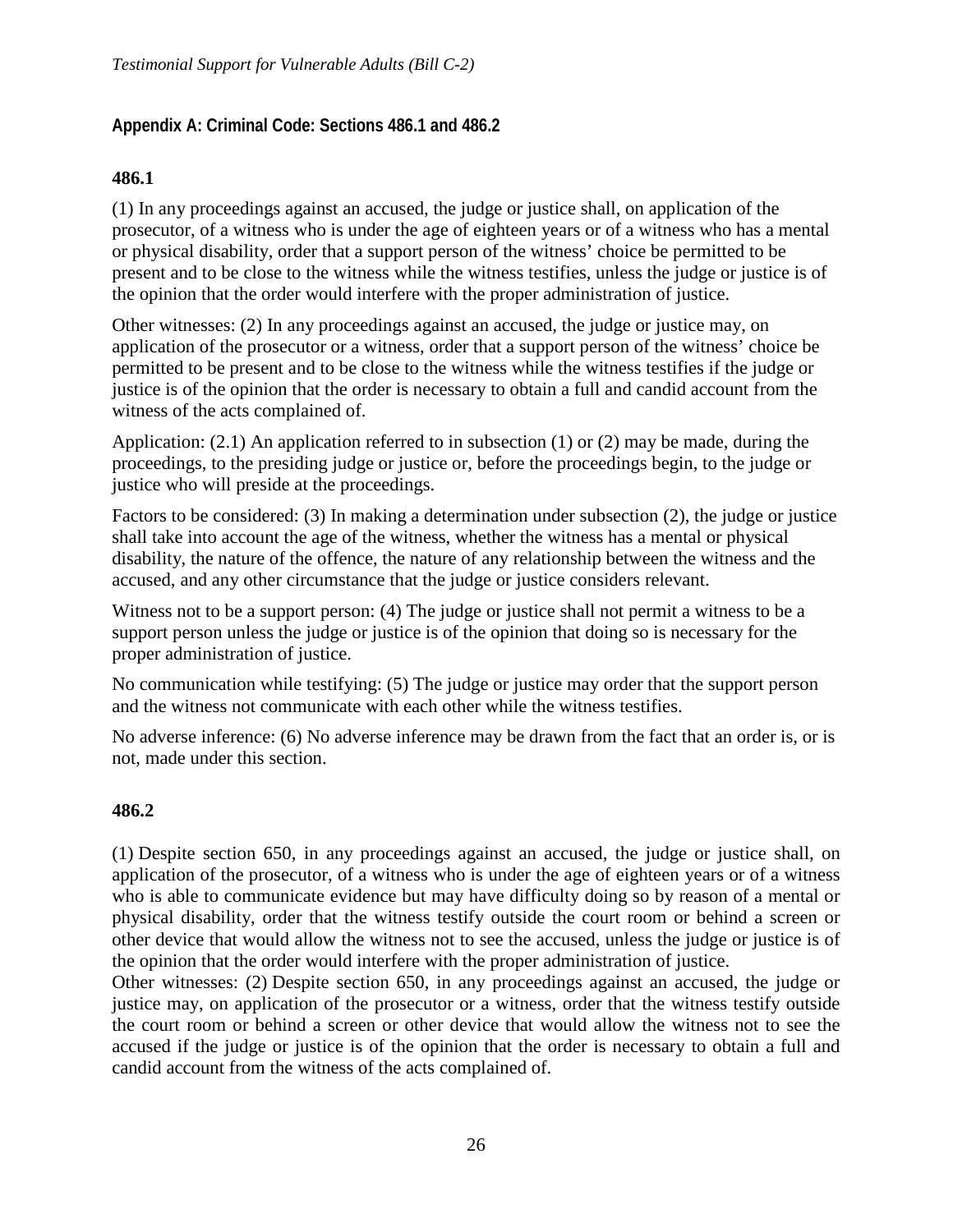## <span id="page-29-0"></span>**Appendix A: Criminal Code: Sections 486.1 and 486.2**

## **486.1**

(1) In any proceedings against an accused, the judge or justice shall, on application of the prosecutor, of a witness who is under the age of eighteen years or of a witness who has a mental or physical disability, order that a support person of the witness' choice be permitted to be present and to be close to the witness while the witness testifies, unless the judge or justice is of the opinion that the order would interfere with the proper administration of justice.

Other witnesses: (2) In any proceedings against an accused, the judge or justice may, on application of the prosecutor or a witness, order that a support person of the witness' choice be permitted to be present and to be close to the witness while the witness testifies if the judge or justice is of the opinion that the order is necessary to obtain a full and candid account from the witness of the acts complained of.

Application: (2.1) An application referred to in subsection (1) or (2) may be made, during the proceedings, to the presiding judge or justice or, before the proceedings begin, to the judge or justice who will preside at the proceedings.

Factors to be considered: (3) In making a determination under subsection (2), the judge or justice shall take into account the age of the witness, whether the witness has a mental or physical disability, the nature of the offence, the nature of any relationship between the witness and the accused, and any other circumstance that the judge or justice considers relevant.

Witness not to be a support person: (4) The judge or justice shall not permit a witness to be a support person unless the judge or justice is of the opinion that doing so is necessary for the proper administration of justice.

No communication while testifying: (5) The judge or justice may order that the support person and the witness not communicate with each other while the witness testifies.

No adverse inference: (6) No adverse inference may be drawn from the fact that an order is, or is not, made under this section.

#### **486.2**

(1) Despite section 650, in any proceedings against an accused, the judge or justice shall, on application of the prosecutor, of a witness who is under the age of eighteen years or of a witness who is able to communicate evidence but may have difficulty doing so by reason of a mental or physical disability, order that the witness testify outside the court room or behind a screen or other device that would allow the witness not to see the accused, unless the judge or justice is of the opinion that the order would interfere with the proper administration of justice.

Other witnesses: (2) Despite section 650, in any proceedings against an accused, the judge or justice may, on application of the prosecutor or a witness, order that the witness testify outside the court room or behind a screen or other device that would allow the witness not to see the accused if the judge or justice is of the opinion that the order is necessary to obtain a full and candid account from the witness of the acts complained of.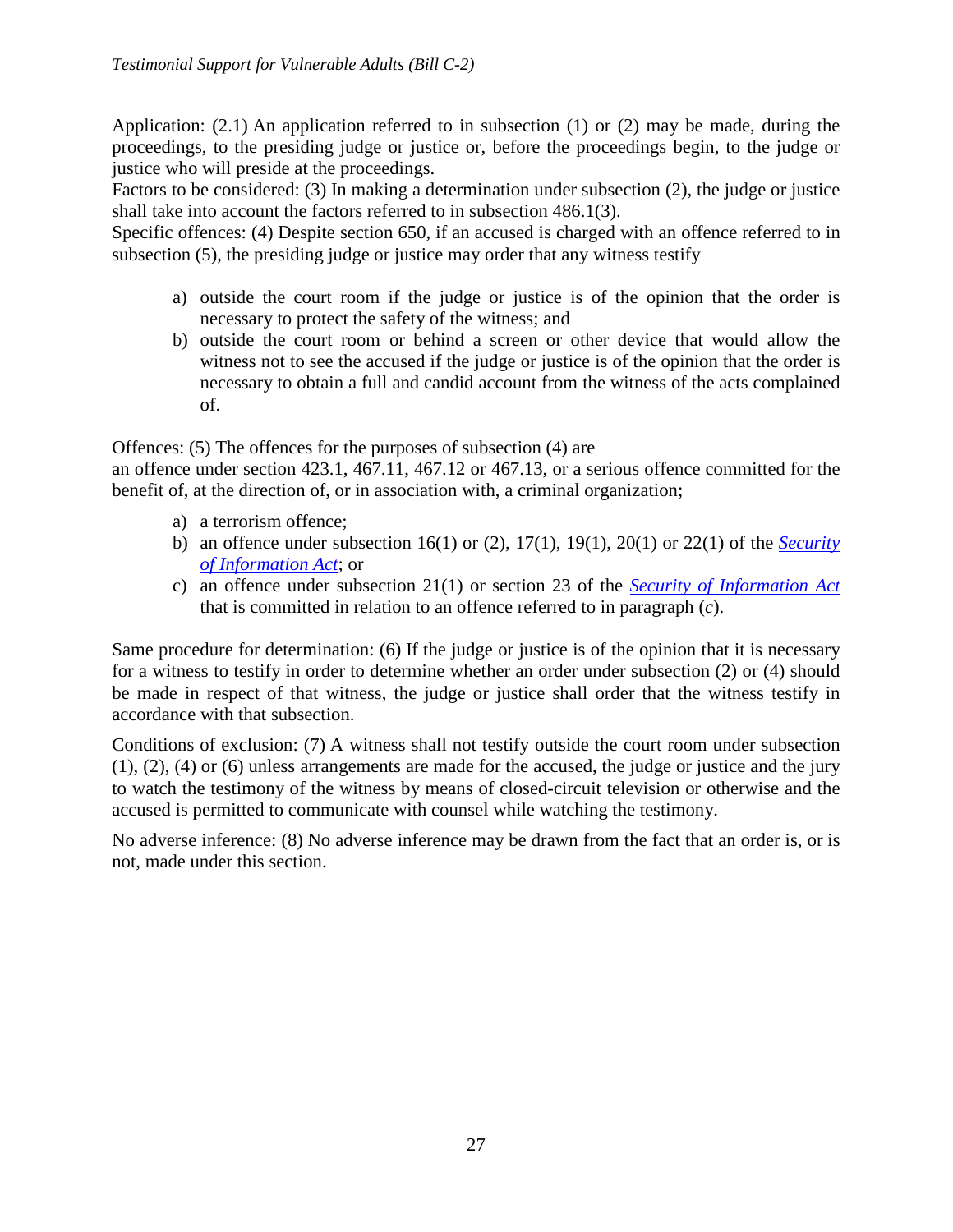Application: (2.1) An application referred to in subsection (1) or (2) may be made, during the proceedings, to the presiding judge or justice or, before the proceedings begin, to the judge or justice who will preside at the proceedings.

Factors to be considered: (3) In making a determination under subsection (2), the judge or justice shall take into account the factors referred to in subsection 486.1(3).

Specific offences: (4) Despite section 650, if an accused is charged with an offence referred to in subsection (5), the presiding judge or justice may order that any witness testify

- a) outside the court room if the judge or justice is of the opinion that the order is necessary to protect the safety of the witness; and
- b) outside the court room or behind a screen or other device that would allow the witness not to see the accused if the judge or justice is of the opinion that the order is necessary to obtain a full and candid account from the witness of the acts complained of.

Offences: (5) The offences for the purposes of subsection (4) are

an offence under section 423.1, 467.11, 467.12 or 467.13, or a serious offence committed for the benefit of, at the direction of, or in association with, a criminal organization;

- a) a terrorism offence;
- b) an offence under subsection 16(1) or (2), 17(1), 19(1), 20(1) or 22(1) of the *[Security](http://laws-lois.justice.gc.ca/eng/acts/O-5)  [of Information Act](http://laws-lois.justice.gc.ca/eng/acts/O-5)*; or
- c) an offence under subsection 21(1) or section 23 of the *[Security of Information Act](http://laws-lois.justice.gc.ca/eng/acts/O-5)* that is committed in relation to an offence referred to in paragraph (*c*).

Same procedure for determination: (6) If the judge or justice is of the opinion that it is necessary for a witness to testify in order to determine whether an order under subsection (2) or (4) should be made in respect of that witness, the judge or justice shall order that the witness testify in accordance with that subsection.

Conditions of exclusion: (7) A witness shall not testify outside the court room under subsection (1), (2), (4) or (6) unless arrangements are made for the accused, the judge or justice and the jury to watch the testimony of the witness by means of closed-circuit television or otherwise and the accused is permitted to communicate with counsel while watching the testimony.

No adverse inference: (8) No adverse inference may be drawn from the fact that an order is, or is not, made under this section.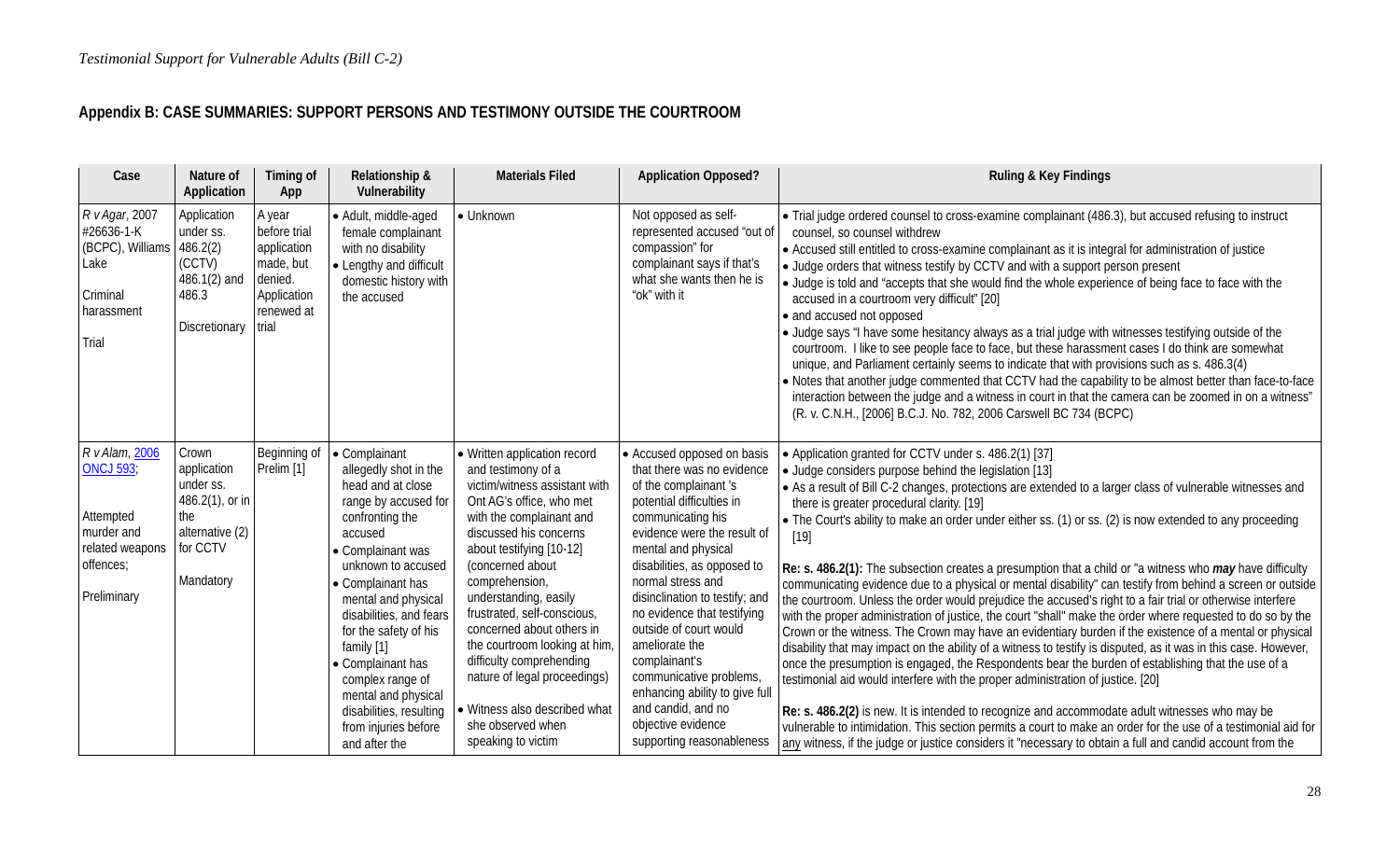## **Appendix B: CASE SUMMARIES: SUPPORT PERSONS AND TESTIMONY OUTSIDE THE COURTROOM**

<span id="page-31-0"></span>

| Case                                                                                                         | Nature of<br>Application                                                                                | Timing of<br>App                                                                                    | Relationship &<br>Vulnerability                                                                                                                                                                                                                                                                                                                                                                                | <b>Materials Filed</b>                                                                                                                                                                                                                                                                                                                                                                                                                                                                                | <b>Application Opposed?</b>                                                                                                                                                                                                                                                                                                                                                                                                                                                                                       | <b>Ruling &amp; Key Findings</b>                                                                                                                                                                                                                                                                                                                                                                                                                                                                                                                                                                                                                                                                                                                                                                                                                                                                                                                                                                                                                                                                                                                                                                                                                                                                                                                                                                                                                                                                                                                                                                              |
|--------------------------------------------------------------------------------------------------------------|---------------------------------------------------------------------------------------------------------|-----------------------------------------------------------------------------------------------------|----------------------------------------------------------------------------------------------------------------------------------------------------------------------------------------------------------------------------------------------------------------------------------------------------------------------------------------------------------------------------------------------------------------|-------------------------------------------------------------------------------------------------------------------------------------------------------------------------------------------------------------------------------------------------------------------------------------------------------------------------------------------------------------------------------------------------------------------------------------------------------------------------------------------------------|-------------------------------------------------------------------------------------------------------------------------------------------------------------------------------------------------------------------------------------------------------------------------------------------------------------------------------------------------------------------------------------------------------------------------------------------------------------------------------------------------------------------|---------------------------------------------------------------------------------------------------------------------------------------------------------------------------------------------------------------------------------------------------------------------------------------------------------------------------------------------------------------------------------------------------------------------------------------------------------------------------------------------------------------------------------------------------------------------------------------------------------------------------------------------------------------------------------------------------------------------------------------------------------------------------------------------------------------------------------------------------------------------------------------------------------------------------------------------------------------------------------------------------------------------------------------------------------------------------------------------------------------------------------------------------------------------------------------------------------------------------------------------------------------------------------------------------------------------------------------------------------------------------------------------------------------------------------------------------------------------------------------------------------------------------------------------------------------------------------------------------------------|
| R v Agar, 2007<br>#26636-1-K<br>(BCPC), Williams<br>Lake<br>Criminal<br>harassment<br>Trial                  | Application<br>under ss.<br>486.2(2)<br>(CCTV)<br>486.1(2) and<br>486.3<br>Discretionary                | A year<br>before trial<br>application<br>made, but<br>denied.<br>Application<br>renewed at<br>trial | · Adult, middle-aged<br>female complainant<br>with no disability<br>• Lengthy and difficult<br>domestic history with<br>the accused                                                                                                                                                                                                                                                                            | • Unknown                                                                                                                                                                                                                                                                                                                                                                                                                                                                                             | Not opposed as self-<br>represented accused "out of<br>compassion" for<br>complainant says if that's<br>what she wants then he is<br>"ok" with it                                                                                                                                                                                                                                                                                                                                                                 | · Trial judge ordered counsel to cross-examine complainant (486.3), but accused refusing to instruct<br>counsel, so counsel withdrew<br>• Accused still entitled to cross-examine complainant as it is integral for administration of justice<br>• Judge orders that witness testify by CCTV and with a support person present<br>• Judge is told and "accepts that she would find the whole experience of being face to face with the<br>accused in a courtroom very difficult" [20]<br>• and accused not opposed<br>• Judge says "I have some hesitancy always as a trial judge with witnesses testifying outside of the<br>courtroom. I like to see people face to face, but these harassment cases I do think are somewhat<br>unique, and Parliament certainly seems to indicate that with provisions such as s. 486.3(4)<br>• Notes that another judge commented that CCTV had the capability to be almost better than face-to-face<br>interaction between the judge and a witness in court in that the camera can be zoomed in on a witness"<br>(R. v. C.N.H., [2006] B.C.J. No. 782, 2006 Carswell BC 734 (BCPC)                                                                                                                                                                                                                                                                                                                                                                                                                                                                                       |
| R v Alam, 2006<br><b>ONCJ 593:</b><br>Attempted<br>murder and<br>related weapons<br>offences;<br>Preliminary | Crown<br>application<br>under ss.<br>486.2(1), or in<br>the<br>alternative (2)<br>for CCTV<br>Mandatory | Beginning of<br>Prelim <sup>[1]</sup>                                                               | • Complainant<br>allegedly shot in the<br>head and at close<br>range by accused for<br>confronting the<br>accused<br>• Complainant was<br>unknown to accused<br>• Complainant has<br>mental and physical<br>disabilities, and fears<br>for the safety of his<br>family [1]<br>• Complainant has<br>complex range of<br>mental and physical<br>disabilities, resulting<br>from injuries before<br>and after the | • Written application record<br>and testimony of a<br>victim/witness assistant with<br>Ont AG's office, who met<br>with the complainant and<br>discussed his concerns<br>about testifying [10-12]<br>(concerned about<br>comprehension,<br>understanding, easily<br>frustrated, self-conscious,<br>concerned about others in<br>the courtroom looking at him,<br>difficulty comprehending<br>nature of legal proceedings)<br>• Witness also described what<br>she observed when<br>speaking to victim | • Accused opposed on basis<br>that there was no evidence<br>of the complainant 's<br>potential difficulties in<br>communicating his<br>evidence were the result of<br>mental and physical<br>disabilities, as opposed to<br>normal stress and<br>disinclination to testify; and<br>no evidence that testifying<br>outside of court would<br>ameliorate the<br>complainant's<br>communicative problems,<br>enhancing ability to give full<br>and candid, and no<br>objective evidence<br>supporting reasonableness | • Application granted for CCTV under s. 486.2(1) [37]<br>• Judge considers purpose behind the legislation [13]<br>• As a result of Bill C-2 changes, protections are extended to a larger class of vulnerable witnesses and<br>there is greater procedural clarity. [19]<br>• The Court's ability to make an order under either ss. (1) or ss. (2) is now extended to any proceeding<br>$[19]$<br>Re: s. 486.2(1): The subsection creates a presumption that a child or "a witness who may have difficulty<br>communicating evidence due to a physical or mental disability" can testify from behind a screen or outside<br>the courtroom. Unless the order would prejudice the accused's right to a fair trial or otherwise interfere<br>with the proper administration of justice, the court "shall" make the order where requested to do so by the<br>Crown or the witness. The Crown may have an evidentiary burden if the existence of a mental or physical<br>disability that may impact on the ability of a witness to testify is disputed, as it was in this case. However,<br>once the presumption is engaged, the Respondents bear the burden of establishing that the use of a<br>testimonial aid would interfere with the proper administration of justice. [20]<br>Re: s. 486.2(2) is new. It is intended to recognize and accommodate adult witnesses who may be<br>vulnerable to intimidation. This section permits a court to make an order for the use of a testimonial aid for<br>any witness, if the judge or justice considers it "necessary to obtain a full and candid account from the |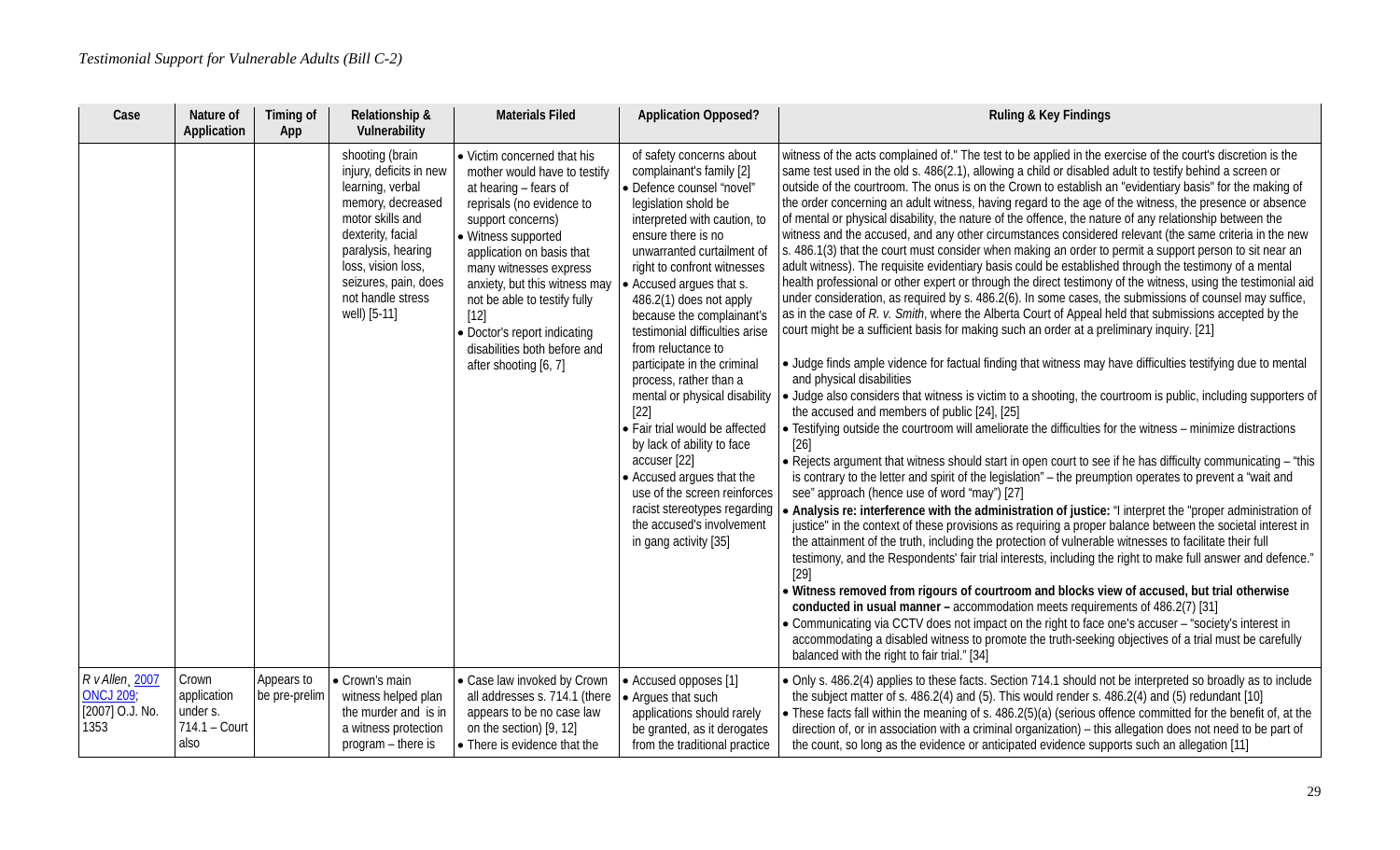| Case                                                           | Nature of<br>Application                                  | Timing of<br>App            | Relationship &<br>Vulnerability                                                                                                                                                                                                       | <b>Materials Filed</b>                                                                                                                                                                                                                                                                                                                                                                                                                | <b>Application Opposed?</b>                                                                                                                                                                                                                                                                                                                                                                                                                                                                                                                                                                                                                                                         | <b>Ruling &amp; Key Findings</b>                                                                                                                                                                                                                                                                                                                                                                                                                                                                                                                                                                                                                                                                                                                                                                                                                                                                                                                                                                                                                                                                                                                                                                                                                                                                                                                                                                                                                                                                                                                                                                                                                                                                                                                                                                                                                                                                                                                                                                                                                                                                                                                                                                                                                                                                                                                                                                                                                                                                                                                                                                                                                                                                                                                                                                                                                                                                                                                              |
|----------------------------------------------------------------|-----------------------------------------------------------|-----------------------------|---------------------------------------------------------------------------------------------------------------------------------------------------------------------------------------------------------------------------------------|---------------------------------------------------------------------------------------------------------------------------------------------------------------------------------------------------------------------------------------------------------------------------------------------------------------------------------------------------------------------------------------------------------------------------------------|-------------------------------------------------------------------------------------------------------------------------------------------------------------------------------------------------------------------------------------------------------------------------------------------------------------------------------------------------------------------------------------------------------------------------------------------------------------------------------------------------------------------------------------------------------------------------------------------------------------------------------------------------------------------------------------|---------------------------------------------------------------------------------------------------------------------------------------------------------------------------------------------------------------------------------------------------------------------------------------------------------------------------------------------------------------------------------------------------------------------------------------------------------------------------------------------------------------------------------------------------------------------------------------------------------------------------------------------------------------------------------------------------------------------------------------------------------------------------------------------------------------------------------------------------------------------------------------------------------------------------------------------------------------------------------------------------------------------------------------------------------------------------------------------------------------------------------------------------------------------------------------------------------------------------------------------------------------------------------------------------------------------------------------------------------------------------------------------------------------------------------------------------------------------------------------------------------------------------------------------------------------------------------------------------------------------------------------------------------------------------------------------------------------------------------------------------------------------------------------------------------------------------------------------------------------------------------------------------------------------------------------------------------------------------------------------------------------------------------------------------------------------------------------------------------------------------------------------------------------------------------------------------------------------------------------------------------------------------------------------------------------------------------------------------------------------------------------------------------------------------------------------------------------------------------------------------------------------------------------------------------------------------------------------------------------------------------------------------------------------------------------------------------------------------------------------------------------------------------------------------------------------------------------------------------------------------------------------------------------------------------------------------------------|
|                                                                |                                                           |                             | shooting (brain<br>injury, deficits in new<br>learning, verbal<br>memory, decreased<br>motor skills and<br>dexterity, facial<br>paralysis, hearing<br>loss, vision loss,<br>seizures, pain, does<br>not handle stress<br>well) [5-11] | • Victim concerned that his<br>mother would have to testify<br>at hearing - fears of<br>reprisals (no evidence to<br>support concerns)<br>• Witness supported<br>application on basis that<br>many witnesses express<br>anxiety, but this witness may $\vert \bullet \vert$ Accused argues that s.<br>not be able to testify fully<br>$[12]$<br>• Doctor's report indicating<br>disabilities both before and<br>after shooting [6, 7] | of safety concerns about<br>complainant's family [2]<br>· Defence counsel "novel"<br>legislation shold be<br>interpreted with caution, to<br>ensure there is no<br>unwarranted curtailment of<br>right to confront witnesses<br>486.2(1) does not apply<br>because the complainant's<br>testimonial difficulties arise<br>from reluctance to<br>participate in the criminal<br>process, rather than a<br>mental or physical disability<br>$[22]$<br>• Fair trial would be affected<br>by lack of ability to face<br>accuser [22]<br>• Accused argues that the<br>use of the screen reinforces<br>racist stereotypes regarding<br>the accused's involvement<br>in gang activity [35] | witness of the acts complained of." The test to be applied in the exercise of the court's discretion is the<br>same test used in the old s. 486(2.1), allowing a child or disabled adult to testify behind a screen or<br>outside of the courtroom. The onus is on the Crown to establish an "evidentiary basis" for the making of<br>the order concerning an adult witness, having regard to the age of the witness, the presence or absence<br>of mental or physical disability, the nature of the offence, the nature of any relationship between the<br>witness and the accused, and any other circumstances considered relevant (the same criteria in the new<br>s. 486.1(3) that the court must consider when making an order to permit a support person to sit near an<br>adult witness). The requisite evidentiary basis could be established through the testimony of a mental<br>health professional or other expert or through the direct testimony of the witness, using the testimonial aid<br>under consideration, as required by s. 486.2(6). In some cases, the submissions of counsel may suffice,<br>as in the case of R. v. Smith, where the Alberta Court of Appeal held that submissions accepted by the<br>court might be a sufficient basis for making such an order at a preliminary inquiry. [21]<br>• Judge finds ample vidence for factual finding that witness may have difficulties testifying due to mental<br>and physical disabilities<br>• Judge also considers that witness is victim to a shooting, the courtroom is public, including supporters of<br>the accused and members of public [24], [25]<br>• Testifying outside the courtroom will ameliorate the difficulties for the witness - minimize distractions<br>$[26]$<br>• Rejects argument that witness should start in open court to see if he has difficulty communicating - "this<br>is contrary to the letter and spirit of the legislation" – the preumption operates to prevent a "wait and<br>see" approach (hence use of word "may") [27]<br>• Analysis re: interference with the administration of justice: "I interpret the "proper administration of<br>justice" in the context of these provisions as requiring a proper balance between the societal interest in<br>the attainment of the truth, including the protection of vulnerable witnesses to facilitate their full<br>testimony, and the Respondents' fair trial interests, including the right to make full answer and defence."<br>$[29]$<br>. Witness removed from rigours of courtroom and blocks view of accused, but trial otherwise<br>conducted in usual manner - accommodation meets requirements of 486.2(7) [31]<br>• Communicating via CCTV does not impact on the right to face one's accuser - "society's interest in<br>accommodating a disabled witness to promote the truth-seeking objectives of a trial must be carefully<br>balanced with the right to fair trial." [34] |
| R v Allen, 2007<br><b>ONCJ 209:</b><br>[2007] O.J. No.<br>1353 | Crown<br>application<br>under s.<br>714.1 - Court<br>also | Appears to<br>be pre-prelim | • Crown's main<br>witness helped plan<br>the murder and is in<br>a witness protection<br>program – there is                                                                                                                           | • Case law invoked by Crown<br>all addresses s. 714.1 (there<br>appears to be no case law<br>on the section) [9, 12]<br>• There is evidence that the                                                                                                                                                                                                                                                                                  | • Accused opposes [1]<br>• Argues that such<br>applications should rarely<br>be granted, as it derogates<br>from the traditional practice                                                                                                                                                                                                                                                                                                                                                                                                                                                                                                                                           | . Only s. 486.2(4) applies to these facts. Section 714.1 should not be interpreted so broadly as to include<br>the subject matter of s. 486.2(4) and (5). This would render s. 486.2(4) and (5) redundant [10]<br>• These facts fall within the meaning of s. 486.2(5)(a) (serious offence committed for the benefit of, at the<br>direction of, or in association with a criminal organization) - this allegation does not need to be part of<br>the count, so long as the evidence or anticipated evidence supports such an allegation [11]                                                                                                                                                                                                                                                                                                                                                                                                                                                                                                                                                                                                                                                                                                                                                                                                                                                                                                                                                                                                                                                                                                                                                                                                                                                                                                                                                                                                                                                                                                                                                                                                                                                                                                                                                                                                                                                                                                                                                                                                                                                                                                                                                                                                                                                                                                                                                                                                                 |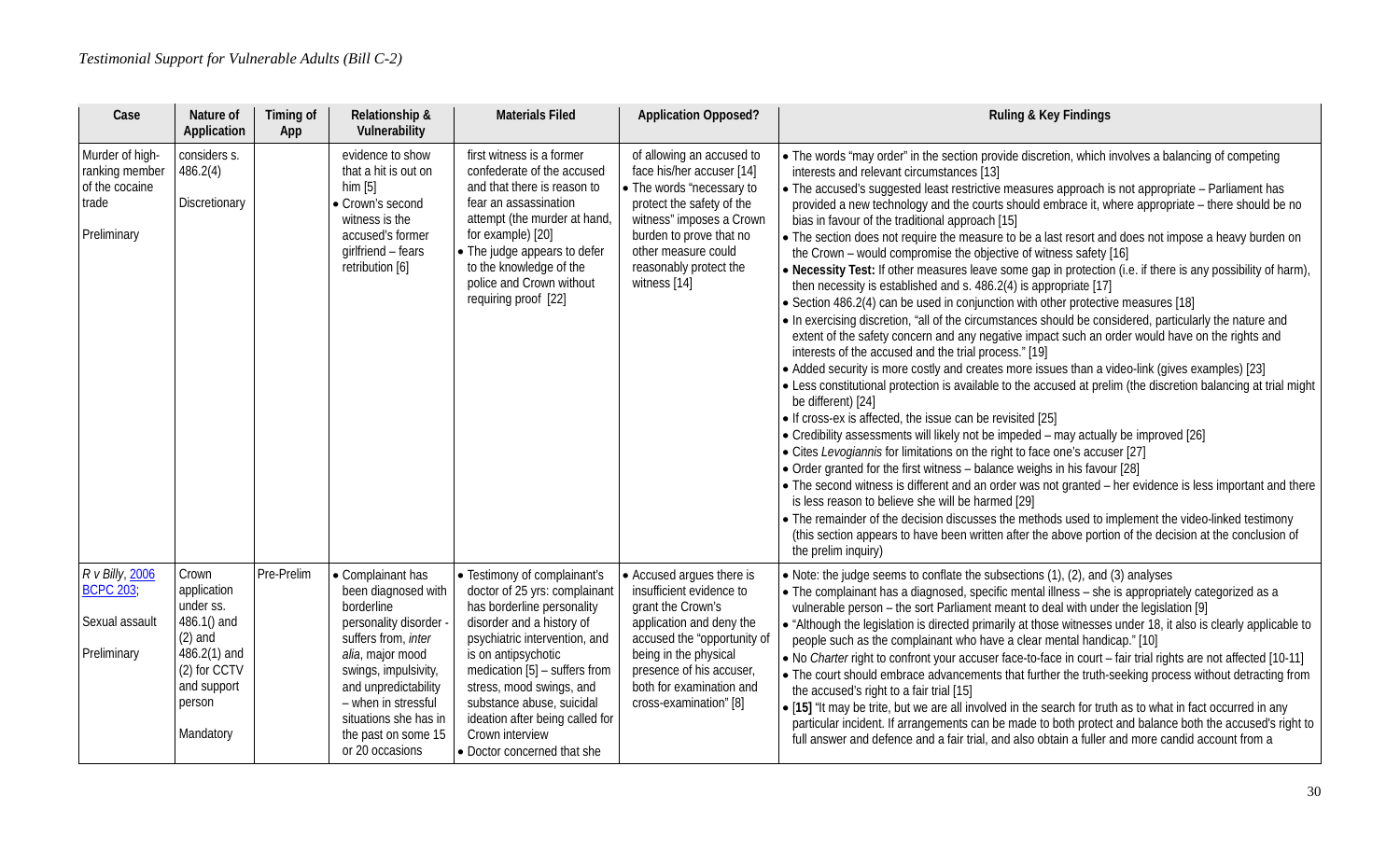| Case                                                                        | Nature of<br>Application                                                                                                            | Timing of<br>App | Relationship &<br>Vulnerability                                                                                                                                                                                                                                       | <b>Materials Filed</b>                                                                                                                                                                                                                                                                                                                                            | <b>Application Opposed?</b>                                                                                                                                                                                                                      | Ruling & Key Findings                                                                                                                                                                                                                                                                                                                                                                                                                                                                                                                                                                                                                                                                                                                                                                                                                                                                                                                                                                                                                                                                                                                                                                                                                                                                                                                                                                                                                                                                                                                                                                                                                                                                                                                                                                                                                                                                                                                                                                                                                                                                                               |
|-----------------------------------------------------------------------------|-------------------------------------------------------------------------------------------------------------------------------------|------------------|-----------------------------------------------------------------------------------------------------------------------------------------------------------------------------------------------------------------------------------------------------------------------|-------------------------------------------------------------------------------------------------------------------------------------------------------------------------------------------------------------------------------------------------------------------------------------------------------------------------------------------------------------------|--------------------------------------------------------------------------------------------------------------------------------------------------------------------------------------------------------------------------------------------------|---------------------------------------------------------------------------------------------------------------------------------------------------------------------------------------------------------------------------------------------------------------------------------------------------------------------------------------------------------------------------------------------------------------------------------------------------------------------------------------------------------------------------------------------------------------------------------------------------------------------------------------------------------------------------------------------------------------------------------------------------------------------------------------------------------------------------------------------------------------------------------------------------------------------------------------------------------------------------------------------------------------------------------------------------------------------------------------------------------------------------------------------------------------------------------------------------------------------------------------------------------------------------------------------------------------------------------------------------------------------------------------------------------------------------------------------------------------------------------------------------------------------------------------------------------------------------------------------------------------------------------------------------------------------------------------------------------------------------------------------------------------------------------------------------------------------------------------------------------------------------------------------------------------------------------------------------------------------------------------------------------------------------------------------------------------------------------------------------------------------|
| Murder of high-<br>ranking member<br>of the cocaine<br>trade<br>Preliminary | considers s.<br>486.2(4)<br>Discretionary                                                                                           |                  | evidence to show<br>that a hit is out on<br>him $[5]$<br>• Crown's second<br>witness is the<br>accused's former<br>girlfriend - fears<br>retribution [6]                                                                                                              | first witness is a former<br>confederate of the accused<br>and that there is reason to<br>fear an assassination<br>attempt (the murder at hand,<br>for example) [20]<br>• The judge appears to defer<br>to the knowledge of the<br>police and Crown without<br>requiring proof [22]                                                                               | of allowing an accused to<br>face his/her accuser [14]<br>• The words "necessary to<br>protect the safety of the<br>witness" imposes a Crown<br>burden to prove that no<br>other measure could<br>reasonably protect the<br>witness [14]         | • The words "may order" in the section provide discretion, which involves a balancing of competing<br>interests and relevant circumstances [13]<br>• The accused's suggested least restrictive measures approach is not appropriate - Parliament has<br>provided a new technology and the courts should embrace it, where appropriate - there should be no<br>bias in favour of the traditional approach [15]<br>• The section does not require the measure to be a last resort and does not impose a heavy burden on<br>the Crown - would compromise the objective of witness safety [16]<br>• Necessity Test: If other measures leave some gap in protection (i.e. if there is any possibility of harm),<br>then necessity is established and s. 486.2(4) is appropriate [17]<br>• Section 486.2(4) can be used in conjunction with other protective measures [18]<br>• In exercising discretion, "all of the circumstances should be considered, particularly the nature and<br>extent of the safety concern and any negative impact such an order would have on the rights and<br>interests of the accused and the trial process." [19]<br>• Added security is more costly and creates more issues than a video-link (gives examples) [23]<br>• Less constitutional protection is available to the accused at prelim (the discretion balancing at trial might<br>be different) [24]<br>• If cross-ex is affected, the issue can be revisited [25]<br>• Credibility assessments will likely not be impeded - may actually be improved [26]<br>• Cites Levogiannis for limitations on the right to face one's accuser [27]<br>• Order granted for the first witness - balance weighs in his favour [28]<br>• The second witness is different and an order was not granted - her evidence is less important and there<br>is less reason to believe she will be harmed [29]<br>• The remainder of the decision discusses the methods used to implement the video-linked testimony<br>(this section appears to have been written after the above portion of the decision at the conclusion of<br>the prelim inquiry) |
| R v Billy, 2006<br><b>BCPC 203</b> ;<br>Sexual assault<br>Preliminary       | Crown<br>application<br>under ss.<br>486.1() and<br>$(2)$ and<br>486.2(1) and<br>(2) for CCTV<br>and support<br>person<br>Mandatory | Pre-Prelim       | • Complainant has<br>been diagnosed with<br>borderline<br>personality disorder -<br>suffers from, inter<br>alia, major mood<br>swings, impulsivity,<br>and unpredictability<br>- when in stressful<br>situations she has in<br>the past on some 15<br>or 20 occasions | • Testimony of complainant's<br>doctor of 25 yrs: complainant<br>has borderline personality<br>disorder and a history of<br>psychiatric intervention, and<br>is on antipsychotic<br>medication $[5]$ – suffers from<br>stress, mood swings, and<br>substance abuse, suicidal<br>ideation after being called for<br>Crown interview<br>• Doctor concerned that she | • Accused argues there is<br>insufficient evidence to<br>grant the Crown's<br>application and deny the<br>accused the "opportunity of<br>being in the physical<br>presence of his accuser,<br>both for examination and<br>cross-examination" [8] | • Note: the judge seems to conflate the subsections (1), (2), and (3) analyses<br>• The complainant has a diagnosed, specific mental illness - she is appropriately categorized as a<br>vulnerable person - the sort Parliament meant to deal with under the legislation [9]<br>• "Although the legislation is directed primarily at those witnesses under 18, it also is clearly applicable to<br>people such as the complainant who have a clear mental handicap." [10]<br>• No Charter right to confront your accuser face-to-face in court - fair trial rights are not affected [10-11]<br>• The court should embrace advancements that further the truth-seeking process without detracting from<br>the accused's right to a fair trial [15]<br>• [15] "It may be trite, but we are all involved in the search for truth as to what in fact occurred in any<br>particular incident. If arrangements can be made to both protect and balance both the accused's right to<br>full answer and defence and a fair trial, and also obtain a fuller and more candid account from a                                                                                                                                                                                                                                                                                                                                                                                                                                                                                                                                                                                                                                                                                                                                                                                                                                                                                                                                                                                                                                   |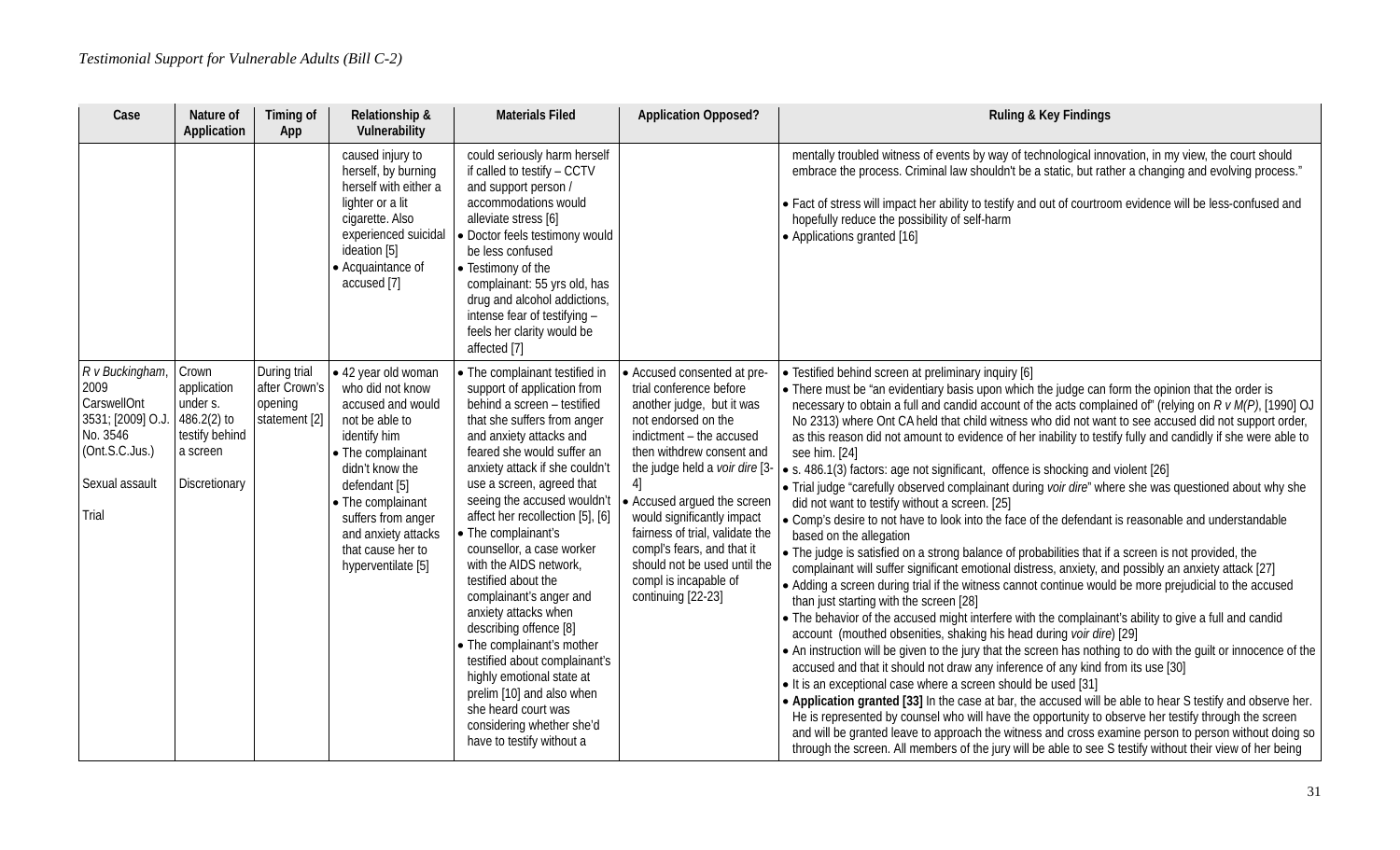| Case                                                                                                                | Nature of<br>Application                                                                         | Timing of<br>App                                          | Relationship &<br>Vulnerability                                                                                                                                                                                                                                      | <b>Materials Filed</b>                                                                                                                                                                                                                                                                                                                                                                                                                                                                                                                                                                                                                                                                                             | <b>Application Opposed?</b>                                                                                                                                                                                                                                                                                                                                                                                             | Ruling & Key Findings                                                                                                                                                                                                                                                                                                                                                                                                                                                                                                                                                                                                                                                                                                                                                                                                                                                                                                                                                                                                                                                                                                                                                                                                                                                                                                                                                                                                                                                                                                                                                                                                                                                                                                                                                                                                                                                                                                                                                                                                                                                                                                                                                              |
|---------------------------------------------------------------------------------------------------------------------|--------------------------------------------------------------------------------------------------|-----------------------------------------------------------|----------------------------------------------------------------------------------------------------------------------------------------------------------------------------------------------------------------------------------------------------------------------|--------------------------------------------------------------------------------------------------------------------------------------------------------------------------------------------------------------------------------------------------------------------------------------------------------------------------------------------------------------------------------------------------------------------------------------------------------------------------------------------------------------------------------------------------------------------------------------------------------------------------------------------------------------------------------------------------------------------|-------------------------------------------------------------------------------------------------------------------------------------------------------------------------------------------------------------------------------------------------------------------------------------------------------------------------------------------------------------------------------------------------------------------------|------------------------------------------------------------------------------------------------------------------------------------------------------------------------------------------------------------------------------------------------------------------------------------------------------------------------------------------------------------------------------------------------------------------------------------------------------------------------------------------------------------------------------------------------------------------------------------------------------------------------------------------------------------------------------------------------------------------------------------------------------------------------------------------------------------------------------------------------------------------------------------------------------------------------------------------------------------------------------------------------------------------------------------------------------------------------------------------------------------------------------------------------------------------------------------------------------------------------------------------------------------------------------------------------------------------------------------------------------------------------------------------------------------------------------------------------------------------------------------------------------------------------------------------------------------------------------------------------------------------------------------------------------------------------------------------------------------------------------------------------------------------------------------------------------------------------------------------------------------------------------------------------------------------------------------------------------------------------------------------------------------------------------------------------------------------------------------------------------------------------------------------------------------------------------------|
|                                                                                                                     |                                                                                                  |                                                           | caused injury to<br>herself, by burning<br>herself with either a<br>lighter or a lit<br>cigarette. Also<br>experienced suicidal<br>ideation [5]<br>• Acquaintance of<br>accused [7]                                                                                  | could seriously harm herself<br>if called to testify - CCTV<br>and support person /<br>accommodations would<br>alleviate stress [6]<br>• Doctor feels testimony would<br>be less confused<br>• Testimony of the<br>complainant: 55 yrs old, has<br>drug and alcohol addictions,<br>intense fear of testifying -<br>feels her clarity would be<br>affected [7]                                                                                                                                                                                                                                                                                                                                                      |                                                                                                                                                                                                                                                                                                                                                                                                                         | mentally troubled witness of events by way of technological innovation, in my view, the court should<br>embrace the process. Criminal law shouldn't be a static, but rather a changing and evolving process."<br>. Fact of stress will impact her ability to testify and out of courtroom evidence will be less-confused and<br>hopefully reduce the possibility of self-harm<br>• Applications granted [16]                                                                                                                                                                                                                                                                                                                                                                                                                                                                                                                                                                                                                                                                                                                                                                                                                                                                                                                                                                                                                                                                                                                                                                                                                                                                                                                                                                                                                                                                                                                                                                                                                                                                                                                                                                       |
| R v Buckingham,<br>2009<br>CarswellOnt<br>3531; [2009] O.J<br>No. 3546<br>(Ont.S.C.Jus.)<br>Sexual assault<br>Trial | Crown<br>application<br>under s.<br>$486.2(2)$ to<br>testify behind<br>a screen<br>Discretionary | During trial<br>after Crown's<br>opening<br>statement [2] | • 42 year old woman<br>who did not know<br>accused and would<br>not be able to<br>identify him<br>• The complainant<br>didn't know the<br>defendant [5]<br>• The complainant<br>suffers from anger<br>and anxiety attacks<br>that cause her to<br>hyperventilate [5] | • The complainant testified in<br>support of application from<br>behind a screen - testified<br>that she suffers from anger<br>and anxiety attacks and<br>feared she would suffer an<br>anxiety attack if she couldn't<br>use a screen, agreed that<br>seeing the accused wouldn't<br>affect her recollection [5], [6]<br>• The complainant's<br>counsellor, a case worker<br>with the AIDS network,<br>testified about the<br>complainant's anger and<br>anxiety attacks when<br>describing offence [8]<br>• The complainant's mother<br>testified about complainant's<br>highly emotional state at<br>prelim [10] and also when<br>she heard court was<br>considering whether she'd<br>have to testify without a | • Accused consented at pre-<br>trial conference before<br>another judge, but it was<br>not endorsed on the<br>indictment - the accused<br>then withdrew consent and<br>the judge held a voir dire [3-<br>4<br>• Accused argued the screen<br>would significantly impact<br>fairness of trial, validate the<br>compl's fears, and that it<br>should not be used until the<br>compl is incapable of<br>continuing [22-23] | • Testified behind screen at preliminary inquiry [6]<br>• There must be "an evidentiary basis upon which the judge can form the opinion that the order is<br>necessary to obtain a full and candid account of the acts complained of" (relying on R v M(P), [1990] OJ<br>No 2313) where Ont CA held that child witness who did not want to see accused did not support order,<br>as this reason did not amount to evidence of her inability to testify fully and candidly if she were able to<br>see him. [24]<br>$\bullet$ s. 486.1(3) factors: age not significant, offence is shocking and violent [26]<br>• Trial judge "carefully observed complainant during voir dire" where she was questioned about why she<br>did not want to testify without a screen. [25]<br>• Comp's desire to not have to look into the face of the defendant is reasonable and understandable<br>based on the allegation<br>• The judge is satisfied on a strong balance of probabilities that if a screen is not provided, the<br>complainant will suffer significant emotional distress, anxiety, and possibly an anxiety attack [27]<br>• Adding a screen during trial if the witness cannot continue would be more prejudicial to the accused<br>than just starting with the screen [28]<br>• The behavior of the accused might interfere with the complainant's ability to give a full and candid<br>account (mouthed obsenities, shaking his head during voir dire) [29]<br>• An instruction will be given to the jury that the screen has nothing to do with the guilt or innocence of the<br>accused and that it should not draw any inference of any kind from its use [30]<br>• It is an exceptional case where a screen should be used [31]<br>• Application granted [33] In the case at bar, the accused will be able to hear S testify and observe her.<br>He is represented by counsel who will have the opportunity to observe her testify through the screen<br>and will be granted leave to approach the witness and cross examine person to person without doing so<br>through the screen. All members of the jury will be able to see S testify without their view of her being |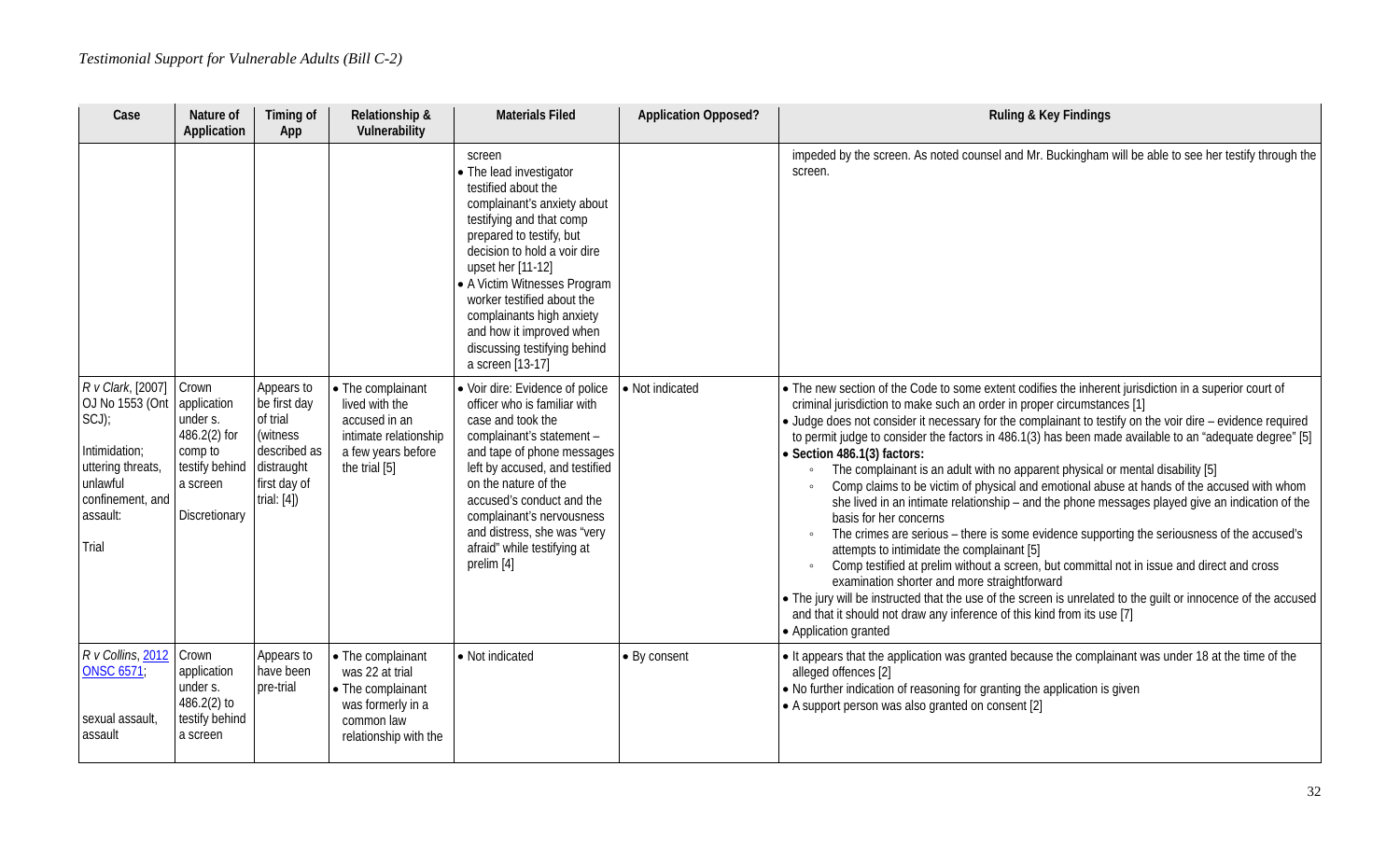| Case                                                                                                                                                             | Nature of<br>Application                                                           | Timing of<br>App                                                                                                 | Relationship &<br>Vulnerability                                                                                       | <b>Materials Filed</b>                                                                                                                                                                                                                                                                                                                                                          | <b>Application Opposed?</b> | <b>Ruling &amp; Key Findings</b>                                                                                                                                                                                                                                                                                                                                                                                                                                                                                                                                                                                                                                                                                                                                                                                                                                                                                                                                                                                                                                                                                                                                                                                                                                                              |
|------------------------------------------------------------------------------------------------------------------------------------------------------------------|------------------------------------------------------------------------------------|------------------------------------------------------------------------------------------------------------------|-----------------------------------------------------------------------------------------------------------------------|---------------------------------------------------------------------------------------------------------------------------------------------------------------------------------------------------------------------------------------------------------------------------------------------------------------------------------------------------------------------------------|-----------------------------|-----------------------------------------------------------------------------------------------------------------------------------------------------------------------------------------------------------------------------------------------------------------------------------------------------------------------------------------------------------------------------------------------------------------------------------------------------------------------------------------------------------------------------------------------------------------------------------------------------------------------------------------------------------------------------------------------------------------------------------------------------------------------------------------------------------------------------------------------------------------------------------------------------------------------------------------------------------------------------------------------------------------------------------------------------------------------------------------------------------------------------------------------------------------------------------------------------------------------------------------------------------------------------------------------|
|                                                                                                                                                                  |                                                                                    |                                                                                                                  |                                                                                                                       | screen<br>• The lead investigator<br>testified about the<br>complainant's anxiety about<br>testifying and that comp<br>prepared to testify, but<br>decision to hold a voir dire<br>upset her [11-12]<br>• A Victim Witnesses Program<br>worker testified about the<br>complainants high anxiety<br>and how it improved when<br>discussing testifying behind<br>a screen [13-17] |                             | impeded by the screen. As noted counsel and Mr. Buckingham will be able to see her testify through the<br>screen.                                                                                                                                                                                                                                                                                                                                                                                                                                                                                                                                                                                                                                                                                                                                                                                                                                                                                                                                                                                                                                                                                                                                                                             |
| $R$ v Clark, [2007] Crown<br>OJ No 1553 (Ont   application<br>$SCJ$ ;<br>Intimidation;<br>uttering threats,<br>unlawful<br>confinement, and<br>assault:<br>Trial | under s.<br>486.2(2) for<br>comp to<br>testify behind<br>a screen<br>Discretionary | Appears to<br>be first day<br>of trial<br>(witness<br>described as<br>distraught<br>first day of<br>trial: $[4]$ | • The complainant<br>lived with the<br>accused in an<br>intimate relationship<br>a few years before<br>the trial [5]  | • Voir dire: Evidence of police<br>officer who is familiar with<br>case and took the<br>complainant's statement -<br>and tape of phone messages<br>left by accused, and testified<br>on the nature of the<br>accused's conduct and the<br>complainant's nervousness<br>and distress, she was "very<br>afraid" while testifying at<br>prelim [4]                                 | • Not indicated             | • The new section of the Code to some extent codifies the inherent jurisdiction in a superior court of<br>criminal jurisdiction to make such an order in proper circumstances [1]<br>• Judge does not consider it necessary for the complainant to testify on the voir dire - evidence required<br>to permit judge to consider the factors in 486.1(3) has been made available to an "adequate degree" [5]<br>• Section 486.1(3) factors:<br>The complainant is an adult with no apparent physical or mental disability [5]<br>Comp claims to be victim of physical and emotional abuse at hands of the accused with whom<br>she lived in an intimate relationship - and the phone messages played give an indication of the<br>basis for her concerns<br>The crimes are serious - there is some evidence supporting the seriousness of the accused's<br>$\circ$<br>attempts to intimidate the complainant [5]<br>Comp testified at prelim without a screen, but committal not in issue and direct and cross<br>$\circ$<br>examination shorter and more straightforward<br>• The jury will be instructed that the use of the screen is unrelated to the guilt or innocence of the accused<br>and that it should not draw any inference of this kind from its use [7]<br>• Application granted |
| R v Collins, 2012 Crown<br><b>ONSC 6571;</b><br>sexual assault,<br>assault                                                                                       | application<br>under s.<br>486.2(2) to<br>testify behind<br>a screen               | Appears to<br>have been<br>pre-trial                                                                             | • The complainant<br>was 22 at trial<br>• The complainant<br>was formerly in a<br>common law<br>relationship with the | • Not indicated                                                                                                                                                                                                                                                                                                                                                                 | • By consent                | • It appears that the application was granted because the complainant was under 18 at the time of the<br>alleged offences [2]<br>• No further indication of reasoning for granting the application is given<br>• A support person was also granted on consent [2]                                                                                                                                                                                                                                                                                                                                                                                                                                                                                                                                                                                                                                                                                                                                                                                                                                                                                                                                                                                                                             |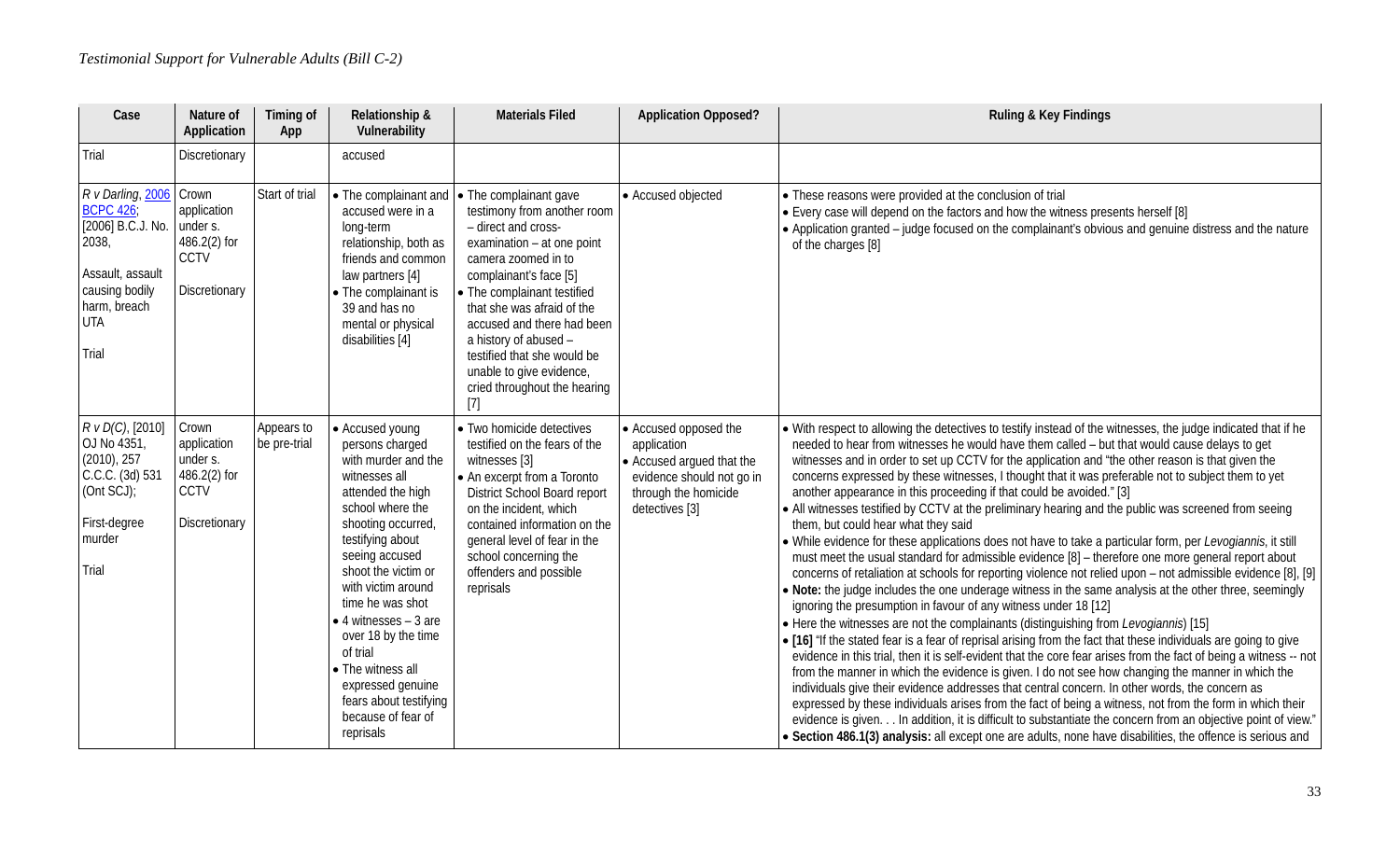| Case                                                                                                                                                   | Nature of<br>Application                                                  | Timing of<br>App           | Relationship &<br>Vulnerability                                                                                                                                                                                                                                                                                                                                                                                             | <b>Materials Filed</b>                                                                                                                                                                                                                                                                                                                                                                    | <b>Application Opposed?</b>                                                                                                              | <b>Ruling &amp; Key Findings</b>                                                                                                                                                                                                                                                                                                                                                                                                                                                                                                                                                                                                                                                                                                                                                                                                                                                                                                                                                                                                                                                                                                                                                                                                                                                                                                                                                                                                                                                                                                                                                                                                                                                                                                                                                                                                                                                                                                                                                                                                                   |
|--------------------------------------------------------------------------------------------------------------------------------------------------------|---------------------------------------------------------------------------|----------------------------|-----------------------------------------------------------------------------------------------------------------------------------------------------------------------------------------------------------------------------------------------------------------------------------------------------------------------------------------------------------------------------------------------------------------------------|-------------------------------------------------------------------------------------------------------------------------------------------------------------------------------------------------------------------------------------------------------------------------------------------------------------------------------------------------------------------------------------------|------------------------------------------------------------------------------------------------------------------------------------------|----------------------------------------------------------------------------------------------------------------------------------------------------------------------------------------------------------------------------------------------------------------------------------------------------------------------------------------------------------------------------------------------------------------------------------------------------------------------------------------------------------------------------------------------------------------------------------------------------------------------------------------------------------------------------------------------------------------------------------------------------------------------------------------------------------------------------------------------------------------------------------------------------------------------------------------------------------------------------------------------------------------------------------------------------------------------------------------------------------------------------------------------------------------------------------------------------------------------------------------------------------------------------------------------------------------------------------------------------------------------------------------------------------------------------------------------------------------------------------------------------------------------------------------------------------------------------------------------------------------------------------------------------------------------------------------------------------------------------------------------------------------------------------------------------------------------------------------------------------------------------------------------------------------------------------------------------------------------------------------------------------------------------------------------------|
| Trial                                                                                                                                                  | Discretionary                                                             |                            | accused                                                                                                                                                                                                                                                                                                                                                                                                                     |                                                                                                                                                                                                                                                                                                                                                                                           |                                                                                                                                          |                                                                                                                                                                                                                                                                                                                                                                                                                                                                                                                                                                                                                                                                                                                                                                                                                                                                                                                                                                                                                                                                                                                                                                                                                                                                                                                                                                                                                                                                                                                                                                                                                                                                                                                                                                                                                                                                                                                                                                                                                                                    |
| R v Darling, 2006 Crown<br><b>BCPC 426:</b><br>[2006] B.C.J. No.<br>2038,<br>Assault, assault<br>causing bodily<br>harm, breach<br><b>UTA</b><br>Trial | application<br>under s.<br>486.2(2) for<br>CCTV<br>Discretionary          | Start of trial             | • The complainant and<br>accused were in a<br>long-term<br>relationship, both as<br>friends and common<br>law partners [4]<br>• The complainant is<br>39 and has no<br>mental or physical<br>disabilities [4]                                                                                                                                                                                                               | $\bullet$ The complainant gave<br>testimony from another room<br>- direct and cross-<br>examination - at one point<br>camera zoomed in to<br>complainant's face [5]<br>• The complainant testified<br>that she was afraid of the<br>accused and there had been<br>a history of abused -<br>testified that she would be<br>unable to give evidence,<br>cried throughout the hearing<br>[7] | • Accused objected                                                                                                                       | • These reasons were provided at the conclusion of trial<br>• Every case will depend on the factors and how the witness presents herself [8]<br>• Application granted - judge focused on the complainant's obvious and genuine distress and the nature<br>of the charges [8]                                                                                                                                                                                                                                                                                                                                                                                                                                                                                                                                                                                                                                                                                                                                                                                                                                                                                                                                                                                                                                                                                                                                                                                                                                                                                                                                                                                                                                                                                                                                                                                                                                                                                                                                                                       |
| $R \vee D(C)$ , [2010]<br>OJ No 4351<br>$(2010)$ , $257$<br>C.C.C. (3d) 531<br>(Ont SCJ);<br>First-degree<br>murder<br>Trial                           | Crown<br>application<br>under s.<br>486.2(2) for<br>CCTV<br>Discretionary | Appears to<br>be pre-trial | • Accused young<br>persons charged<br>with murder and the<br>witnesses all<br>attended the high<br>school where the<br>shooting occurred,<br>testifying about<br>seeing accused<br>shoot the victim or<br>with victim around<br>time he was shot<br>$\bullet$ 4 witnesses - 3 are<br>over 18 by the time<br>of trial<br>• The witness all<br>expressed genuine<br>fears about testifying<br>because of fear of<br>reprisals | • Two homicide detectives<br>testified on the fears of the<br>witnesses [3]<br>• An excerpt from a Toronto<br><b>District School Board report</b><br>on the incident, which<br>contained information on the<br>general level of fear in the<br>school concerning the<br>offenders and possible<br>reprisals                                                                               | • Accused opposed the<br>application<br>• Accused argued that the<br>evidence should not go in<br>through the homicide<br>detectives [3] | . With respect to allowing the detectives to testify instead of the witnesses, the judge indicated that if he<br>needed to hear from witnesses he would have them called - but that would cause delays to get<br>witnesses and in order to set up CCTV for the application and "the other reason is that given the<br>concerns expressed by these witnesses, I thought that it was preferable not to subject them to yet<br>another appearance in this proceeding if that could be avoided." [3]<br>• All witnesses testified by CCTV at the preliminary hearing and the public was screened from seeing<br>them, but could hear what they said<br>. While evidence for these applications does not have to take a particular form, per Levogiannis, it still<br>must meet the usual standard for admissible evidence [8] - therefore one more general report about<br>concerns of retaliation at schools for reporting violence not relied upon – not admissible evidence [8], [9]<br>• Note: the judge includes the one underage witness in the same analysis at the other three, seemingly<br>ignoring the presumption in favour of any witness under 18 [12]<br>• Here the witnesses are not the complainants (distinguishing from Levogiannis) [15]<br>. [16] "If the stated fear is a fear of reprisal arising from the fact that these individuals are going to give<br>evidence in this trial, then it is self-evident that the core fear arises from the fact of being a witness -- not<br>from the manner in which the evidence is given. I do not see how changing the manner in which the<br>individuals give their evidence addresses that central concern. In other words, the concern as<br>expressed by these individuals arises from the fact of being a witness, not from the form in which their<br>evidence is given. In addition, it is difficult to substantiate the concern from an objective point of view."<br>• Section 486.1(3) analysis: all except one are adults, none have disabilities, the offence is serious and |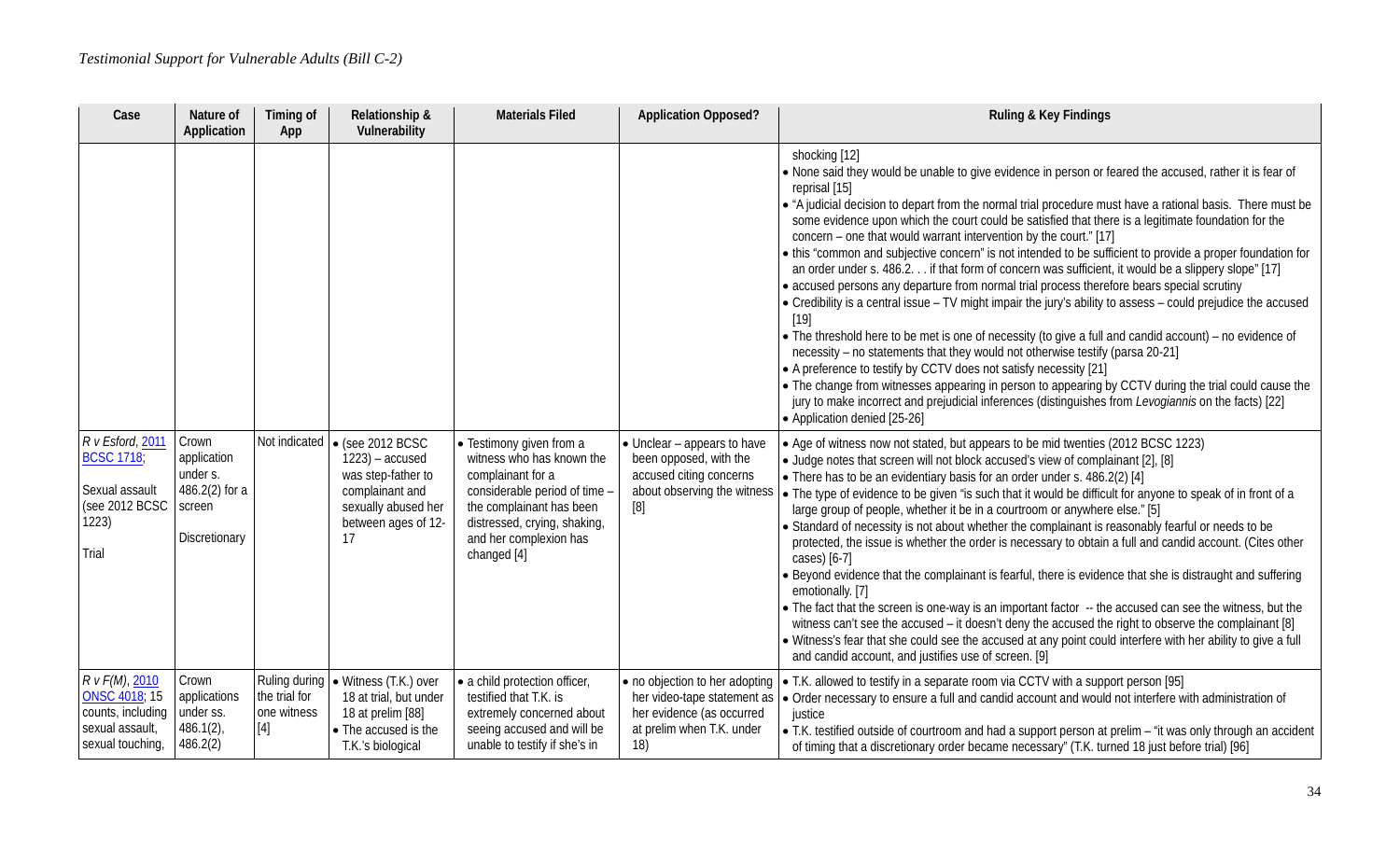| Case                                                                                                                   | Nature of<br>Application                                                         | Timing of<br>App                      | Relationship &<br>Vulnerability                                                                                                                     | <b>Materials Filed</b>                                                                                                                                                                                           | <b>Application Opposed?</b>                                                                                                    | <b>Ruling &amp; Key Findings</b>                                                                                                                                                                                                                                                                                                                                                                                                                                                                                                                                                                                                                                                                                                                                                                                                                                                                                                                                                                                                                                                                                                                                                                                                                                                                                                                                                                      |
|------------------------------------------------------------------------------------------------------------------------|----------------------------------------------------------------------------------|---------------------------------------|-----------------------------------------------------------------------------------------------------------------------------------------------------|------------------------------------------------------------------------------------------------------------------------------------------------------------------------------------------------------------------|--------------------------------------------------------------------------------------------------------------------------------|-------------------------------------------------------------------------------------------------------------------------------------------------------------------------------------------------------------------------------------------------------------------------------------------------------------------------------------------------------------------------------------------------------------------------------------------------------------------------------------------------------------------------------------------------------------------------------------------------------------------------------------------------------------------------------------------------------------------------------------------------------------------------------------------------------------------------------------------------------------------------------------------------------------------------------------------------------------------------------------------------------------------------------------------------------------------------------------------------------------------------------------------------------------------------------------------------------------------------------------------------------------------------------------------------------------------------------------------------------------------------------------------------------|
|                                                                                                                        |                                                                                  |                                       |                                                                                                                                                     |                                                                                                                                                                                                                  |                                                                                                                                | shocking [12]<br>• None said they would be unable to give evidence in person or feared the accused, rather it is fear of<br>reprisal [15]<br>• "A judicial decision to depart from the normal trial procedure must have a rational basis. There must be<br>some evidence upon which the court could be satisfied that there is a legitimate foundation for the<br>concern – one that would warrant intervention by the court." $[17]$<br>• this "common and subjective concern" is not intended to be sufficient to provide a proper foundation for<br>an order under s. 486.2. if that form of concern was sufficient, it would be a slippery slope" [17]<br>• accused persons any departure from normal trial process therefore bears special scrutiny<br>• Credibility is a central issue – TV might impair the jury's ability to assess – could prejudice the accused<br>$[19]$<br>• The threshold here to be met is one of necessity (to give a full and candid account) – no evidence of<br>necessity - no statements that they would not otherwise testify (parsa 20-21)<br>• A preference to testify by CCTV does not satisfy necessity [21]<br>• The change from witnesses appearing in person to appearing by CCTV during the trial could cause the<br>jury to make incorrect and prejudicial inferences (distinguishes from Levogiannis on the facts) [22]<br>• Application denied [25-26] |
| R v Esford, 2011<br><b>BCSC 1718</b><br>Sexual assault<br>(see 2012 BCSC<br>1223)<br>Trial                             | Crown<br>application<br>under s.<br>486.2 $(2)$ for a<br>screen<br>Discretionary |                                       | Not indicated   • (see 2012 BCSC<br>$1223$ ) – accused<br>was step-father to<br>complainant and<br>sexually abused her<br>between ages of 12-<br>17 | • Testimony given from a<br>witness who has known the<br>complainant for a<br>considerable period of time -<br>the complainant has been<br>distressed, crying, shaking,<br>and her complexion has<br>changed [4] | $\bullet$ Unclear – appears to have<br>been opposed, with the<br>accused citing concerns<br>about observing the witness<br>[8] | • Age of witness now not stated, but appears to be mid twenties (2012 BCSC 1223)<br>• Judge notes that screen will not block accused's view of complainant [2], [8]<br>• There has to be an evidentiary basis for an order under s. 486.2(2) [4]<br>• The type of evidence to be given "is such that it would be difficult for anyone to speak of in front of a<br>large group of people, whether it be in a courtroom or anywhere else." [5]<br>• Standard of necessity is not about whether the complainant is reasonably fearful or needs to be<br>protected, the issue is whether the order is necessary to obtain a full and candid account. (Cites other<br>cases) [6-7]<br>• Beyond evidence that the complainant is fearful, there is evidence that she is distraught and suffering<br>emotionally. [7]<br>• The fact that the screen is one-way is an important factor -- the accused can see the witness, but the<br>witness can't see the accused - it doesn't deny the accused the right to observe the complainant [8]<br>. Witness's fear that she could see the accused at any point could interfere with her ability to give a full<br>and candid account, and justifies use of screen. [9]                                                                                                                                                                                           |
| $R \vee F(M)$ , 2010<br><b>ONSC 4018; 15</b><br>counts, including $ $ under ss.<br>sexual assault,<br>sexual touching, | Crown<br>applications<br>$486.1(2)$ ,<br>486.2(2)                                | the trial for<br>one witness<br>$[4]$ | Ruling during   • Witness (T.K.) over<br>18 at trial, but under<br>18 at prelim [88]<br>• The accused is the<br>T.K.'s biological                   | • a child protection officer,<br>testified that T.K. is<br>extremely concerned about<br>seeing accused and will be<br>unable to testify if she's in                                                              | • no objection to her adopting<br>her video-tape statement as<br>her evidence (as occurred<br>at prelim when T.K. under<br>18) | • T.K. allowed to testify in a separate room via CCTV with a support person [95]<br>• Order necessary to ensure a full and candid account and would not interfere with administration of<br>justice<br>• T.K. testified outside of courtroom and had a support person at prelim - "it was only through an accident<br>of timing that a discretionary order became necessary" (T.K. turned 18 just before trial) [96]                                                                                                                                                                                                                                                                                                                                                                                                                                                                                                                                                                                                                                                                                                                                                                                                                                                                                                                                                                                  |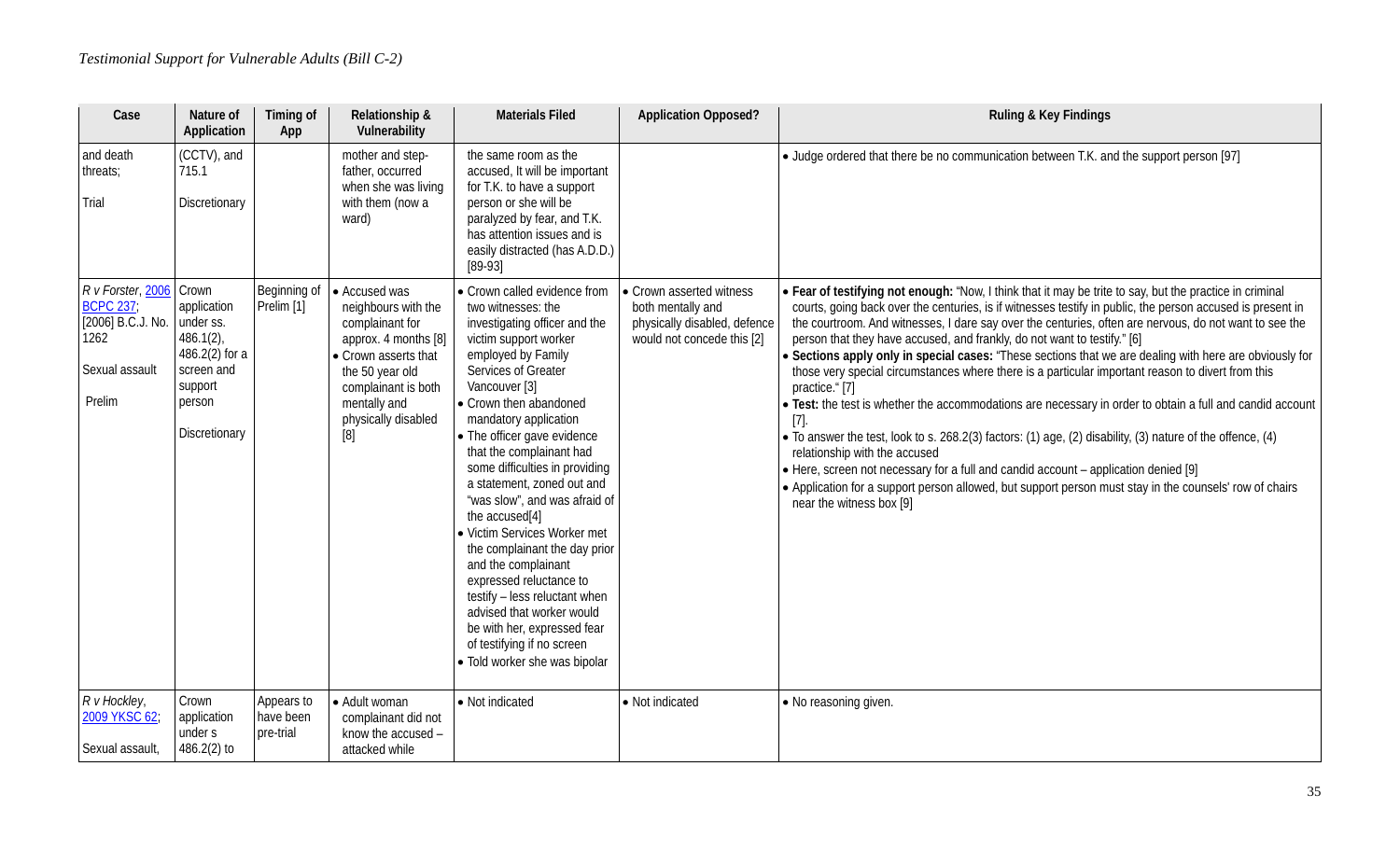| Case                                                                                                             | Nature of<br>Application                                                                             | Timing of<br>App                     | Relationship &<br>Vulnerability                                                                                                                                                                 | <b>Materials Filed</b>                                                                                                                                                                                                                                                                                                                                                                                                                                                                                                                                                                                                                                                                     | <b>Application Opposed?</b>                                                                                 | Ruling & Key Findings                                                                                                                                                                                                                                                                                                                                                                                                                                                                                                                                                                                                                                                                                                                                                                                                                                                                                                                                                                                                                                                                                                                             |
|------------------------------------------------------------------------------------------------------------------|------------------------------------------------------------------------------------------------------|--------------------------------------|-------------------------------------------------------------------------------------------------------------------------------------------------------------------------------------------------|--------------------------------------------------------------------------------------------------------------------------------------------------------------------------------------------------------------------------------------------------------------------------------------------------------------------------------------------------------------------------------------------------------------------------------------------------------------------------------------------------------------------------------------------------------------------------------------------------------------------------------------------------------------------------------------------|-------------------------------------------------------------------------------------------------------------|---------------------------------------------------------------------------------------------------------------------------------------------------------------------------------------------------------------------------------------------------------------------------------------------------------------------------------------------------------------------------------------------------------------------------------------------------------------------------------------------------------------------------------------------------------------------------------------------------------------------------------------------------------------------------------------------------------------------------------------------------------------------------------------------------------------------------------------------------------------------------------------------------------------------------------------------------------------------------------------------------------------------------------------------------------------------------------------------------------------------------------------------------|
| and death<br>threats;<br>Trial                                                                                   | (CCTV), and<br>715.1<br>Discretionary                                                                |                                      | mother and step-<br>father, occurred<br>when she was living<br>with them (now a<br>ward)                                                                                                        | the same room as the<br>accused, It will be important<br>for T.K. to have a support<br>person or she will be<br>paralyzed by fear, and T.K.<br>has attention issues and is<br>easily distracted (has A.D.D.)<br>$[89-93]$                                                                                                                                                                                                                                                                                                                                                                                                                                                                  |                                                                                                             | • Judge ordered that there be no communication between T.K. and the support person [97]                                                                                                                                                                                                                                                                                                                                                                                                                                                                                                                                                                                                                                                                                                                                                                                                                                                                                                                                                                                                                                                           |
| R v Forster, 2006 Crown<br><b>BCPC 237;</b><br>[2006] B.C.J. No.   under ss.<br>1262<br>Sexual assault<br>Prelim | application<br>$486.1(2)$ ,<br>486.2 $(2)$ for a<br>screen and<br>support<br>person<br>Discretionary | Beginning of<br>Prelim [1]           | • Accused was<br>neighbours with the<br>complainant for<br>approx. 4 months [8]<br>• Crown asserts that<br>the 50 year old<br>complainant is both<br>mentally and<br>physically disabled<br>[8] | • Crown called evidence from<br>two witnesses: the<br>investigating officer and the<br>victim support worker<br>employed by Family<br>Services of Greater<br>Vancouver [3]<br>• Crown then abandoned<br>mandatory application<br>• The officer gave evidence<br>that the complainant had<br>some difficulties in providing<br>a statement, zoned out and<br>"was slow", and was afraid of<br>the accused[4]<br>· Victim Services Worker met<br>the complainant the day prior<br>and the complainant<br>expressed reluctance to<br>testify - less reluctant when<br>advised that worker would<br>be with her, expressed fear<br>of testifying if no screen<br>• Told worker she was bipolar | • Crown asserted witness<br>both mentally and<br>physically disabled, defence<br>would not concede this [2] | • Fear of testifying not enough: "Now, I think that it may be trite to say, but the practice in criminal<br>courts, going back over the centuries, is if witnesses testify in public, the person accused is present in<br>the courtroom. And witnesses, I dare say over the centuries, often are nervous, do not want to see the<br>person that they have accused, and frankly, do not want to testify." [6]<br>• Sections apply only in special cases: "These sections that we are dealing with here are obviously for<br>those very special circumstances where there is a particular important reason to divert from this<br>practice." [7]<br>. Test: the test is whether the accommodations are necessary in order to obtain a full and candid account<br>$[7]$<br>• To answer the test, look to s. 268.2(3) factors: (1) age, (2) disability, (3) nature of the offence, (4)<br>relationship with the accused<br>• Here, screen not necessary for a full and candid account - application denied [9]<br>• Application for a support person allowed, but support person must stay in the counsels' row of chairs<br>near the witness box [9] |
| R v Hockley,<br>2009 YKSC 62;<br>Sexual assault,                                                                 | Crown<br>application<br>under s<br>$486.2(2)$ to                                                     | Appears to<br>have been<br>pre-trial | • Adult woman<br>complainant did not<br>know the accused -<br>attacked while                                                                                                                    | • Not indicated                                                                                                                                                                                                                                                                                                                                                                                                                                                                                                                                                                                                                                                                            | • Not indicated                                                                                             | • No reasoning given.                                                                                                                                                                                                                                                                                                                                                                                                                                                                                                                                                                                                                                                                                                                                                                                                                                                                                                                                                                                                                                                                                                                             |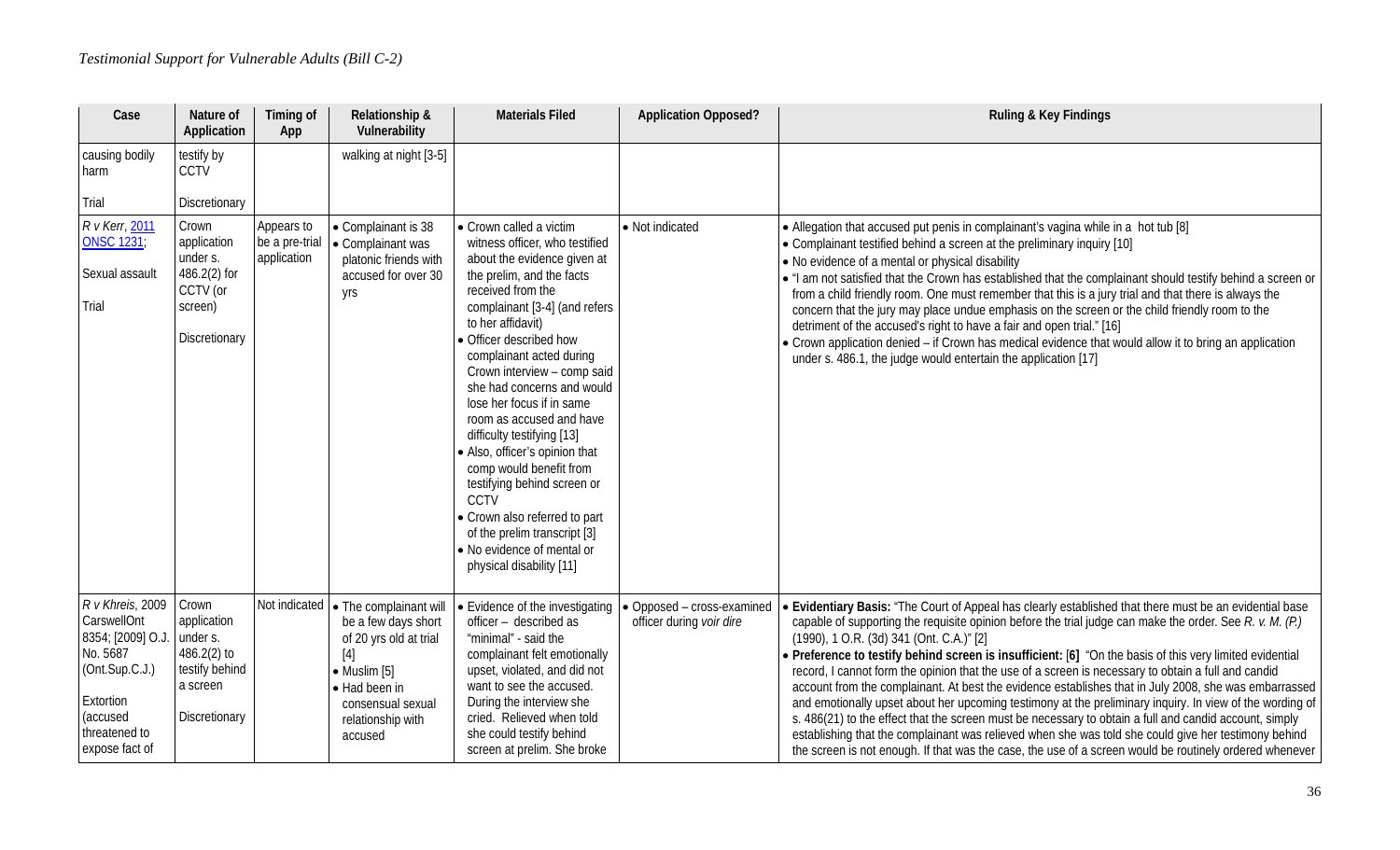| Case                                                                                                                                          | Nature of<br>Application                                                                         | Timing of<br>App                            | Relationship &<br>Vulnerability                                                                                                                                                | <b>Materials Filed</b>                                                                                                                                                                                                                                                                                                                                                                                                                                                                                                                                                                                                                            | <b>Application Opposed?</b>                            | Ruling & Key Findings                                                                                                                                                                                                                                                                                                                                                                                                                                                                                                                                                                                                                                                                                                                                                                                                                                                                                                                                                                                                                |
|-----------------------------------------------------------------------------------------------------------------------------------------------|--------------------------------------------------------------------------------------------------|---------------------------------------------|--------------------------------------------------------------------------------------------------------------------------------------------------------------------------------|---------------------------------------------------------------------------------------------------------------------------------------------------------------------------------------------------------------------------------------------------------------------------------------------------------------------------------------------------------------------------------------------------------------------------------------------------------------------------------------------------------------------------------------------------------------------------------------------------------------------------------------------------|--------------------------------------------------------|--------------------------------------------------------------------------------------------------------------------------------------------------------------------------------------------------------------------------------------------------------------------------------------------------------------------------------------------------------------------------------------------------------------------------------------------------------------------------------------------------------------------------------------------------------------------------------------------------------------------------------------------------------------------------------------------------------------------------------------------------------------------------------------------------------------------------------------------------------------------------------------------------------------------------------------------------------------------------------------------------------------------------------------|
| causing bodily<br>harm                                                                                                                        | testify by<br><b>CCTV</b>                                                                        |                                             | walking at night [3-5]                                                                                                                                                         |                                                                                                                                                                                                                                                                                                                                                                                                                                                                                                                                                                                                                                                   |                                                        |                                                                                                                                                                                                                                                                                                                                                                                                                                                                                                                                                                                                                                                                                                                                                                                                                                                                                                                                                                                                                                      |
| Trial                                                                                                                                         | Discretionary                                                                                    |                                             |                                                                                                                                                                                |                                                                                                                                                                                                                                                                                                                                                                                                                                                                                                                                                                                                                                                   |                                                        |                                                                                                                                                                                                                                                                                                                                                                                                                                                                                                                                                                                                                                                                                                                                                                                                                                                                                                                                                                                                                                      |
| R v Kerr, 2011<br><b>ONSC 1231;</b><br>Sexual assault<br>Trial                                                                                | Crown<br>application<br>under s.<br>$486.2(2)$ for<br>CCTV (or<br>screen)<br>Discretionary       | Appears to<br>be a pre-trial<br>application | • Complainant is 38<br>• Complainant was<br>platonic friends with<br>accused for over 30<br>yrs                                                                                | • Crown called a victim<br>witness officer, who testified<br>about the evidence given at<br>the prelim, and the facts<br>received from the<br>complainant [3-4] (and refers<br>to her affidavit)<br>• Officer described how<br>complainant acted during<br>Crown interview - comp said<br>she had concerns and would<br>lose her focus if in same<br>room as accused and have<br>difficulty testifying [13]<br>• Also, officer's opinion that<br>comp would benefit from<br>testifying behind screen or<br><b>CCTV</b><br>• Crown also referred to part<br>of the prelim transcript [3]<br>• No evidence of mental or<br>physical disability [11] | • Not indicated                                        | • Allegation that accused put penis in complainant's vagina while in a hot tub [8]<br>• Complainant testified behind a screen at the preliminary inquiry [10]<br>• No evidence of a mental or physical disability<br>. "I am not satisfied that the Crown has established that the complainant should testify behind a screen or<br>from a child friendly room. One must remember that this is a jury trial and that there is always the<br>concern that the jury may place undue emphasis on the screen or the child friendly room to the<br>detriment of the accused's right to have a fair and open trial." [16]<br>• Crown application denied - if Crown has medical evidence that would allow it to bring an application<br>under s. 486.1, the judge would entertain the application [17]                                                                                                                                                                                                                                      |
| R v Khreis, 2009<br>CarswellOnt<br>8354; [2009] O.J<br>No. 5687<br>(Ont.Sup.C.J.)<br>Extortion<br>(accused<br>threatened to<br>expose fact of | Crown<br>application<br>under s.<br>$486.2(2)$ to<br>testify behind<br>a screen<br>Discretionary | Not indicated                               | • The complainant will<br>be a few days short<br>of 20 yrs old at trial<br>$[4]$<br>$\bullet$ Muslim [5]<br>• Had been in<br>consensual sexual<br>relationship with<br>accused | • Evidence of the investigating<br>officer - described as<br>"minimal" - said the<br>complainant felt emotionally<br>upset, violated, and did not<br>want to see the accused.<br>During the interview she<br>cried. Relieved when told<br>she could testify behind<br>screen at prelim. She broke                                                                                                                                                                                                                                                                                                                                                 | • Opposed - cross-examined<br>officer during voir dire | . Evidentiary Basis: "The Court of Appeal has clearly established that there must be an evidential base<br>capable of supporting the requisite opinion before the trial judge can make the order. See R. v. M. (P.)<br>(1990), 1 O.R. (3d) 341 (Ont. C.A.)" [2]<br>• Preference to testify behind screen is insufficient: [6] "On the basis of this very limited evidential<br>record, I cannot form the opinion that the use of a screen is necessary to obtain a full and candid<br>account from the complainant. At best the evidence establishes that in July 2008, she was embarrassed<br>and emotionally upset about her upcoming testimony at the preliminary inquiry. In view of the wording of<br>s. 486(21) to the effect that the screen must be necessary to obtain a full and candid account, simply<br>establishing that the complainant was relieved when she was told she could give her testimony behind<br>the screen is not enough. If that was the case, the use of a screen would be routinely ordered whenever |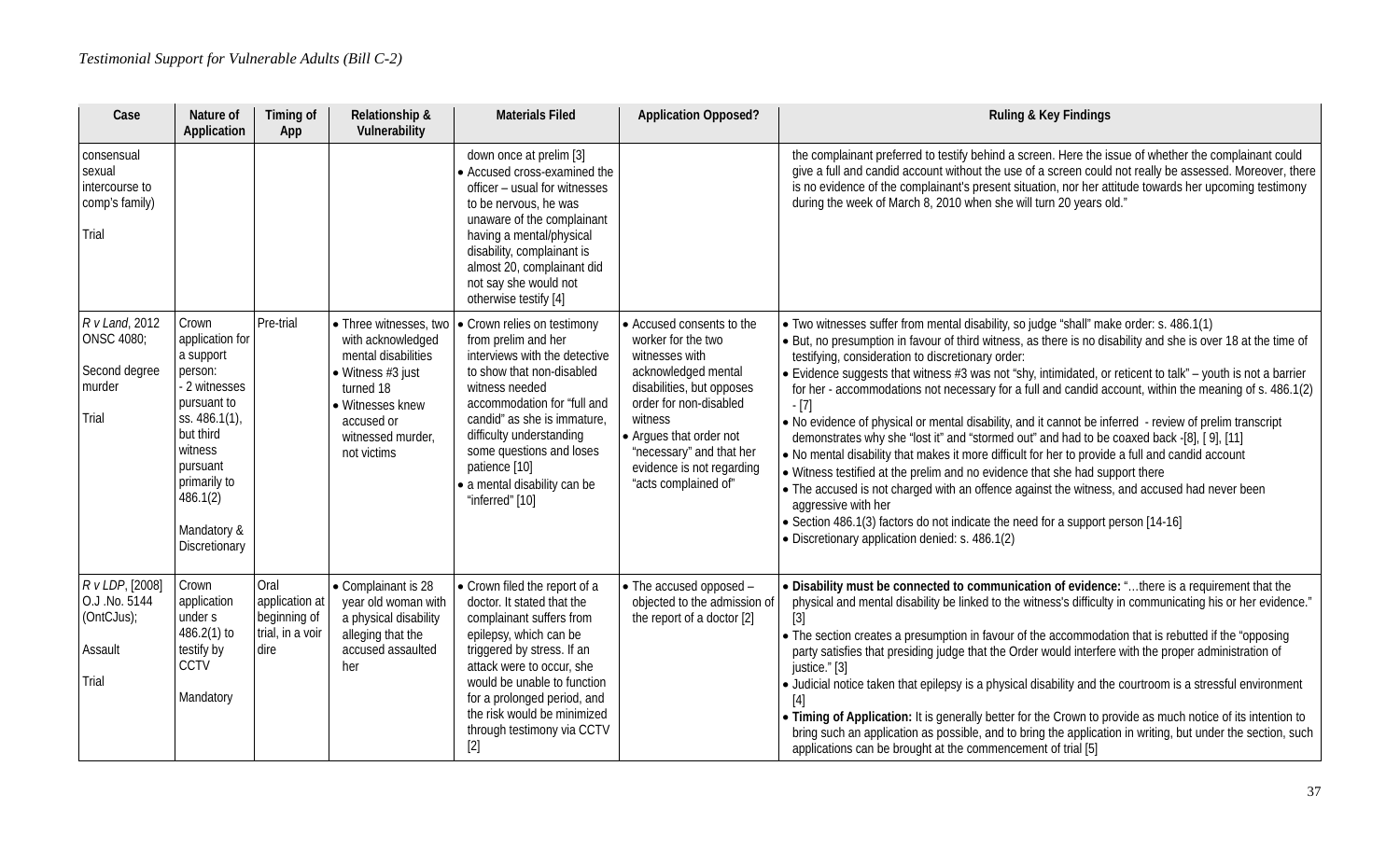| Case                                                                     | Nature of<br>Application                                                                                                                                                                          | Timing of<br>App                                                   | Relationship &<br>Vulnerability                                                                                                                                            | <b>Materials Filed</b>                                                                                                                                                                                                                                                                                                       | <b>Application Opposed?</b>                                                                                                                                                                                                                                            | Ruling & Key Findings                                                                                                                                                                                                                                                                                                                                                                                                                                                                                                                                                                                                                                                                                                                                                                                                                                                                                                                                                                                                                                                                                                                                         |
|--------------------------------------------------------------------------|---------------------------------------------------------------------------------------------------------------------------------------------------------------------------------------------------|--------------------------------------------------------------------|----------------------------------------------------------------------------------------------------------------------------------------------------------------------------|------------------------------------------------------------------------------------------------------------------------------------------------------------------------------------------------------------------------------------------------------------------------------------------------------------------------------|------------------------------------------------------------------------------------------------------------------------------------------------------------------------------------------------------------------------------------------------------------------------|---------------------------------------------------------------------------------------------------------------------------------------------------------------------------------------------------------------------------------------------------------------------------------------------------------------------------------------------------------------------------------------------------------------------------------------------------------------------------------------------------------------------------------------------------------------------------------------------------------------------------------------------------------------------------------------------------------------------------------------------------------------------------------------------------------------------------------------------------------------------------------------------------------------------------------------------------------------------------------------------------------------------------------------------------------------------------------------------------------------------------------------------------------------|
| consensual<br>sexual<br>intercourse to<br>comp's family)<br>Trial        |                                                                                                                                                                                                   |                                                                    |                                                                                                                                                                            | down once at prelim [3]<br>• Accused cross-examined the<br>officer - usual for witnesses<br>to be nervous, he was<br>unaware of the complainant<br>having a mental/physical<br>disability, complainant is<br>almost 20, complainant did<br>not say she would not<br>otherwise testify [4]                                    |                                                                                                                                                                                                                                                                        | the complainant preferred to testify behind a screen. Here the issue of whether the complainant could<br>give a full and candid account without the use of a screen could not really be assessed. Moreover, there<br>is no evidence of the complainant's present situation, nor her attitude towards her upcoming testimony<br>during the week of March 8, 2010 when she will turn 20 years old."                                                                                                                                                                                                                                                                                                                                                                                                                                                                                                                                                                                                                                                                                                                                                             |
| R v Land, 2012<br><b>ONSC 4080</b> ;<br>Second degree<br>murder<br>Trial | Crown<br>application for<br>a support<br>person:<br>- 2 witnesses<br>pursuant to<br>ss. 486.1(1),<br>but third<br>witness<br>pursuant<br>primarily to<br>486.1(2)<br>Mandatory &<br>Discretionary | Pre-trial                                                          | • Three witnesses, two<br>with acknowledged<br>mental disabilities<br>• Witness #3 just<br>turned 18<br>• Witnesses knew<br>accused or<br>witnessed murder,<br>not victims | • Crown relies on testimony<br>from prelim and her<br>interviews with the detective<br>to show that non-disabled<br>witness needed<br>accommodation for "full and<br>candid" as she is immature,<br>difficulty understanding<br>some questions and loses<br>patience [10]<br>• a mental disability can be<br>"inferred" [10] | • Accused consents to the<br>worker for the two<br>witnesses with<br>acknowledged mental<br>disabilities, but opposes<br>order for non-disabled<br>witness<br>• Argues that order not<br>"necessary" and that her<br>evidence is not regarding<br>"acts complained of" | • Two witnesses suffer from mental disability, so judge "shall" make order: s. 486.1(1)<br>• But, no presumption in favour of third witness, as there is no disability and she is over 18 at the time of<br>testifying, consideration to discretionary order:<br>• Evidence suggests that witness #3 was not "shy, intimidated, or reticent to talk" - youth is not a barrier<br>for her - accommodations not necessary for a full and candid account, within the meaning of s. 486.1(2)<br>$-[7]$<br>• No evidence of physical or mental disability, and it cannot be inferred - review of prelim transcript<br>demonstrates why she "lost it" and "stormed out" and had to be coaxed back -[8], [9], [11]<br>. No mental disability that makes it more difficult for her to provide a full and candid account<br>• Witness testified at the prelim and no evidence that she had support there<br>• The accused is not charged with an offence against the witness, and accused had never been<br>aggressive with her<br>• Section 486.1(3) factors do not indicate the need for a support person [14-16]<br>• Discretionary application denied: s. 486.1(2) |
| R v LDP, [2008]<br>O.J .No. 5144<br>(OntCJus);<br>Assault<br>Trial       | Crown<br>application<br>under s<br>$486.2(1)$ to<br>testify by<br>CCTV<br>Mandatory                                                                                                               | Oral<br>application at<br>beginning of<br>trial, in a voir<br>dire | • Complainant is 28<br>year old woman with<br>a physical disability<br>alleging that the<br>accused assaulted<br>her                                                       | • Crown filed the report of a<br>doctor. It stated that the<br>complainant suffers from<br>epilepsy, which can be<br>triggered by stress. If an<br>attack were to occur, she<br>would be unable to function<br>for a prolonged period, and<br>the risk would be minimized<br>through testimony via CCTV<br>$[2]$             | • The accused opposed -<br>objected to the admission of<br>the report of a doctor [2]                                                                                                                                                                                  | . Disability must be connected to communication of evidence: "there is a requirement that the<br>physical and mental disability be linked to the witness's difficulty in communicating his or her evidence."<br>• The section creates a presumption in favour of the accommodation that is rebutted if the "opposing"<br>party satisfies that presiding judge that the Order would interfere with the proper administration of<br>justice." [3]<br>• Judicial notice taken that epilepsy is a physical disability and the courtroom is a stressful environment<br>. Timing of Application: It is generally better for the Crown to provide as much notice of its intention to<br>bring such an application as possible, and to bring the application in writing, but under the section, such<br>applications can be brought at the commencement of trial [5]                                                                                                                                                                                                                                                                                                  |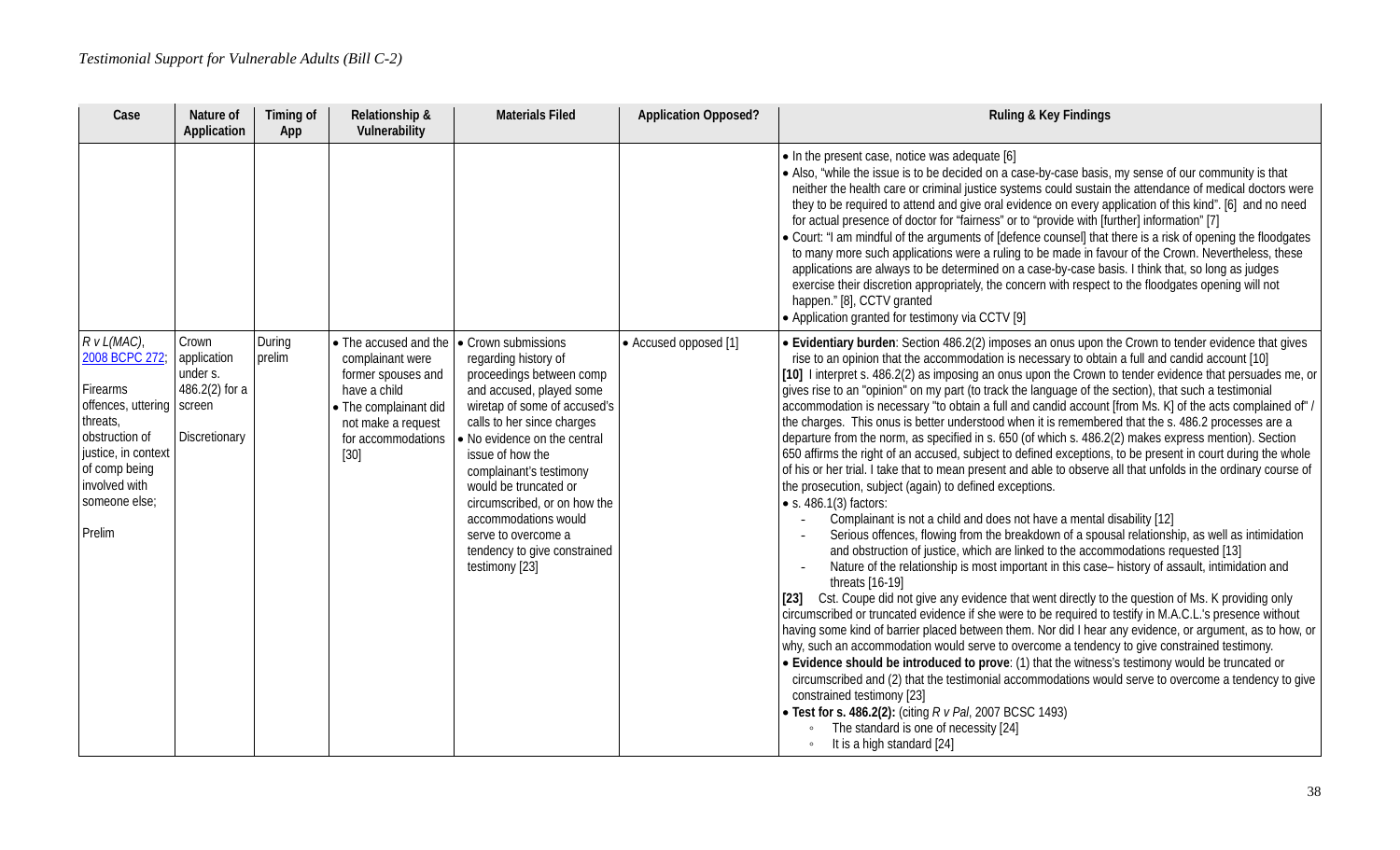| Case                                                                                                                                                                                            | Nature of<br>Application                                            | Timing of<br>App | Relationship &<br>Vulnerability                                                                                                                                                            | <b>Materials Filed</b>                                                                                                                                                                                                                                                                                                                                                              | <b>Application Opposed?</b> | <b>Ruling &amp; Key Findings</b>                                                                                                                                                                                                                                                                                                                                                                                                                                                                                                                                                                                                                                                                                                                                                                                                                                                                                                                                                                                                                                                                                                                                                                                                                                                                                                                                                                                                                                                                                                                                                                                                                                                                                                                                                                                                                                                                                                                                                                                                                                                                                                                                                                                                                                                                                   |
|-------------------------------------------------------------------------------------------------------------------------------------------------------------------------------------------------|---------------------------------------------------------------------|------------------|--------------------------------------------------------------------------------------------------------------------------------------------------------------------------------------------|-------------------------------------------------------------------------------------------------------------------------------------------------------------------------------------------------------------------------------------------------------------------------------------------------------------------------------------------------------------------------------------|-----------------------------|--------------------------------------------------------------------------------------------------------------------------------------------------------------------------------------------------------------------------------------------------------------------------------------------------------------------------------------------------------------------------------------------------------------------------------------------------------------------------------------------------------------------------------------------------------------------------------------------------------------------------------------------------------------------------------------------------------------------------------------------------------------------------------------------------------------------------------------------------------------------------------------------------------------------------------------------------------------------------------------------------------------------------------------------------------------------------------------------------------------------------------------------------------------------------------------------------------------------------------------------------------------------------------------------------------------------------------------------------------------------------------------------------------------------------------------------------------------------------------------------------------------------------------------------------------------------------------------------------------------------------------------------------------------------------------------------------------------------------------------------------------------------------------------------------------------------------------------------------------------------------------------------------------------------------------------------------------------------------------------------------------------------------------------------------------------------------------------------------------------------------------------------------------------------------------------------------------------------------------------------------------------------------------------------------------------------|
|                                                                                                                                                                                                 |                                                                     |                  |                                                                                                                                                                                            |                                                                                                                                                                                                                                                                                                                                                                                     |                             | • In the present case, notice was adequate [6]<br>• Also, "while the issue is to be decided on a case-by-case basis, my sense of our community is that<br>neither the health care or criminal justice systems could sustain the attendance of medical doctors were<br>they to be required to attend and give oral evidence on every application of this kind". [6] and no need<br>for actual presence of doctor for "fairness" or to "provide with [further] information" [7]<br>• Court: "I am mindful of the arguments of [defence counsel] that there is a risk of opening the floodgates<br>to many more such applications were a ruling to be made in favour of the Crown. Nevertheless, these<br>applications are always to be determined on a case-by-case basis. I think that, so long as judges<br>exercise their discretion appropriately, the concern with respect to the floodgates opening will not<br>happen." [8], CCTV granted<br>• Application granted for testimony via CCTV [9]                                                                                                                                                                                                                                                                                                                                                                                                                                                                                                                                                                                                                                                                                                                                                                                                                                                                                                                                                                                                                                                                                                                                                                                                                                                                                                                 |
| $R$ v $L(MAC)$ ,<br>2008 BCPC 272;<br>Firearms<br>offences, uttering   screen<br>threats,<br>obstruction of<br>justice, in context<br>of comp being<br>involved with<br>someone else:<br>Prelim | Crown<br>application<br>under s.<br>486.2(2) for a<br>Discretionary | During<br>prelim | • The accused and the $\bullet$ Crown submissions<br>complainant were<br>former spouses and<br>have a child<br>• The complainant did<br>not make a request<br>for accommodations<br>$[30]$ | regarding history of<br>proceedings between comp<br>and accused, played some<br>wiretap of some of accused's<br>calls to her since charges<br>• No evidence on the central<br>issue of how the<br>complainant's testimony<br>would be truncated or<br>circumscribed, or on how the<br>accommodations would<br>serve to overcome a<br>tendency to give constrained<br>testimony [23] | • Accused opposed [1]       | • Evidentiary burden: Section 486.2(2) imposes an onus upon the Crown to tender evidence that gives<br>rise to an opinion that the accommodation is necessary to obtain a full and candid account [10]<br>[10] I interpret s. 486.2(2) as imposing an onus upon the Crown to tender evidence that persuades me, or<br>gives rise to an "opinion" on my part (to track the language of the section), that such a testimonial<br>accommodation is necessary "to obtain a full and candid account [from Ms. K] of the acts complained of" /<br>the charges. This onus is better understood when it is remembered that the s. 486.2 processes are a<br>departure from the norm, as specified in s. 650 (of which s. 486.2(2) makes express mention). Section<br>650 affirms the right of an accused, subject to defined exceptions, to be present in court during the whole<br>of his or her trial. I take that to mean present and able to observe all that unfolds in the ordinary course of<br>the prosecution, subject (again) to defined exceptions.<br>$\bullet$ s. 486.1(3) factors:<br>Complainant is not a child and does not have a mental disability [12]<br>Serious offences, flowing from the breakdown of a spousal relationship, as well as intimidation<br>and obstruction of justice, which are linked to the accommodations requested [13]<br>Nature of the relationship is most important in this case-history of assault, intimidation and<br>threats $[16-19]$<br>[23] Cst. Coupe did not give any evidence that went directly to the question of Ms. K providing only<br>circumscribed or truncated evidence if she were to be required to testify in M.A.C.L.'s presence without<br>having some kind of barrier placed between them. Nor did I hear any evidence, or argument, as to how, or<br>why, such an accommodation would serve to overcome a tendency to give constrained testimony.<br>• Evidence should be introduced to prove: (1) that the witness's testimony would be truncated or<br>circumscribed and (2) that the testimonial accommodations would serve to overcome a tendency to give<br>constrained testimony [23]<br>• Test for s. 486.2(2): (citing R v Pal, 2007 BCSC 1493)<br>The standard is one of necessity [24]<br>$\circ$<br>It is a high standard [24]<br>$\circ$ |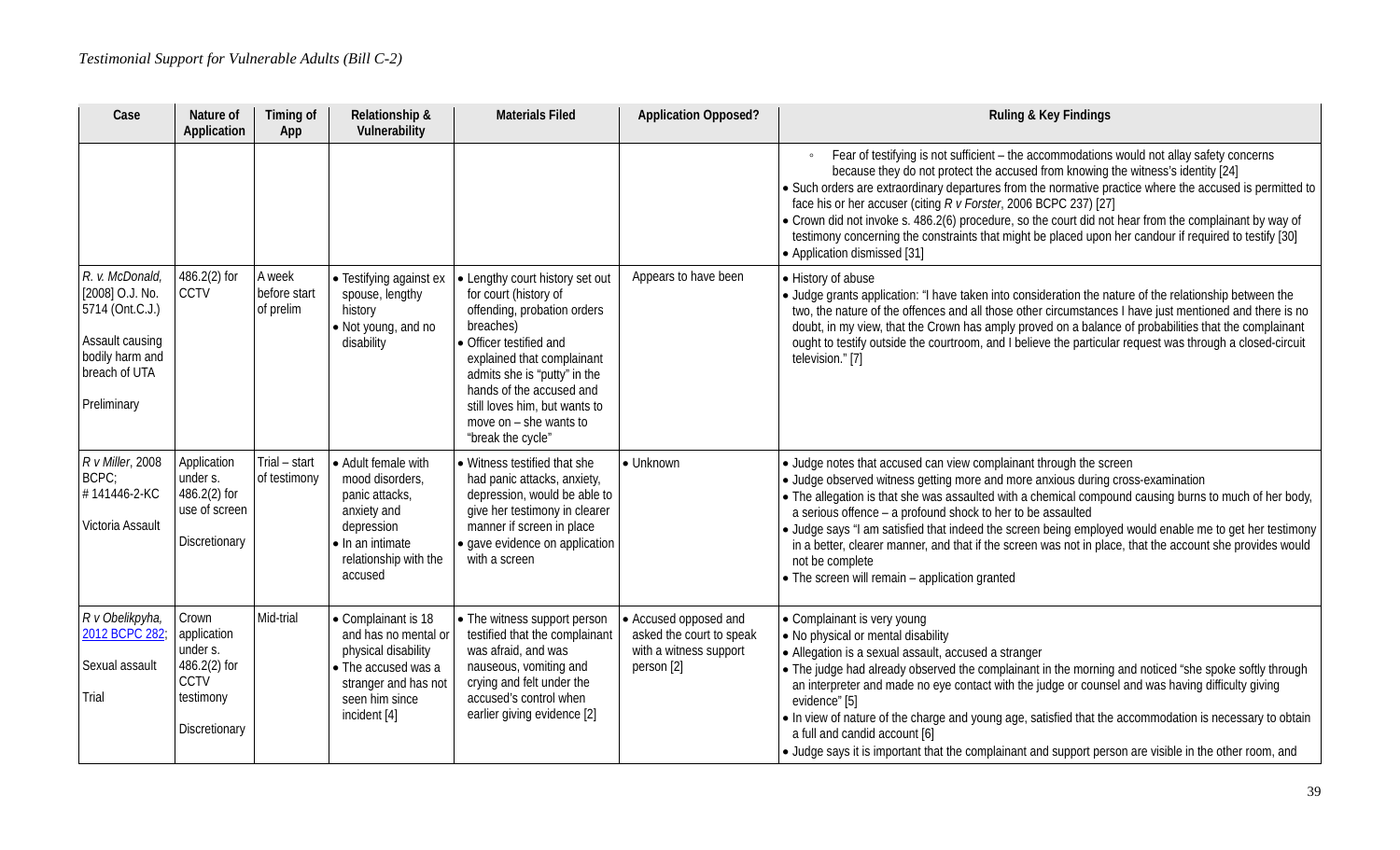| Case                                                                                                                        | Nature of<br>Application                                                                      | Timing of<br>App                    | Relationship &<br>Vulnerability                                                                                                                     | <b>Materials Filed</b>                                                                                                                                                                                                                                                                                    | <b>Application Opposed?</b>                                                               | <b>Ruling &amp; Key Findings</b>                                                                                                                                                                                                                                                                                                                                                                                                                                                                                                                                                                                             |
|-----------------------------------------------------------------------------------------------------------------------------|-----------------------------------------------------------------------------------------------|-------------------------------------|-----------------------------------------------------------------------------------------------------------------------------------------------------|-----------------------------------------------------------------------------------------------------------------------------------------------------------------------------------------------------------------------------------------------------------------------------------------------------------|-------------------------------------------------------------------------------------------|------------------------------------------------------------------------------------------------------------------------------------------------------------------------------------------------------------------------------------------------------------------------------------------------------------------------------------------------------------------------------------------------------------------------------------------------------------------------------------------------------------------------------------------------------------------------------------------------------------------------------|
|                                                                                                                             |                                                                                               |                                     |                                                                                                                                                     |                                                                                                                                                                                                                                                                                                           |                                                                                           | Fear of testifying is not sufficient - the accommodations would not allay safety concerns<br>$\circ$<br>because they do not protect the accused from knowing the witness's identity [24]<br>• Such orders are extraordinary departures from the normative practice where the accused is permitted to<br>face his or her accuser (citing R v Forster, 2006 BCPC 237) [27]<br>• Crown did not invoke s. 486.2(6) procedure, so the court did not hear from the complainant by way of<br>testimony concerning the constraints that might be placed upon her candour if required to testify [30]<br>• Application dismissed [31] |
| R. v. McDonald,<br>[2008] O.J. No.<br>5714 (Ont.C.J.)<br>Assault causing<br>bodily harm and<br>breach of UTA<br>Preliminary | 486.2(2) for<br><b>CCTV</b>                                                                   | A week<br>before start<br>of prelim | • Testifying against ex<br>spouse, lengthy<br>history<br>• Not young, and no<br>disability                                                          | • Lengthy court history set out<br>for court (history of<br>offending, probation orders<br>breaches)<br>• Officer testified and<br>explained that complainant<br>admits she is "putty" in the<br>hands of the accused and<br>still loves him, but wants to<br>move on - she wants to<br>"break the cycle" | Appears to have been                                                                      | • History of abuse<br>• Judge grants application: "I have taken into consideration the nature of the relationship between the<br>two, the nature of the offences and all those other circumstances I have just mentioned and there is no<br>doubt, in my view, that the Crown has amply proved on a balance of probabilities that the complainant<br>ought to testify outside the courtroom, and I believe the particular request was through a closed-circuit<br>television." [7]                                                                                                                                           |
| $R$ v Miller, 2008<br>BCPC:<br>#141446-2-KC<br>Victoria Assault                                                             | Application<br>under s.<br>$486.2(2)$ for<br>use of screen<br>Discretionary                   | Trial - start<br>of testimony       | • Adult female with<br>mood disorders,<br>panic attacks,<br>anxiety and<br>depression<br>• In an intimate<br>relationship with the<br>accused       | • Witness testified that she<br>had panic attacks, anxiety,<br>depression, would be able to<br>give her testimony in clearer<br>manner if screen in place<br>• gave evidence on application<br>with a screen                                                                                              | • Unknown                                                                                 | • Judge notes that accused can view complainant through the screen<br>• Judge observed witness getting more and more anxious during cross-examination<br>• The allegation is that she was assaulted with a chemical compound causing burns to much of her body,<br>a serious offence - a profound shock to her to be assaulted<br>• Judge says "I am satisfied that indeed the screen being employed would enable me to get her testimony<br>in a better, clearer manner, and that if the screen was not in place, that the account she provides would<br>not be complete<br>• The screen will remain - application granted  |
| R v Obelikpyha,<br>2012 BCPC 282<br>Sexual assault<br>Trial                                                                 | Crown<br>application<br>under s.<br>486.2(2) for<br><b>CCTV</b><br>testimony<br>Discretionary | Mid-trial                           | • Complainant is 18<br>and has no mental or<br>physical disability<br>• The accused was a<br>stranger and has not<br>seen him since<br>incident [4] | • The witness support person<br>testified that the complainant<br>was afraid, and was<br>nauseous, vomiting and<br>crying and felt under the<br>accused's control when<br>earlier giving evidence [2]                                                                                                     | • Accused opposed and<br>asked the court to speak<br>with a witness support<br>person [2] | • Complainant is very young<br>• No physical or mental disability<br>• Allegation is a sexual assault, accused a stranger<br>• The judge had already observed the complainant in the morning and noticed "she spoke softly through<br>an interpreter and made no eye contact with the judge or counsel and was having difficulty giving<br>evidence" [5]<br>• In view of nature of the charge and young age, satisfied that the accommodation is necessary to obtain<br>a full and candid account [6]<br>• Judge says it is important that the complainant and support person are visible in the other room, and             |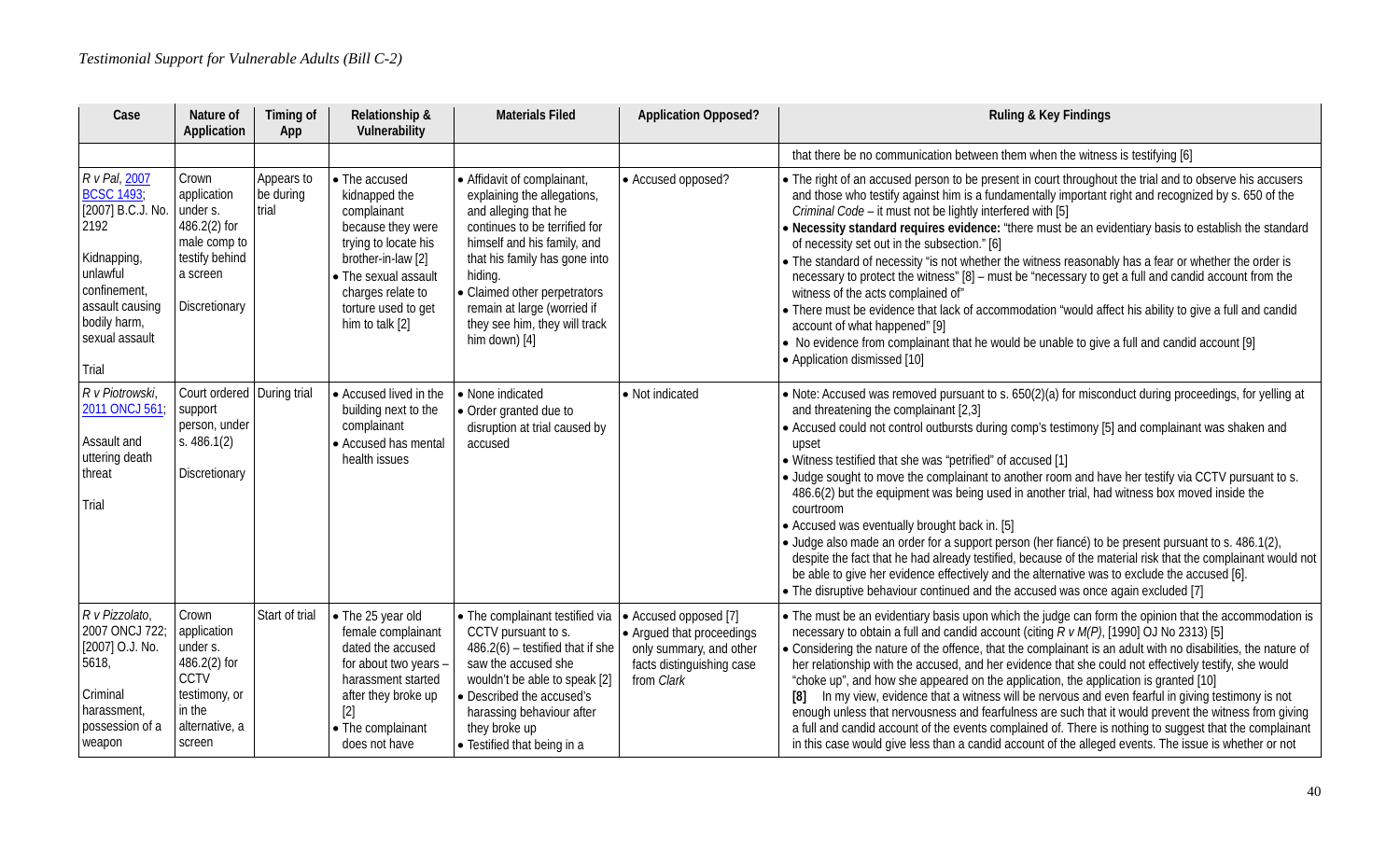| Case                                                                                                                                                                        | Nature of<br>Application                                                                                          | Timing of<br>App                 | Relationship &<br>Vulnerability                                                                                                                                                                         | <b>Materials Filed</b>                                                                                                                                                                                                                                                                                            | <b>Application Opposed?</b>                                                                                              | <b>Ruling &amp; Key Findings</b>                                                                                                                                                                                                                                                                                                                                                                                                                                                                                                                                                                                                                                                                                                                                                                                                                                                                                                                                                                           |
|-----------------------------------------------------------------------------------------------------------------------------------------------------------------------------|-------------------------------------------------------------------------------------------------------------------|----------------------------------|---------------------------------------------------------------------------------------------------------------------------------------------------------------------------------------------------------|-------------------------------------------------------------------------------------------------------------------------------------------------------------------------------------------------------------------------------------------------------------------------------------------------------------------|--------------------------------------------------------------------------------------------------------------------------|------------------------------------------------------------------------------------------------------------------------------------------------------------------------------------------------------------------------------------------------------------------------------------------------------------------------------------------------------------------------------------------------------------------------------------------------------------------------------------------------------------------------------------------------------------------------------------------------------------------------------------------------------------------------------------------------------------------------------------------------------------------------------------------------------------------------------------------------------------------------------------------------------------------------------------------------------------------------------------------------------------|
|                                                                                                                                                                             |                                                                                                                   |                                  |                                                                                                                                                                                                         |                                                                                                                                                                                                                                                                                                                   |                                                                                                                          | that there be no communication between them when the witness is testifying [6]                                                                                                                                                                                                                                                                                                                                                                                                                                                                                                                                                                                                                                                                                                                                                                                                                                                                                                                             |
| R v Pal, 2007<br><b>BCSC 1493</b> ;<br>$[2007]$ B.C.J. No.<br>2192<br>Kidnapping,<br>unlawful<br>confinement,<br>assault causing<br>bodily harm,<br>sexual assault<br>Trial | Crown<br>application<br>under s.<br>$486.2(2)$ for<br>male comp to<br>testify behind<br>a screen<br>Discretionary | Appears to<br>be during<br>trial | • The accused<br>kidnapped the<br>complainant<br>because they were<br>trying to locate his<br>brother-in-law [2]<br>• The sexual assault<br>charges relate to<br>torture used to get<br>him to talk [2] | • Affidavit of complainant,<br>explaining the allegations,<br>and alleging that he<br>continues to be terrified for<br>himself and his family, and<br>that his family has gone into<br>hiding.<br>• Claimed other perpetrators<br>remain at large (worried if<br>they see him, they will track<br>him down) $[4]$ | • Accused opposed?                                                                                                       | • The right of an accused person to be present in court throughout the trial and to observe his accusers<br>and those who testify against him is a fundamentally important right and recognized by s. 650 of the<br>Criminal Code - it must not be lightly interfered with [5]<br>• Necessity standard requires evidence: "there must be an evidentiary basis to establish the standard<br>of necessity set out in the subsection." [6]<br>• The standard of necessity "is not whether the witness reasonably has a fear or whether the order is<br>necessary to protect the witness" [8] - must be "necessary to get a full and candid account from the<br>witness of the acts complained of"<br>• There must be evidence that lack of accommodation "would affect his ability to give a full and candid<br>account of what happened" [9]<br>• No evidence from complainant that he would be unable to give a full and candid account [9]<br>• Application dismissed [10]                                 |
| R v Piotrowski,<br>2011 ONCJ 561;<br>Assault and<br>uttering death<br>threat<br>Trial                                                                                       | Court ordered   During trial<br>support<br>person, under<br>s.486.1(2)<br>Discretionary                           |                                  | • Accused lived in the<br>building next to the<br>complainant<br>• Accused has mental<br>health issues                                                                                                  | • None indicated<br>• Order granted due to<br>disruption at trial caused by<br>accused                                                                                                                                                                                                                            | • Not indicated                                                                                                          | • Note: Accused was removed pursuant to s. 650(2)(a) for misconduct during proceedings, for yelling at<br>and threatening the complainant [2,3]<br>• Accused could not control outbursts during comp's testimony [5] and complainant was shaken and<br>upset<br>• Witness testified that she was "petrified" of accused [1]<br>. Judge sought to move the complainant to another room and have her testify via CCTV pursuant to s.<br>486.6(2) but the equipment was being used in another trial, had witness box moved inside the<br>courtroom<br>• Accused was eventually brought back in. [5]<br>• Judge also made an order for a support person (her fiance) to be present pursuant to s. 486.1(2),<br>despite the fact that he had already testified, because of the material risk that the complainant would not<br>be able to give her evidence effectively and the alternative was to exclude the accused [6].<br>• The disruptive behaviour continued and the accused was once again excluded [7] |
| R v Pizzolato,<br>2007 ONCJ 722;<br>[2007] O.J. No.<br>5618,<br>Criminal<br>harassment,<br>possession of a<br>weapon                                                        | Crown<br>application<br>under s.<br>$486.2(2)$ for<br>CCTV<br>testimony, or<br>in the<br>alternative, a<br>screen | Start of trial                   | • The 25 year old<br>female complainant<br>dated the accused<br>for about two years -<br>harassment started<br>after they broke up<br>$[2]$<br>• The complainant<br>does not have                       | • The complainant testified via<br>CCTV pursuant to s.<br>$486.2(6)$ – testified that if she<br>saw the accused she<br>wouldn't be able to speak [2]<br>• Described the accused's<br>harassing behaviour after<br>they broke up<br>• Testified that being in a                                                    | • Accused opposed [7]<br>• Argued that proceedings<br>only summary, and other<br>facts distinguishing case<br>from Clark | • The must be an evidentiary basis upon which the judge can form the opinion that the accommodation is<br>necessary to obtain a full and candid account (citing R v M(P), [1990] OJ No 2313) [5]<br>• Considering the nature of the offence, that the complainant is an adult with no disabilities, the nature of<br>her relationship with the accused, and her evidence that she could not effectively testify, she would<br>"choke up", and how she appeared on the application, the application is granted [10]<br>[8] In my view, evidence that a witness will be nervous and even fearful in giving testimony is not<br>enough unless that nervousness and fearfulness are such that it would prevent the witness from giving<br>a full and candid account of the events complained of. There is nothing to suggest that the complainant<br>in this case would give less than a candid account of the alleged events. The issue is whether or not                                                     |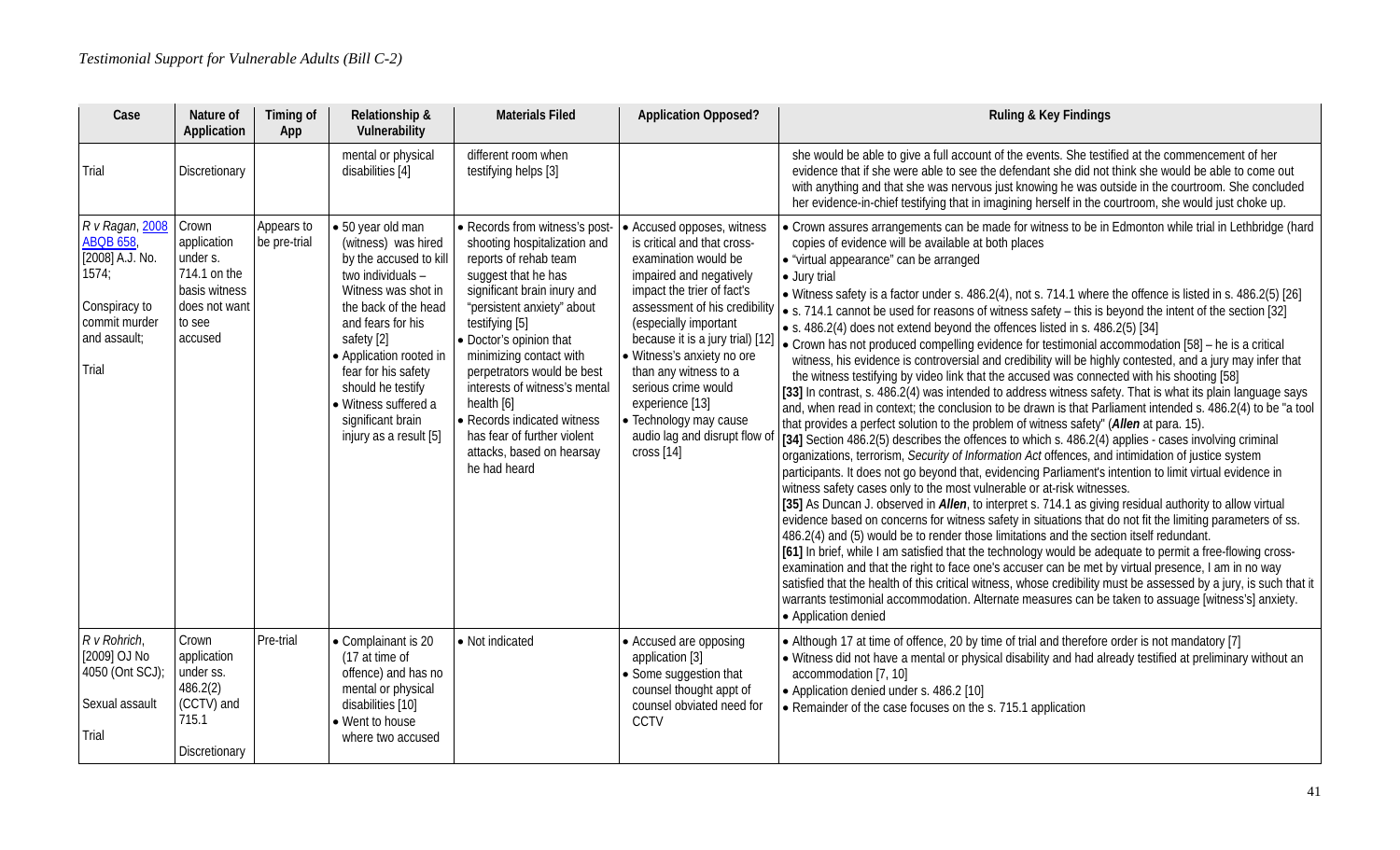| Case                                                                                                                       | Nature of<br>Application                                                                                | Timing of<br>App           | Relationship &<br>Vulnerability                                                                                                                                                                                                                                                                                         | <b>Materials Filed</b>                                                                                                                                                                                                                                                                                                                                                                                                                      | <b>Application Opposed?</b>                                                                                                                                                                                                                                                                                                                                                                                        | Ruling & Key Findings                                                                                                                                                                                                                                                                                                                                                                                                                                                                                                                                                                                                                                                                                                                                                                                                                                                                                                                                                                                                                                                                                                                                                                                                                                                                                                                                                                                                                                                                                                                                                                                                                                                                                                                                                                                                                                                                                                                                                                                                                                                                                                                                                                                                                                                                                                                                                                 |
|----------------------------------------------------------------------------------------------------------------------------|---------------------------------------------------------------------------------------------------------|----------------------------|-------------------------------------------------------------------------------------------------------------------------------------------------------------------------------------------------------------------------------------------------------------------------------------------------------------------------|---------------------------------------------------------------------------------------------------------------------------------------------------------------------------------------------------------------------------------------------------------------------------------------------------------------------------------------------------------------------------------------------------------------------------------------------|--------------------------------------------------------------------------------------------------------------------------------------------------------------------------------------------------------------------------------------------------------------------------------------------------------------------------------------------------------------------------------------------------------------------|---------------------------------------------------------------------------------------------------------------------------------------------------------------------------------------------------------------------------------------------------------------------------------------------------------------------------------------------------------------------------------------------------------------------------------------------------------------------------------------------------------------------------------------------------------------------------------------------------------------------------------------------------------------------------------------------------------------------------------------------------------------------------------------------------------------------------------------------------------------------------------------------------------------------------------------------------------------------------------------------------------------------------------------------------------------------------------------------------------------------------------------------------------------------------------------------------------------------------------------------------------------------------------------------------------------------------------------------------------------------------------------------------------------------------------------------------------------------------------------------------------------------------------------------------------------------------------------------------------------------------------------------------------------------------------------------------------------------------------------------------------------------------------------------------------------------------------------------------------------------------------------------------------------------------------------------------------------------------------------------------------------------------------------------------------------------------------------------------------------------------------------------------------------------------------------------------------------------------------------------------------------------------------------------------------------------------------------------------------------------------------------|
| Trial                                                                                                                      | Discretionary                                                                                           |                            | mental or physical<br>disabilities [4]                                                                                                                                                                                                                                                                                  | different room when<br>testifying helps [3]                                                                                                                                                                                                                                                                                                                                                                                                 |                                                                                                                                                                                                                                                                                                                                                                                                                    | she would be able to give a full account of the events. She testified at the commencement of her<br>evidence that if she were able to see the defendant she did not think she would be able to come out<br>with anything and that she was nervous just knowing he was outside in the courtroom. She concluded<br>her evidence-in-chief testifying that in imagining herself in the courtroom, she would just choke up.                                                                                                                                                                                                                                                                                                                                                                                                                                                                                                                                                                                                                                                                                                                                                                                                                                                                                                                                                                                                                                                                                                                                                                                                                                                                                                                                                                                                                                                                                                                                                                                                                                                                                                                                                                                                                                                                                                                                                                |
| R v Ragan, 2008<br><b>ABQB 658,</b><br>[2008] A.J. No.<br>1574;<br>Conspiracy to<br>commit murder<br>and assault;<br>Trial | Crown<br>application<br>under s.<br>714.1 on the<br>basis witness<br>does not want<br>to see<br>accused | Appears to<br>be pre-trial | • 50 year old man<br>(witness) was hired<br>by the accused to kill<br>two individuals -<br>Witness was shot in<br>the back of the head<br>and fears for his<br>safety [2]<br>• Application rooted in<br>fear for his safety<br>should he testify<br>• Witness suffered a<br>significant brain<br>injury as a result [5] | • Records from witness's post-<br>shooting hospitalization and<br>reports of rehab team<br>suggest that he has<br>significant brain inury and<br>"persistent anxiety" about<br>testifying [5]<br>• Doctor's opinion that<br>minimizing contact with<br>perpetrators would be best<br>interests of witness's mental<br>health [6]<br>• Records indicated witness<br>has fear of further violent<br>attacks, based on hearsay<br>he had heard | • Accused opposes, witness<br>is critical and that cross-<br>examination would be<br>impaired and negatively<br>impact the trier of fact's<br>assessment of his credibility<br>(especially important<br>because it is a jury trial) [12]<br>· Witness's anxiety no ore<br>than any witness to a<br>serious crime would<br>experience [13]<br>• Technology may cause<br>audio lag and disrupt flow of<br>cross [14] | • Crown assures arrangements can be made for witness to be in Edmonton while trial in Lethbridge (hard<br>copies of evidence will be available at both places<br>• "virtual appearance" can be arranged<br>• Jury trial<br>• Witness safety is a factor under s. 486.2(4), not s. 714.1 where the offence is listed in s. 486.2(5) [26]<br>• s. 714.1 cannot be used for reasons of witness safety – this is beyond the intent of the section [32]<br>• s. 486.2(4) does not extend beyond the offences listed in s. 486.2(5) [34]<br>• Crown has not produced compelling evidence for testimonial accommodation [58] - he is a critical<br>witness, his evidence is controversial and credibility will be highly contested, and a jury may infer that<br>the witness testifying by video link that the accused was connected with his shooting [58]<br>[33] In contrast, s. 486.2(4) was intended to address witness safety. That is what its plain language says<br>and, when read in context; the conclusion to be drawn is that Parliament intended s. 486.2(4) to be "a tool<br>that provides a perfect solution to the problem of witness safety" (Allen at para. 15).<br>[34] Section 486.2(5) describes the offences to which s. 486.2(4) applies - cases involving criminal<br>organizations, terrorism, Security of Information Act offences, and intimidation of justice system<br>participants. It does not go beyond that, evidencing Parliament's intention to limit virtual evidence in<br>witness safety cases only to the most vulnerable or at-risk witnesses.<br>[35] As Duncan J. observed in <i>Allen</i> , to interpret s. 714.1 as giving residual authority to allow virtual<br>evidence based on concerns for witness safety in situations that do not fit the limiting parameters of ss.<br>486.2(4) and (5) would be to render those limitations and the section itself redundant.<br>[61] In brief, while I am satisfied that the technology would be adequate to permit a free-flowing cross-<br>examination and that the right to face one's accuser can be met by virtual presence, I am in no way<br>satisfied that the health of this critical witness, whose credibility must be assessed by a jury, is such that it<br>warrants testimonial accommodation. Alternate measures can be taken to assuage [witness's] anxiety.<br>• Application denied |
| R v Rohrich,<br>[2009] OJ No<br>4050 (Ont SCJ);<br>Sexual assault<br>Trial                                                 | Crown<br>application<br>under ss.<br>486.2(2)<br>(CCTV) and<br>715.1<br>Discretionary                   | Pre-trial                  | • Complainant is 20<br>(17 at time of<br>offence) and has no<br>mental or physical<br>disabilities [10]<br>• Went to house<br>where two accused                                                                                                                                                                         | • Not indicated                                                                                                                                                                                                                                                                                                                                                                                                                             | • Accused are opposing<br>application [3]<br>• Some suggestion that<br>counsel thought appt of<br>counsel obviated need for<br>CCTV                                                                                                                                                                                                                                                                                | • Although 17 at time of offence, 20 by time of trial and therefore order is not mandatory [7]<br>• Witness did not have a mental or physical disability and had already testified at preliminary without an<br>accommodation [7, 10]<br>• Application denied under s. 486.2 [10]<br>• Remainder of the case focuses on the s. 715.1 application                                                                                                                                                                                                                                                                                                                                                                                                                                                                                                                                                                                                                                                                                                                                                                                                                                                                                                                                                                                                                                                                                                                                                                                                                                                                                                                                                                                                                                                                                                                                                                                                                                                                                                                                                                                                                                                                                                                                                                                                                                      |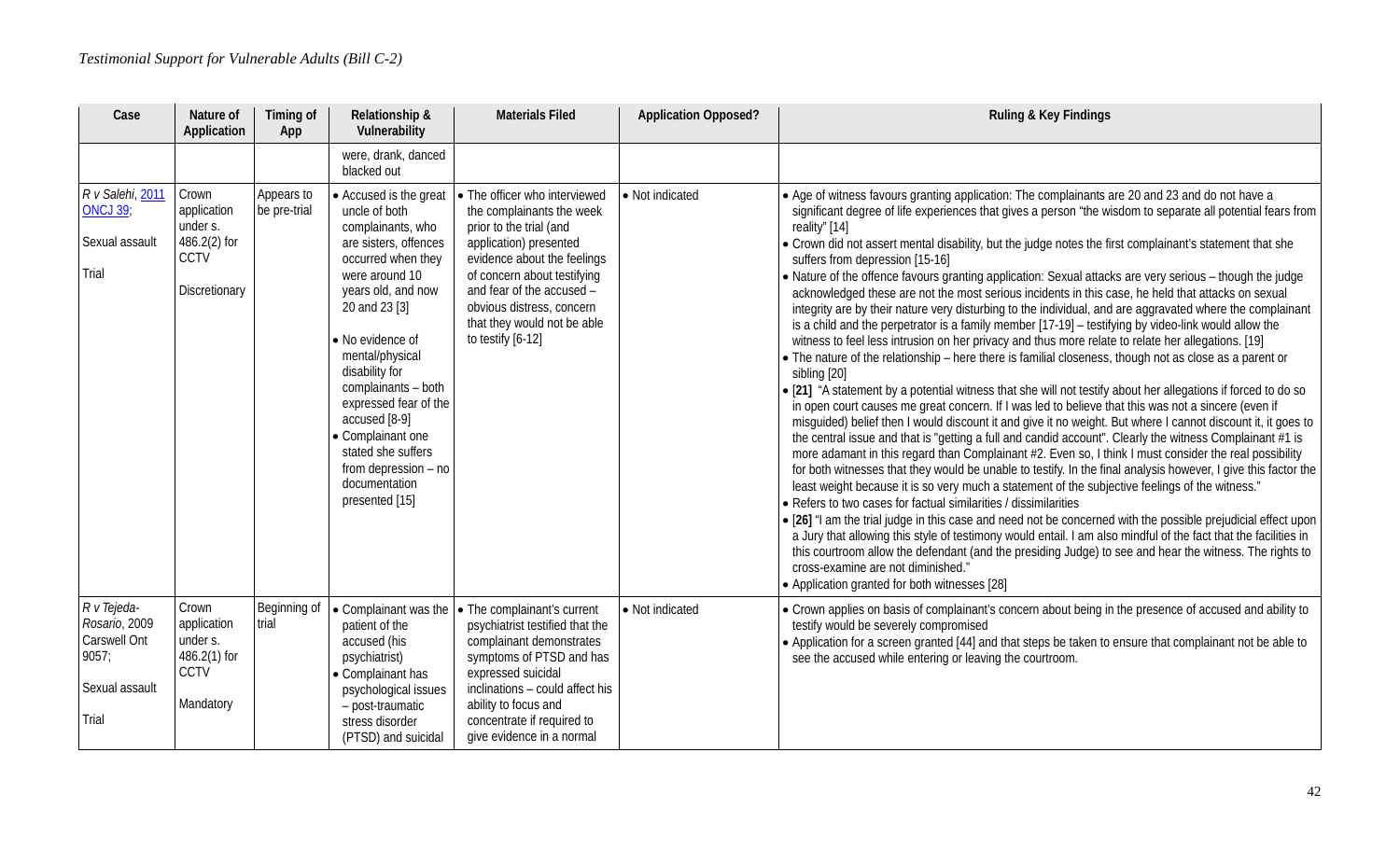| Case                                                                             | Nature of<br>Application                                                         | Timing of<br>App           | Relationship &<br>Vulnerability                                                                                                                                                                                                                                                                                                                                                                      | <b>Materials Filed</b>                                                                                                                                                                                                                                                                      | <b>Application Opposed?</b> | <b>Ruling &amp; Key Findings</b>                                                                                                                                                                                                                                                                                                                                                                                                                                                                                                                                                                                                                                                                                                                                                                                                                                                                                                                                                                                                                                                                                                                                                                                                                                                                                                                                                                                                                                                                                                                                                                                                                                                                                                                                                                                                                                                                                                                                                                                                                                                                                                                                                                                                                                                                                                                    |
|----------------------------------------------------------------------------------|----------------------------------------------------------------------------------|----------------------------|------------------------------------------------------------------------------------------------------------------------------------------------------------------------------------------------------------------------------------------------------------------------------------------------------------------------------------------------------------------------------------------------------|---------------------------------------------------------------------------------------------------------------------------------------------------------------------------------------------------------------------------------------------------------------------------------------------|-----------------------------|-----------------------------------------------------------------------------------------------------------------------------------------------------------------------------------------------------------------------------------------------------------------------------------------------------------------------------------------------------------------------------------------------------------------------------------------------------------------------------------------------------------------------------------------------------------------------------------------------------------------------------------------------------------------------------------------------------------------------------------------------------------------------------------------------------------------------------------------------------------------------------------------------------------------------------------------------------------------------------------------------------------------------------------------------------------------------------------------------------------------------------------------------------------------------------------------------------------------------------------------------------------------------------------------------------------------------------------------------------------------------------------------------------------------------------------------------------------------------------------------------------------------------------------------------------------------------------------------------------------------------------------------------------------------------------------------------------------------------------------------------------------------------------------------------------------------------------------------------------------------------------------------------------------------------------------------------------------------------------------------------------------------------------------------------------------------------------------------------------------------------------------------------------------------------------------------------------------------------------------------------------------------------------------------------------------------------------------------------------|
|                                                                                  |                                                                                  |                            | were, drank, danced<br>blacked out                                                                                                                                                                                                                                                                                                                                                                   |                                                                                                                                                                                                                                                                                             |                             |                                                                                                                                                                                                                                                                                                                                                                                                                                                                                                                                                                                                                                                                                                                                                                                                                                                                                                                                                                                                                                                                                                                                                                                                                                                                                                                                                                                                                                                                                                                                                                                                                                                                                                                                                                                                                                                                                                                                                                                                                                                                                                                                                                                                                                                                                                                                                     |
| R v Salehi, 2011<br><b>ONCJ 39</b><br>Sexual assault<br>Trial                    | Crown<br>application<br>under s.<br>486.2(2) for<br><b>CCTV</b><br>Discretionary | Appears to<br>be pre-trial | • Accused is the great<br>uncle of both<br>complainants, who<br>are sisters, offences<br>occurred when they<br>were around 10<br>years old, and now<br>20 and 23 [3]<br>• No evidence of<br>mental/physical<br>disability for<br>complainants - both<br>expressed fear of the<br>accused [8-9]<br>• Complainant one<br>stated she suffers<br>from depression - no<br>documentation<br>presented [15] | • The officer who interviewed<br>the complainants the week<br>prior to the trial (and<br>application) presented<br>evidence about the feelings<br>of concern about testifying<br>and fear of the accused -<br>obvious distress, concern<br>that they would not be able<br>to testify [6-12] | • Not indicated             | • Age of witness favours granting application: The complainants are 20 and 23 and do not have a<br>significant degree of life experiences that gives a person "the wisdom to separate all potential fears from<br>reality" [14]<br>• Crown did not assert mental disability, but the judge notes the first complainant's statement that she<br>suffers from depression [15-16]<br>• Nature of the offence favours granting application: Sexual attacks are very serious - though the judge<br>acknowledged these are not the most serious incidents in this case, he held that attacks on sexual<br>integrity are by their nature very disturbing to the individual, and are aggravated where the complainant<br>is a child and the perpetrator is a family member [17-19] - testifying by video-link would allow the<br>witness to feel less intrusion on her privacy and thus more relate to relate her allegations. [19]<br>• The nature of the relationship - here there is familial closeness, though not as close as a parent or<br>sibling [20]<br>• [21] "A statement by a potential witness that she will not testify about her allegations if forced to do so<br>in open court causes me great concern. If I was led to believe that this was not a sincere (even if<br>misquided) belief then I would discount it and give it no weight. But where I cannot discount it, it goes to<br>the central issue and that is "getting a full and candid account". Clearly the witness Complainant #1 is<br>more adamant in this regard than Complainant #2. Even so, I think I must consider the real possibility<br>for both witnesses that they would be unable to testify. In the final analysis however, I give this factor the<br>least weight because it is so very much a statement of the subjective feelings of the witness."<br>• Refers to two cases for factual similarities / dissimilarities<br>. [26] "I am the trial judge in this case and need not be concerned with the possible prejudicial effect upon<br>a Jury that allowing this style of testimony would entail. I am also mindful of the fact that the facilities in<br>this courtroom allow the defendant (and the presiding Judge) to see and hear the witness. The rights to<br>cross-examine are not diminished."<br>• Application granted for both witnesses [28] |
| R v Tejeda-<br>Rosario, 2009<br>Carswell Ont<br>9057;<br>Sexual assault<br>Trial | Crown<br>application<br>under s.<br>$486.2(1)$ for<br><b>CCTV</b><br>Mandatory   | Beginning of<br>trial      | • Complainant was the<br>patient of the<br>accused (his<br>psychiatrist)<br>• Complainant has<br>psychological issues<br>- post-traumatic<br>stress disorder<br>(PTSD) and suicidal                                                                                                                                                                                                                  | • The complainant's current<br>psychiatrist testified that the<br>complainant demonstrates<br>symptoms of PTSD and has<br>expressed suicidal<br>inclinations - could affect his<br>ability to focus and<br>concentrate if required to<br>give evidence in a normal                          | • Not indicated             | • Crown applies on basis of complainant's concern about being in the presence of accused and ability to<br>testify would be severely compromised<br>• Application for a screen granted [44] and that steps be taken to ensure that complainant not be able to<br>see the accused while entering or leaving the courtroom.                                                                                                                                                                                                                                                                                                                                                                                                                                                                                                                                                                                                                                                                                                                                                                                                                                                                                                                                                                                                                                                                                                                                                                                                                                                                                                                                                                                                                                                                                                                                                                                                                                                                                                                                                                                                                                                                                                                                                                                                                           |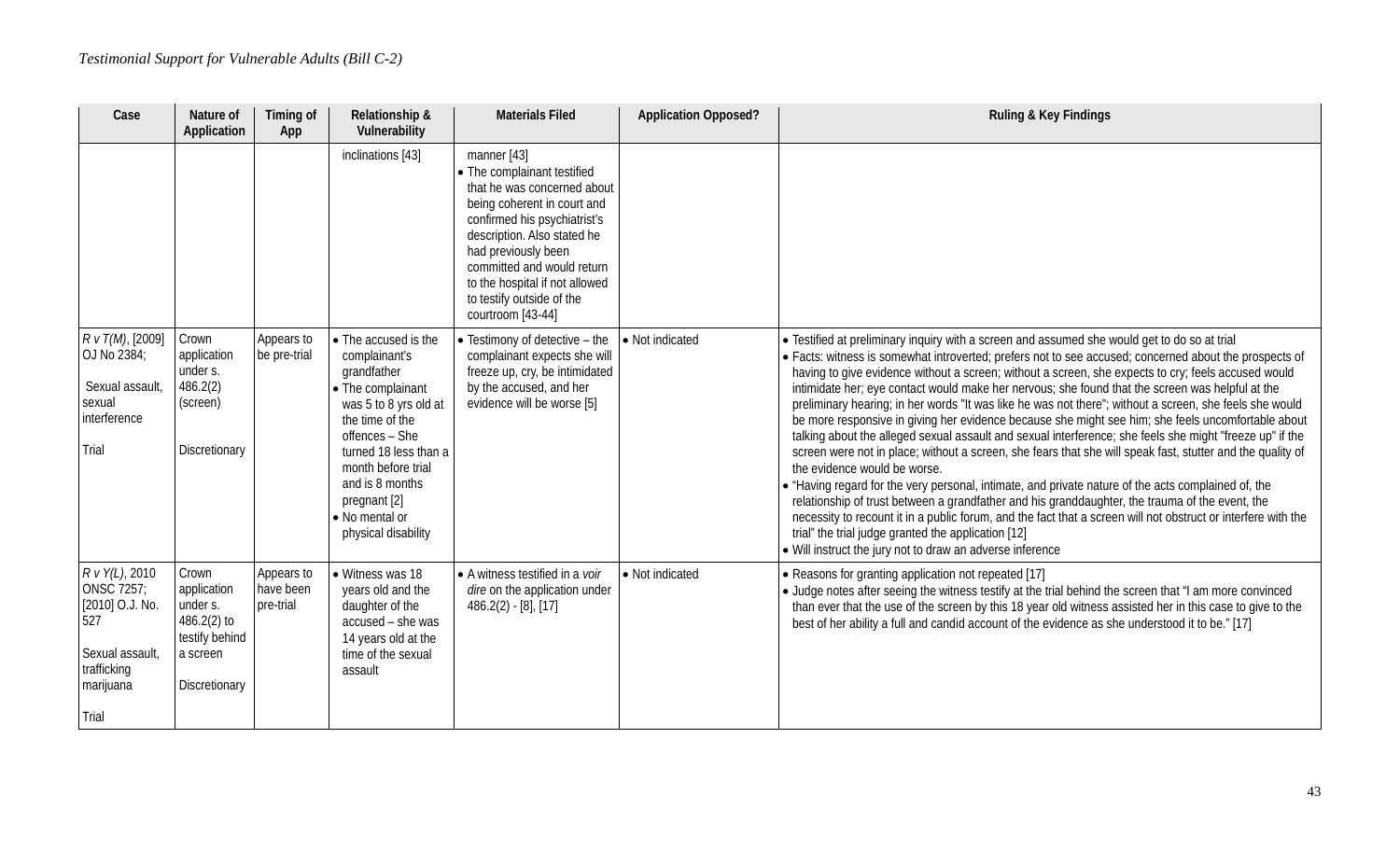| Case                                                                                                                       | Nature of<br>Application                                                                         | Timing of<br>App                     | Relationship &<br>Vulnerability                                                                                                                                                                                                                                    | <b>Materials Filed</b>                                                                                                                                                                                                                                                                                           | <b>Application Opposed?</b> | Ruling & Key Findings                                                                                                                                                                                                                                                                                                                                                                                                                                                                                                                                                                                                                                                                                                                                                                                                                                                                                                                                                                                                                                                                                                                                                                                                                                                                                                                       |
|----------------------------------------------------------------------------------------------------------------------------|--------------------------------------------------------------------------------------------------|--------------------------------------|--------------------------------------------------------------------------------------------------------------------------------------------------------------------------------------------------------------------------------------------------------------------|------------------------------------------------------------------------------------------------------------------------------------------------------------------------------------------------------------------------------------------------------------------------------------------------------------------|-----------------------------|---------------------------------------------------------------------------------------------------------------------------------------------------------------------------------------------------------------------------------------------------------------------------------------------------------------------------------------------------------------------------------------------------------------------------------------------------------------------------------------------------------------------------------------------------------------------------------------------------------------------------------------------------------------------------------------------------------------------------------------------------------------------------------------------------------------------------------------------------------------------------------------------------------------------------------------------------------------------------------------------------------------------------------------------------------------------------------------------------------------------------------------------------------------------------------------------------------------------------------------------------------------------------------------------------------------------------------------------|
|                                                                                                                            |                                                                                                  |                                      | inclinations [43]                                                                                                                                                                                                                                                  | manner [43]<br>• The complainant testified<br>that he was concerned about<br>being coherent in court and<br>confirmed his psychiatrist's<br>description. Also stated he<br>had previously been<br>committed and would return<br>to the hospital if not allowed<br>to testify outside of the<br>courtroom [43-44] |                             |                                                                                                                                                                                                                                                                                                                                                                                                                                                                                                                                                                                                                                                                                                                                                                                                                                                                                                                                                                                                                                                                                                                                                                                                                                                                                                                                             |
| $R \, v \, T(M)$ , [2009]<br>OJ No 2384;<br>Sexual assault,<br>sexual<br>interference<br>Trial                             | Crown<br>application<br>under s.<br>486.2(2)<br>(screen)<br>Discretionary                        | Appears to<br>be pre-trial           | • The accused is the<br>complainant's<br>grandfather<br>• The complainant<br>was 5 to 8 yrs old at<br>the time of the<br>offences - She<br>turned 18 less than a<br>month before trial<br>and is 8 months<br>pregnant [2]<br>• No mental or<br>physical disability | $\bullet$ Testimony of detective – the<br>complainant expects she will<br>freeze up, cry, be intimidated<br>by the accused, and her<br>evidence will be worse [5]                                                                                                                                                | • Not indicated             | • Testified at preliminary inquiry with a screen and assumed she would get to do so at trial<br>· Facts: witness is somewhat introverted; prefers not to see accused; concerned about the prospects of<br>having to give evidence without a screen; without a screen, she expects to cry; feels accused would<br>intimidate her; eye contact would make her nervous; she found that the screen was helpful at the<br>preliminary hearing; in her words "It was like he was not there"; without a screen, she feels she would<br>be more responsive in giving her evidence because she might see him; she feels uncomfortable about<br>talking about the alleged sexual assault and sexual interference; she feels she might "freeze up" if the<br>screen were not in place; without a screen, she fears that she will speak fast, stutter and the quality of<br>the evidence would be worse.<br>• "Having regard for the very personal, intimate, and private nature of the acts complained of, the<br>relationship of trust between a grandfather and his granddaughter, the trauma of the event, the<br>necessity to recount it in a public forum, and the fact that a screen will not obstruct or interfere with the<br>trial" the trial judge granted the application [12]<br>• Will instruct the jury not to draw an adverse inference |
| $R$ v $Y(L)$ , 2010<br><b>ONSC 7257:</b><br>[2010] O.J. No.<br>527<br>Sexual assault,<br>trafficking<br>marijuana<br>Trial | Crown<br>application<br>under s.<br>$486.2(2)$ to<br>testify behind<br>a screen<br>Discretionary | Appears to<br>have been<br>pre-trial | • Witness was 18<br>years old and the<br>daughter of the<br>accused - she was<br>14 years old at the<br>time of the sexual<br>assault                                                                                                                              | • A witness testified in a voir<br>dire on the application under<br>$486.2(2) - [8]$ , [17]                                                                                                                                                                                                                      | • Not indicated             | • Reasons for granting application not repeated [17]<br>• Judge notes after seeing the witness testify at the trial behind the screen that "I am more convinced<br>than ever that the use of the screen by this 18 year old witness assisted her in this case to give to the<br>best of her ability a full and candid account of the evidence as she understood it to be." [17]                                                                                                                                                                                                                                                                                                                                                                                                                                                                                                                                                                                                                                                                                                                                                                                                                                                                                                                                                             |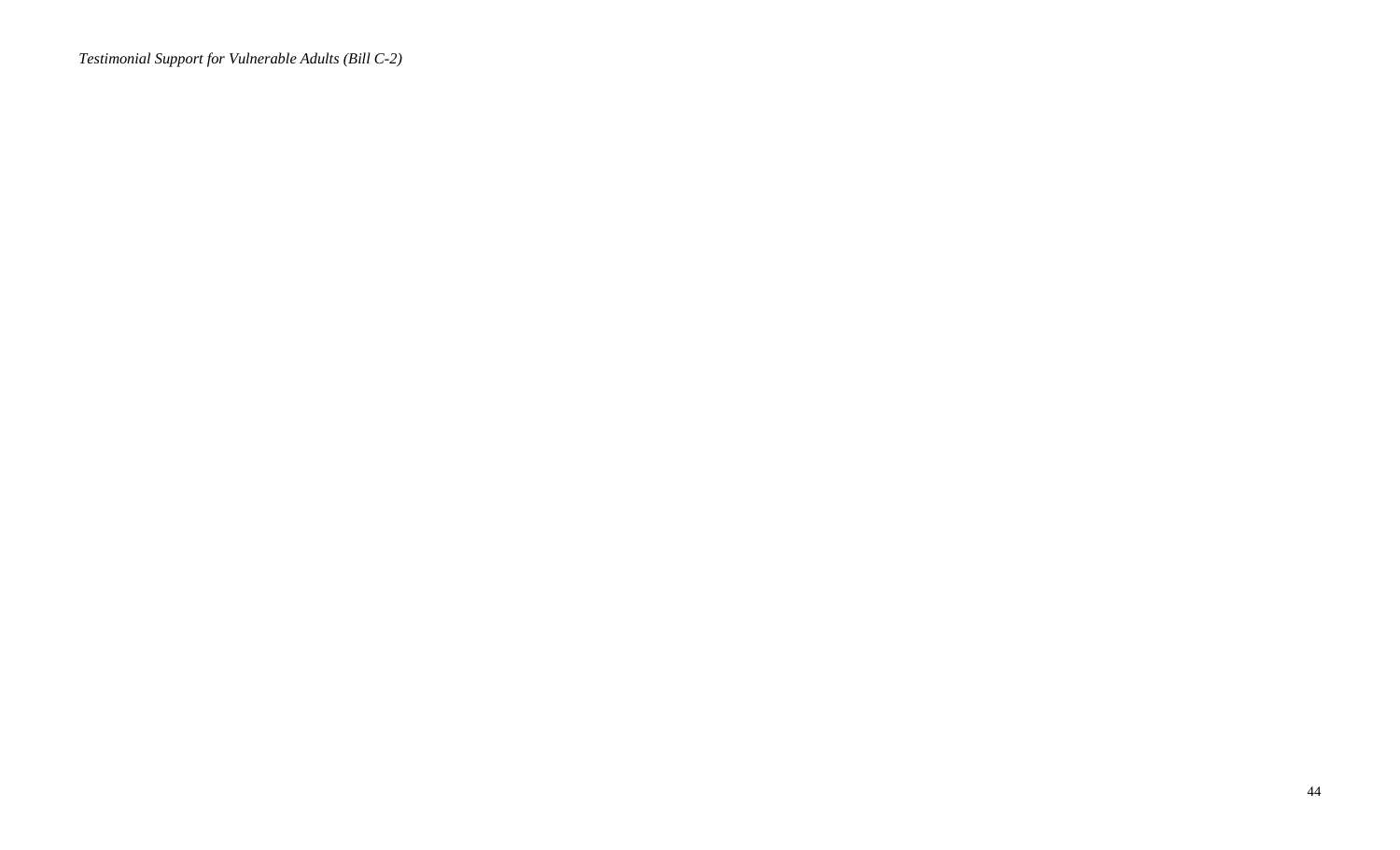*Testimonial Support for Vulnerable Adults (Bill C-2)*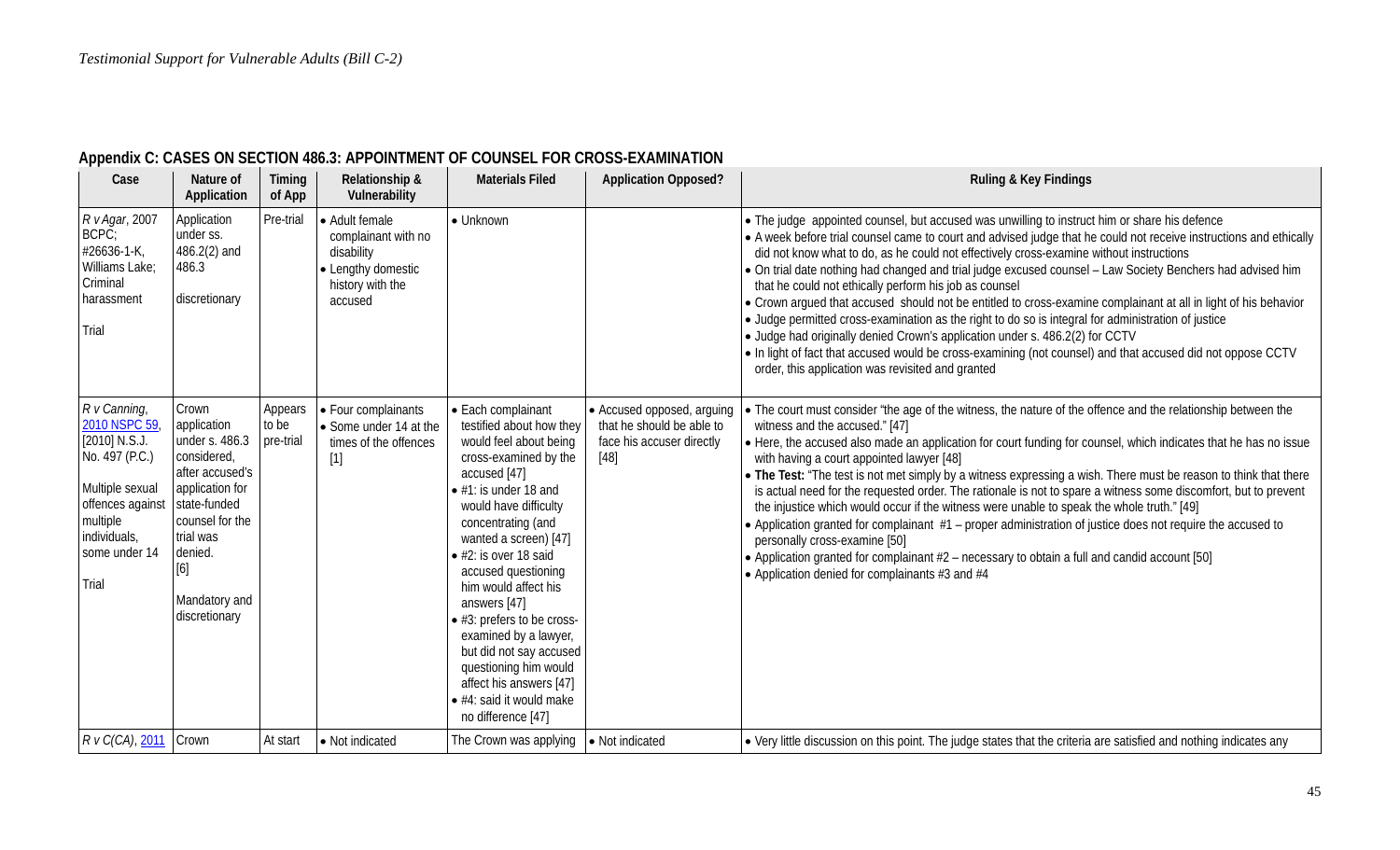<span id="page-48-0"></span>

| Case                                                                                                                                                         | Nature of<br>Application                                                                                                                                                                        | Timing<br>of App              | Relationship &<br>Vulnerability                                                                          | <b>Materials Filed</b>                                                                                                                                                                                                                                                                                                                                                                                                                                                                                                             | <b>Application Opposed?</b>                                                                    | <b>Ruling &amp; Key Findings</b>                                                                                                                                                                                                                                                                                                                                                                                                                                                                                                                                                                                                                                                                                                                                                                                                                                                                                                                                     |
|--------------------------------------------------------------------------------------------------------------------------------------------------------------|-------------------------------------------------------------------------------------------------------------------------------------------------------------------------------------------------|-------------------------------|----------------------------------------------------------------------------------------------------------|------------------------------------------------------------------------------------------------------------------------------------------------------------------------------------------------------------------------------------------------------------------------------------------------------------------------------------------------------------------------------------------------------------------------------------------------------------------------------------------------------------------------------------|------------------------------------------------------------------------------------------------|----------------------------------------------------------------------------------------------------------------------------------------------------------------------------------------------------------------------------------------------------------------------------------------------------------------------------------------------------------------------------------------------------------------------------------------------------------------------------------------------------------------------------------------------------------------------------------------------------------------------------------------------------------------------------------------------------------------------------------------------------------------------------------------------------------------------------------------------------------------------------------------------------------------------------------------------------------------------|
| R v Agar, 2007<br>BCPC;<br>#26636-1-K,<br>Williams Lake;<br>Criminal<br>harassment<br>Trial                                                                  | Application<br>under ss.<br>486.2(2) and<br>486.3<br>discretionary                                                                                                                              | Pre-trial                     | • Adult female<br>complainant with no<br>disability<br>• Lengthy domestic<br>history with the<br>accused | • Unknown                                                                                                                                                                                                                                                                                                                                                                                                                                                                                                                          |                                                                                                | • The judge appointed counsel, but accused was unwilling to instruct him or share his defence<br>• A week before trial counsel came to court and advised judge that he could not receive instructions and ethically<br>did not know what to do, as he could not effectively cross-examine without instructions<br>. On trial date nothing had changed and trial judge excused counsel - Law Society Benchers had advised him<br>that he could not ethically perform his job as counsel<br>• Crown argued that accused should not be entitled to cross-examine complainant at all in light of his behavior<br>• Judge permitted cross-examination as the right to do so is integral for administration of justice<br>• Judge had originally denied Crown's application under s. 486.2(2) for CCTV<br>• In light of fact that accused would be cross-examining (not counsel) and that accused did not oppose CCTV<br>order, this application was revisited and granted |
| R v Canning,<br>2010 NSPC 59<br>[2010] N.S.J.<br>No. 497 (P.C.)<br>Multiple sexual<br>offences against<br>multiple<br>individuals,<br>some under 14<br>Trial | Crown<br>application<br>under s. 486.3<br>considered,<br>after accused's<br>application for<br>state-funded<br>counsel for the<br>trial was<br>denied.<br>[6]<br>Mandatory and<br>discretionary | Appears<br>to be<br>pre-trial | • Four complainants<br>• Some under 14 at the<br>times of the offences<br>$[1]$                          | • Each complainant<br>testified about how they<br>would feel about being<br>cross-examined by the<br>accused [47]<br>$\bullet$ #1: is under 18 and<br>would have difficulty<br>concentrating (and<br>wanted a screen) [47]<br>$\bullet$ #2: is over 18 said<br>accused questioning<br>him would affect his<br>answers [47]<br>$\bullet$ #3: prefers to be cross-<br>examined by a lawyer,<br>but did not say accused<br>questioning him would<br>affect his answers [47]<br>$\bullet$ #4: said it would make<br>no difference [47] | • Accused opposed, arguing<br>that he should be able to<br>face his accuser directly<br>$[48]$ | • The court must consider "the age of the witness, the nature of the offence and the relationship between the<br>witness and the accused." [47]<br>. Here, the accused also made an application for court funding for counsel, which indicates that he has no issue<br>with having a court appointed lawyer [48]<br>• The Test: "The test is not met simply by a witness expressing a wish. There must be reason to think that there<br>is actual need for the requested order. The rationale is not to spare a witness some discomfort, but to prevent<br>the injustice which would occur if the witness were unable to speak the whole truth." [49]<br>• Application granted for complainant $#1$ – proper administration of justice does not require the accused to<br>personally cross-examine [50]<br>• Application granted for complainant #2 - necessary to obtain a full and candid account [50]<br>$\bullet$ Application denied for complainants #3 and #4  |
| R v C(CA), 2011                                                                                                                                              | Crown                                                                                                                                                                                           | At start                      | • Not indicated                                                                                          | The Crown was applying $\bullet$ Not indicated                                                                                                                                                                                                                                                                                                                                                                                                                                                                                     |                                                                                                | • Very little discussion on this point. The judge states that the criteria are satisfied and nothing indicates any                                                                                                                                                                                                                                                                                                                                                                                                                                                                                                                                                                                                                                                                                                                                                                                                                                                   |

## **Appendix C: CASES ON SECTION 486.3: APPOINTMENT OF COUNSEL FOR CROSS-EXAMINATION**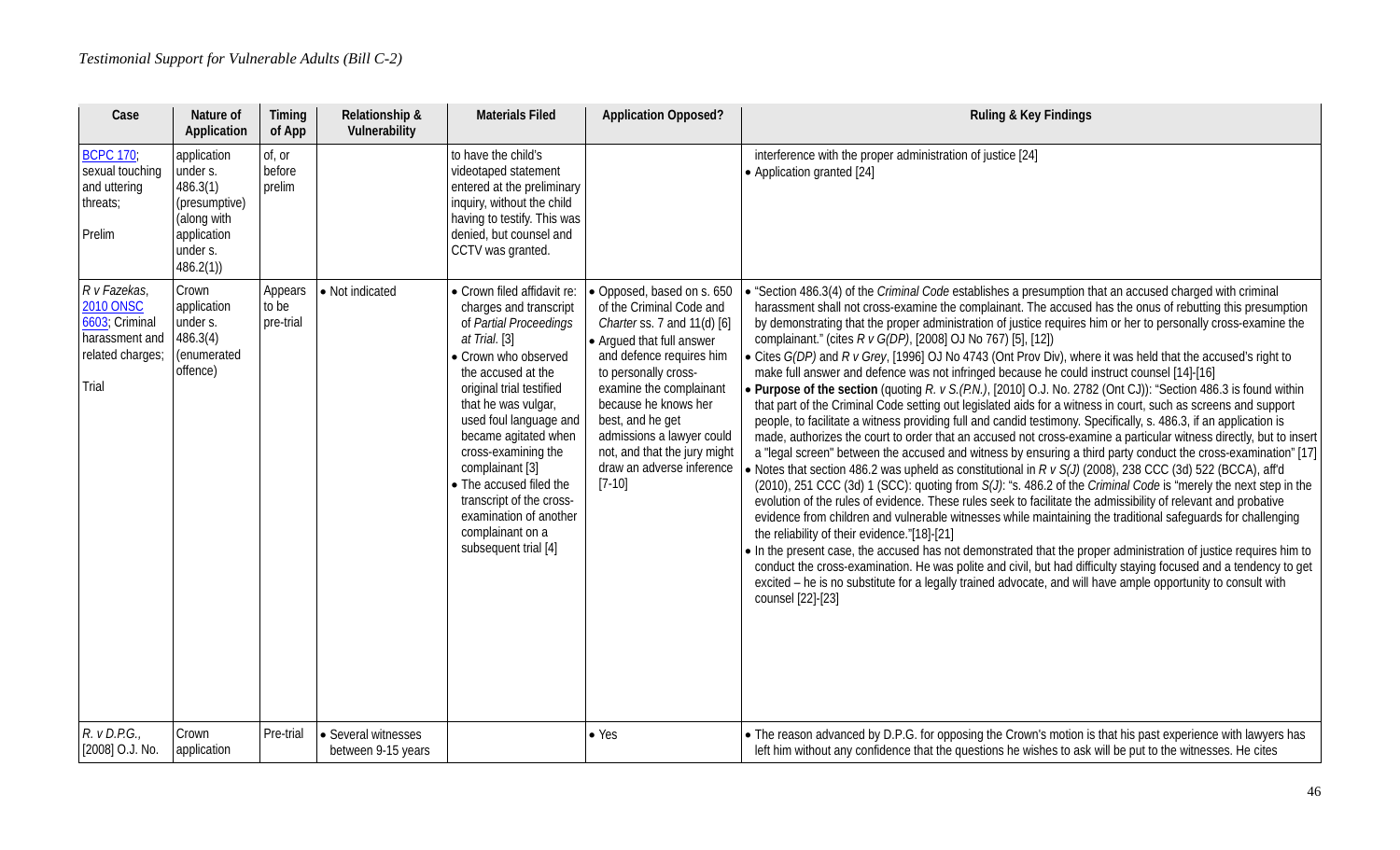| Case                                                                                               | Nature of<br>Application                                                                                   | Timing<br>of App              | Relationship &<br>Vulnerability           | <b>Materials Filed</b>                                                                                                                                                                                                                                                                                                                                                                                                     | <b>Application Opposed?</b>                                                                                                                                                                                                                                                                                                                         | <b>Ruling &amp; Key Findings</b>                                                                                                                                                                                                                                                                                                                                                                                                                                                                                                                                                                                                                                                                                                                                                                                                                                                                                                                                                                                                                                                                                                                                                                                                                                                                                                                                                                                                                                                                                                                                                                                                                                                                                                                                                                                                                                                                                                                                                                                                                                                                                                 |
|----------------------------------------------------------------------------------------------------|------------------------------------------------------------------------------------------------------------|-------------------------------|-------------------------------------------|----------------------------------------------------------------------------------------------------------------------------------------------------------------------------------------------------------------------------------------------------------------------------------------------------------------------------------------------------------------------------------------------------------------------------|-----------------------------------------------------------------------------------------------------------------------------------------------------------------------------------------------------------------------------------------------------------------------------------------------------------------------------------------------------|----------------------------------------------------------------------------------------------------------------------------------------------------------------------------------------------------------------------------------------------------------------------------------------------------------------------------------------------------------------------------------------------------------------------------------------------------------------------------------------------------------------------------------------------------------------------------------------------------------------------------------------------------------------------------------------------------------------------------------------------------------------------------------------------------------------------------------------------------------------------------------------------------------------------------------------------------------------------------------------------------------------------------------------------------------------------------------------------------------------------------------------------------------------------------------------------------------------------------------------------------------------------------------------------------------------------------------------------------------------------------------------------------------------------------------------------------------------------------------------------------------------------------------------------------------------------------------------------------------------------------------------------------------------------------------------------------------------------------------------------------------------------------------------------------------------------------------------------------------------------------------------------------------------------------------------------------------------------------------------------------------------------------------------------------------------------------------------------------------------------------------|
| <b>BCPC 170</b><br>sexual touching<br>and uttering<br>threats;<br>Prelim                           | application<br>under s.<br>486.3(1)<br>(presumptive)<br>(along with<br>application<br>under s.<br>486.2(1) | of, or<br>before<br>prelim    |                                           | to have the child's<br>videotaped statement<br>entered at the preliminary<br>inquiry, without the child<br>having to testify. This was<br>denied, but counsel and<br>CCTV was granted.                                                                                                                                                                                                                                     |                                                                                                                                                                                                                                                                                                                                                     | interference with the proper administration of justice [24]<br>• Application granted [24]                                                                                                                                                                                                                                                                                                                                                                                                                                                                                                                                                                                                                                                                                                                                                                                                                                                                                                                                                                                                                                                                                                                                                                                                                                                                                                                                                                                                                                                                                                                                                                                                                                                                                                                                                                                                                                                                                                                                                                                                                                        |
| $Rv$ Fazekas,<br><b>2010 ONSC</b><br>6603; Criminal<br>harassment and<br>related charges;<br>Trial | Crown<br>application<br>under s.<br>486.3(4)<br>(enumerated<br>offence)                                    | Appears<br>to be<br>pre-trial | • Not indicated                           | • Crown filed affidavit re:<br>charges and transcript<br>of Partial Proceedings<br>at Trial. [3]<br>• Crown who observed<br>the accused at the<br>original trial testified<br>that he was vulgar,<br>used foul language and<br>became agitated when<br>cross-examining the<br>complainant [3]<br>• The accused filed the<br>transcript of the cross-<br>examination of another<br>complainant on a<br>subsequent trial [4] | • Opposed, based on s. 650<br>of the Criminal Code and<br>Charter ss. 7 and 11(d) [6]<br>• Argued that full answer<br>and defence requires him<br>to personally cross-<br>examine the complainant<br>because he knows her<br>best, and he get<br>admissions a lawyer could<br>not, and that the jury might<br>draw an adverse inference<br>$[7-10]$ | • "Section 486.3(4) of the Criminal Code establishes a presumption that an accused charged with criminal<br>harassment shall not cross-examine the complainant. The accused has the onus of rebutting this presumption<br>by demonstrating that the proper administration of justice requires him or her to personally cross-examine the<br>complainant." (cites R v G(DP), [2008] OJ No 767) [5], [12])<br>• Cites $G(DP)$ and $R$ v Grey, [1996] OJ No 4743 (Ont Prov Div), where it was held that the accused's right to<br>make full answer and defence was not infringed because he could instruct counsel [14]-[16]<br>• Purpose of the section (quoting R. v S.(P.N.), [2010] O.J. No. 2782 (Ont CJ)): "Section 486.3 is found within<br>that part of the Criminal Code setting out legislated aids for a witness in court, such as screens and support<br>people, to facilitate a witness providing full and candid testimony. Specifically, s. 486.3, if an application is<br>made, authorizes the court to order that an accused not cross-examine a particular witness directly, but to insert<br>a "legal screen" between the accused and witness by ensuring a third party conduct the cross-examination" [17]<br>• Notes that section 486.2 was upheld as constitutional in $R \vee S(J)$ (2008), 238 CCC (3d) 522 (BCCA), aff'd<br>(2010), 251 CCC (3d) 1 (SCC): quoting from S(J): "s. 486.2 of the Criminal Code is "merely the next step in the<br>evolution of the rules of evidence. These rules seek to facilitate the admissibility of relevant and probative<br>evidence from children and vulnerable witnesses while maintaining the traditional safeguards for challenging<br>the reliability of their evidence."[18]-[21]<br>In the present case, the accused has not demonstrated that the proper administration of justice requires him to<br>conduct the cross-examination. He was polite and civil, but had difficulty staying focused and a tendency to get<br>excited - he is no substitute for a legally trained advocate, and will have ample opportunity to consult with<br>counsel [22]-[23] |
| $R. v$ D.P.G.,<br>[2008] O.J. No.                                                                  | Crown<br>application                                                                                       | Pre-trial                     | • Several witnesses<br>between 9-15 years |                                                                                                                                                                                                                                                                                                                                                                                                                            | $\bullet$ Yes                                                                                                                                                                                                                                                                                                                                       | • The reason advanced by D.P.G. for opposing the Crown's motion is that his past experience with lawyers has<br>left him without any confidence that the questions he wishes to ask will be put to the witnesses. He cites                                                                                                                                                                                                                                                                                                                                                                                                                                                                                                                                                                                                                                                                                                                                                                                                                                                                                                                                                                                                                                                                                                                                                                                                                                                                                                                                                                                                                                                                                                                                                                                                                                                                                                                                                                                                                                                                                                       |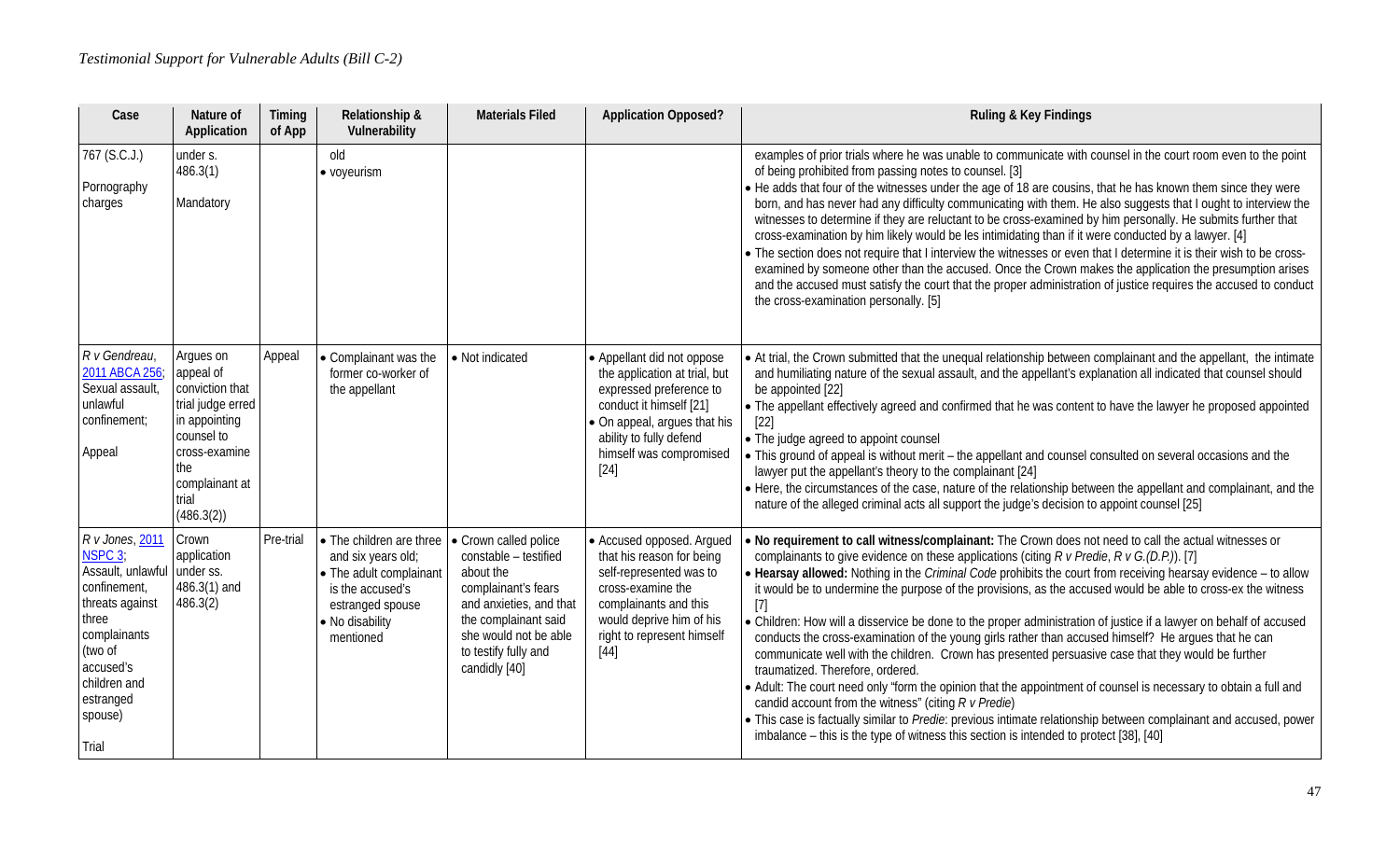| Case                                                                                                                                                                                           | Nature of<br>Application                                                                                                                                       | Timing<br>of App | Relationship &<br>Vulnerability                                                                                                                   | <b>Materials Filed</b>                                                                                                                                                                                  | <b>Application Opposed?</b>                                                                                                                                                                                       | Ruling & Key Findings                                                                                                                                                                                                                                                                                                                                                                                                                                                                                                                                                                                                                                                                                                                                                                                                                                                                                                                                                                                                                                                                                                                                                                                                   |
|------------------------------------------------------------------------------------------------------------------------------------------------------------------------------------------------|----------------------------------------------------------------------------------------------------------------------------------------------------------------|------------------|---------------------------------------------------------------------------------------------------------------------------------------------------|---------------------------------------------------------------------------------------------------------------------------------------------------------------------------------------------------------|-------------------------------------------------------------------------------------------------------------------------------------------------------------------------------------------------------------------|-------------------------------------------------------------------------------------------------------------------------------------------------------------------------------------------------------------------------------------------------------------------------------------------------------------------------------------------------------------------------------------------------------------------------------------------------------------------------------------------------------------------------------------------------------------------------------------------------------------------------------------------------------------------------------------------------------------------------------------------------------------------------------------------------------------------------------------------------------------------------------------------------------------------------------------------------------------------------------------------------------------------------------------------------------------------------------------------------------------------------------------------------------------------------------------------------------------------------|
| 767 (S.C.J.)<br>Pornography<br>charges                                                                                                                                                         | under s.<br>486.3(1)<br>Mandatory                                                                                                                              |                  | old<br>• voyeurism                                                                                                                                |                                                                                                                                                                                                         |                                                                                                                                                                                                                   | examples of prior trials where he was unable to communicate with counsel in the court room even to the point<br>of being prohibited from passing notes to counsel. [3]<br>• He adds that four of the witnesses under the age of 18 are cousins, that he has known them since they were<br>born, and has never had any difficulty communicating with them. He also suggests that I ought to interview the<br>witnesses to determine if they are reluctant to be cross-examined by him personally. He submits further that<br>cross-examination by him likely would be les intimidating than if it were conducted by a lawyer. [4]<br>The section does not require that I interview the witnesses or even that I determine it is their wish to be cross-<br>examined by someone other than the accused. Once the Crown makes the application the presumption arises<br>and the accused must satisfy the court that the proper administration of justice requires the accused to conduct<br>the cross-examination personally. [5]                                                                                                                                                                                          |
| R v Gendreau,<br>2011 ABCA 256;<br>Sexual assault,<br>unlawful<br>confinement;<br>Appeal                                                                                                       | Argues on<br>appeal of<br>conviction that<br>trial judge erred<br>in appointing<br>counsel to<br>cross-examine<br>the<br>complainant at<br>trial<br>(486.3(2)) | Appeal           | • Complainant was the<br>former co-worker of<br>the appellant                                                                                     | • Not indicated                                                                                                                                                                                         | • Appellant did not oppose<br>the application at trial, but<br>expressed preference to<br>conduct it himself [21]<br>• On appeal, argues that his<br>ability to fully defend<br>himself was compromised<br>$[24]$ | • At trial, the Crown submitted that the unequal relationship between complainant and the appellant, the intimate<br>and humiliating nature of the sexual assault, and the appellant's explanation all indicated that counsel should<br>be appointed [22]<br>• The appellant effectively agreed and confirmed that he was content to have the lawyer he proposed appointed<br>$[22]$<br>• The judge agreed to appoint counsel<br>. This ground of appeal is without merit - the appellant and counsel consulted on several occasions and the<br>lawyer put the appellant's theory to the complainant [24]<br>• Here, the circumstances of the case, nature of the relationship between the appellant and complainant, and the<br>nature of the alleged criminal acts all support the judge's decision to appoint counsel [25]                                                                                                                                                                                                                                                                                                                                                                                           |
| R v Jones, 2011<br>NSPC 3;<br>Assault, unlawful under ss.<br>confinement,<br>threats against<br>three<br>complainants<br>(two of<br>accused's<br>children and<br>estranged<br>spouse)<br>Trial | Crown<br>application<br>486.3(1) and<br>486.3(2)                                                                                                               | Pre-trial        | • The children are three<br>and six years old;<br>• The adult complainant<br>is the accused's<br>estranged spouse<br>• No disability<br>mentioned | • Crown called police<br>constable - testified<br>about the<br>complainant's fears<br>and anxieties, and that<br>the complainant said<br>she would not be able<br>to testify fully and<br>candidly [40] | • Accused opposed. Argued<br>that his reason for being<br>self-represented was to<br>cross-examine the<br>complainants and this<br>would deprive him of his<br>right to represent himself<br>$[44]$               | . No requirement to call witness/complainant: The Crown does not need to call the actual witnesses or<br>complainants to give evidence on these applications (citing $R$ v Predie, $R$ v G.(D.P.)). [7]<br>• Hearsay allowed: Nothing in the Criminal Code prohibits the court from receiving hearsay evidence - to allow<br>it would be to undermine the purpose of the provisions, as the accused would be able to cross-ex the witness<br>$[7]$<br>• Children: How will a disservice be done to the proper administration of justice if a lawyer on behalf of accused<br>conducts the cross-examination of the young girls rather than accused himself? He arques that he can<br>communicate well with the children. Crown has presented persuasive case that they would be further<br>traumatized. Therefore, ordered.<br>• Adult: The court need only "form the opinion that the appointment of counsel is necessary to obtain a full and<br>candid account from the witness" (citing $R$ v Predie)<br>. This case is factually similar to Predie: previous intimate relationship between complainant and accused, power<br>imbalance – this is the type of witness this section is intended to protect [38], [40] |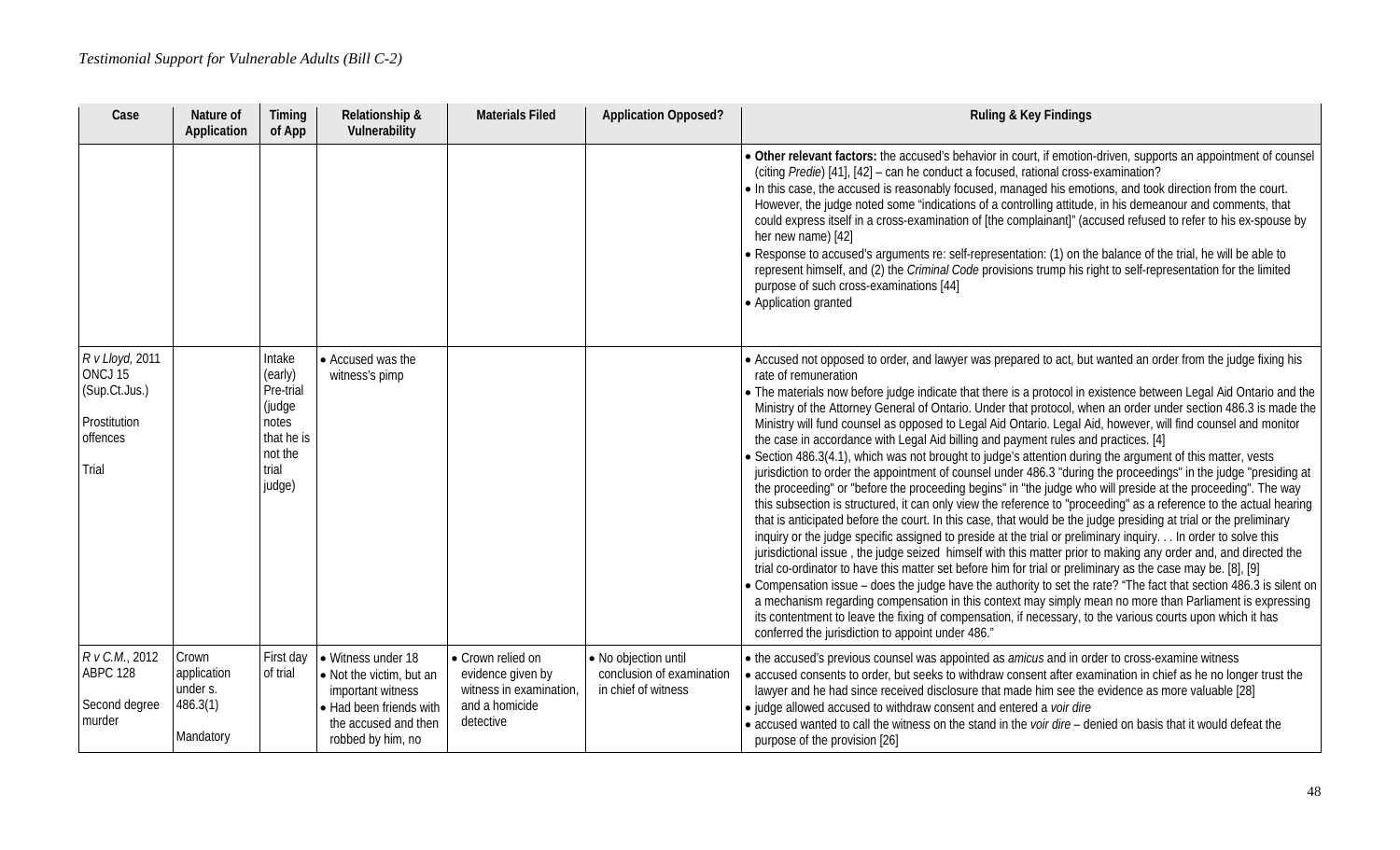| Case                                                                             | Nature of<br>Application                                  | Timing<br>of App                                                                              | Relationship &<br>Vulnerability                                                                                                             | <b>Materials Filed</b>                                                                           | <b>Application Opposed?</b>                                              | <b>Ruling &amp; Key Findings</b>                                                                                                                                                                                                                                                                                                                                                                                                                                                                                                                                                                                                                                                                                                                                                                                                                                                                                                                                                                                                                                                                                                                                                                                                                                                                                                                                                                                                                                                                                                                                                                                                                                                                                                                                                                                                                                                                                                        |
|----------------------------------------------------------------------------------|-----------------------------------------------------------|-----------------------------------------------------------------------------------------------|---------------------------------------------------------------------------------------------------------------------------------------------|--------------------------------------------------------------------------------------------------|--------------------------------------------------------------------------|-----------------------------------------------------------------------------------------------------------------------------------------------------------------------------------------------------------------------------------------------------------------------------------------------------------------------------------------------------------------------------------------------------------------------------------------------------------------------------------------------------------------------------------------------------------------------------------------------------------------------------------------------------------------------------------------------------------------------------------------------------------------------------------------------------------------------------------------------------------------------------------------------------------------------------------------------------------------------------------------------------------------------------------------------------------------------------------------------------------------------------------------------------------------------------------------------------------------------------------------------------------------------------------------------------------------------------------------------------------------------------------------------------------------------------------------------------------------------------------------------------------------------------------------------------------------------------------------------------------------------------------------------------------------------------------------------------------------------------------------------------------------------------------------------------------------------------------------------------------------------------------------------------------------------------------------|
|                                                                                  |                                                           |                                                                                               |                                                                                                                                             |                                                                                                  |                                                                          | . Other relevant factors: the accused's behavior in court, if emotion-driven, supports an appointment of counsel<br>(citing Predie) [41], [42] - can he conduct a focused, rational cross-examination?<br>• In this case, the accused is reasonably focused, managed his emotions, and took direction from the court.<br>However, the judge noted some "indications of a controlling attitude, in his demeanour and comments, that<br>could express itself in a cross-examination of [the complainant]" (accused refused to refer to his ex-spouse by<br>her new name) [42]<br>. Response to accused's arguments re: self-representation: (1) on the balance of the trial, he will be able to<br>represent himself, and (2) the Criminal Code provisions trump his right to self-representation for the limited<br>purpose of such cross-examinations [44]<br>• Application granted                                                                                                                                                                                                                                                                                                                                                                                                                                                                                                                                                                                                                                                                                                                                                                                                                                                                                                                                                                                                                                                     |
| R v Lloyd, 2011<br>ONCJ 15<br>(Sup.Ct.Jus.)<br>Prostitution<br>offences<br>Trial |                                                           | Intake<br>(early)<br>Pre-trial<br>(judge<br>notes<br>that he is<br>not the<br>trial<br>judge) | • Accused was the<br>witness's pimp                                                                                                         |                                                                                                  |                                                                          | • Accused not opposed to order, and lawyer was prepared to act, but wanted an order from the judge fixing his<br>rate of remuneration<br>• The materials now before judge indicate that there is a protocol in existence between Legal Aid Ontario and the<br>Ministry of the Attorney General of Ontario. Under that protocol, when an order under section 486.3 is made the<br>Ministry will fund counsel as opposed to Legal Aid Ontario. Legal Aid, however, will find counsel and monitor<br>the case in accordance with Legal Aid billing and payment rules and practices. [4]<br>Section 486.3(4.1), which was not brought to judge's attention during the argument of this matter, vests<br>jurisdiction to order the appointment of counsel under 486.3 "during the proceedings" in the judge "presiding at<br>the proceeding" or "before the proceeding begins" in "the judge who will preside at the proceeding". The way<br>this subsection is structured, it can only view the reference to "proceeding" as a reference to the actual hearing<br>that is anticipated before the court. In this case, that would be the judge presiding at trial or the preliminary<br>inquiry or the judge specific assigned to preside at the trial or preliminary inquiry In order to solve this<br>jurisdictional issue, the judge seized himself with this matter prior to making any order and, and directed the<br>trial co-ordinator to have this matter set before him for trial or preliminary as the case may be. [8], [9]<br>• Compensation issue – does the judge have the authority to set the rate? "The fact that section 486.3 is silent on<br>a mechanism regarding compensation in this context may simply mean no more than Parliament is expressing<br>its contentment to leave the fixing of compensation, if necessary, to the various courts upon which it has<br>conferred the jurisdiction to appoint under 486." |
| $R$ v C.M., 2012<br><b>ABPC 128</b><br>Second degree<br>murder                   | Crown<br>application<br>under s.<br>486.3(1)<br>Mandatory | First day<br>of trial                                                                         | · Witness under 18<br>• Not the victim, but an<br>important witness<br>• Had been friends with<br>the accused and then<br>robbed by him, no | • Crown relied on<br>evidence given by<br>witness in examination,<br>and a homicide<br>detective | • No objection until<br>conclusion of examination<br>in chief of witness | • the accused's previous counsel was appointed as amicus and in order to cross-examine witness<br>• accused consents to order, but seeks to withdraw consent after examination in chief as he no longer trust the<br>lawyer and he had since received disclosure that made him see the evidence as more valuable [28]<br>• judge allowed accused to withdraw consent and entered a voir dire<br>• accused wanted to call the witness on the stand in the <i>voir dire</i> – denied on basis that it would defeat the<br>purpose of the provision [26]                                                                                                                                                                                                                                                                                                                                                                                                                                                                                                                                                                                                                                                                                                                                                                                                                                                                                                                                                                                                                                                                                                                                                                                                                                                                                                                                                                                   |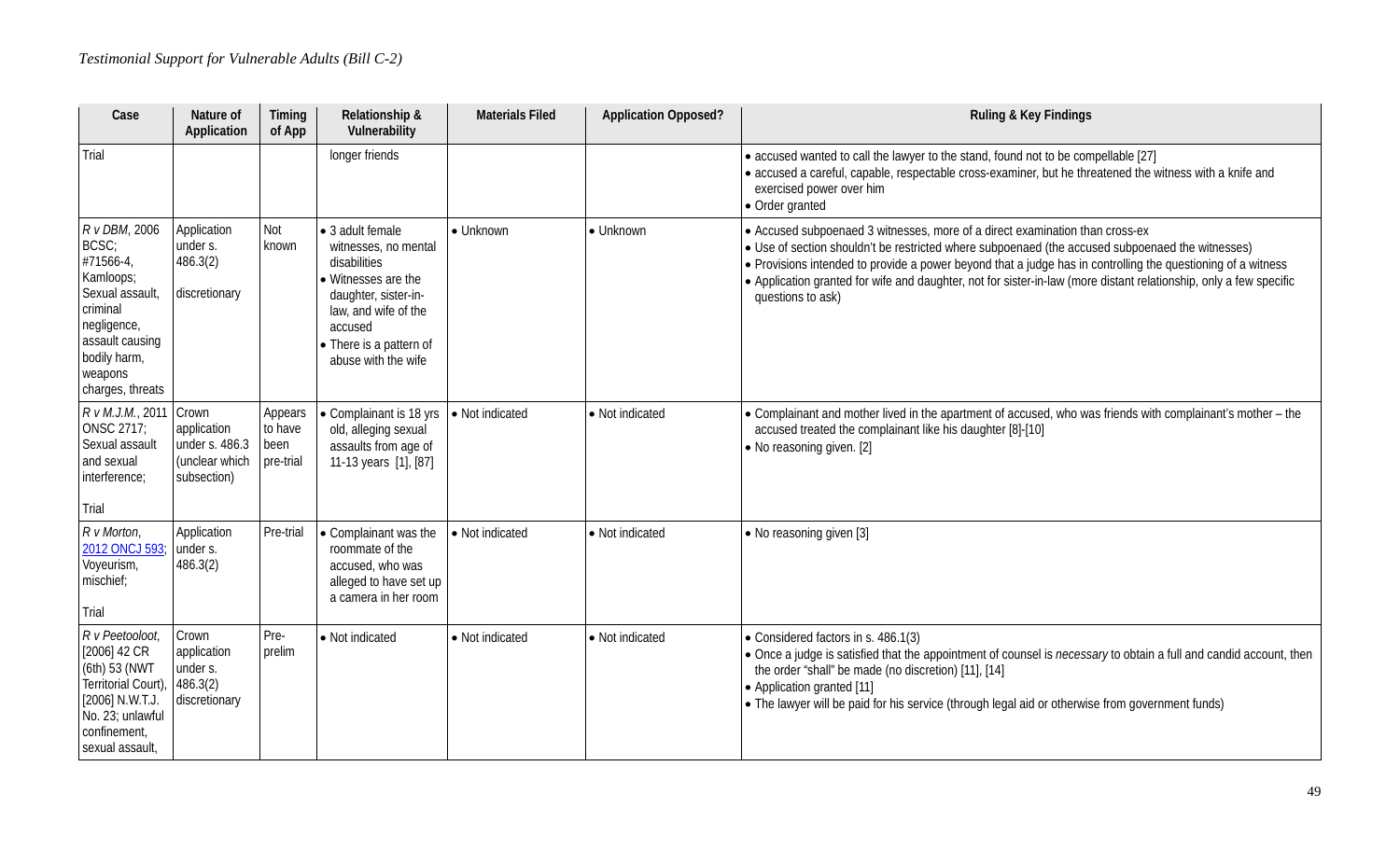| Case                                                                                                                                                             | Nature of<br>Application                                       | Timing<br>of App                        | Relationship &<br>Vulnerability                                                                                                                                                              | <b>Materials Filed</b> | <b>Application Opposed?</b> | <b>Ruling &amp; Key Findings</b>                                                                                                                                                                                                                                                                                                                                                                                                            |
|------------------------------------------------------------------------------------------------------------------------------------------------------------------|----------------------------------------------------------------|-----------------------------------------|----------------------------------------------------------------------------------------------------------------------------------------------------------------------------------------------|------------------------|-----------------------------|---------------------------------------------------------------------------------------------------------------------------------------------------------------------------------------------------------------------------------------------------------------------------------------------------------------------------------------------------------------------------------------------------------------------------------------------|
| Trial                                                                                                                                                            |                                                                |                                         | longer friends                                                                                                                                                                               |                        |                             | • accused wanted to call the lawyer to the stand, found not to be compellable [27]<br>• accused a careful, capable, respectable cross-examiner, but he threatened the witness with a knife and<br>exercised power over him<br>• Order granted                                                                                                                                                                                               |
| R v DBM, 2006<br>BCSC;<br>#71566-4,<br>Kamloops;<br>Sexual assault,<br>criminal<br>negligence,<br>assault causing<br>bodily harm,<br>weapons<br>charges, threats | Application<br>under s.<br>486.3(2)<br>discretionary           | Not<br>known                            | • 3 adult female<br>witnesses, no mental<br>disabilities<br>• Witnesses are the<br>daughter, sister-in-<br>law, and wife of the<br>accused<br>• There is a pattern of<br>abuse with the wife | • Unknown              | • Unknown                   | • Accused subpoenaed 3 witnesses, more of a direct examination than cross-ex<br>• Use of section shouldn't be restricted where subpoenaed (the accused subpoenaed the witnesses)<br>• Provisions intended to provide a power beyond that a judge has in controlling the questioning of a witness<br>• Application granted for wife and daughter, not for sister-in-law (more distant relationship, only a few specific<br>questions to ask) |
| $R$ v M.J.M., 2011 Crown<br><b>ONSC 2717:</b><br>Sexual assault<br>and sexual<br>interference;<br>Trial                                                          | application<br>under s. 486.3<br>(unclear which<br>subsection) | Appears<br>to have<br>been<br>pre-trial | • Complainant is 18 yrs • Not indicated<br>old, alleging sexual<br>assaults from age of<br>11-13 years [1], [87]                                                                             |                        | • Not indicated             | • Complainant and mother lived in the apartment of accused, who was friends with complainant's mother - the<br>accused treated the complainant like his daughter [8]-[10]<br>• No reasoning given. [2]                                                                                                                                                                                                                                      |
| R v Morton,<br>2012 ONCJ 593;<br>Voyeurism,<br>mischief:<br>Trial                                                                                                | Application<br>under s.<br>486.3(2)                            | Pre-trial                               | • Complainant was the<br>roommate of the<br>accused, who was<br>alleged to have set up<br>a camera in her room                                                                               | • Not indicated        | • Not indicated             | • No reasoning given [3]                                                                                                                                                                                                                                                                                                                                                                                                                    |
| R v Peetooloot,<br>[2006] 42 CR<br>(6th) 53 (NWT<br>Territorial Court),<br>[2006] N.W.T.J.<br>No. 23; unlawful<br>confinement,<br>sexual assault,                | Crown<br>application<br>under s.<br>486.3(2)<br>discretionary  | Pre-<br>prelim                          | • Not indicated                                                                                                                                                                              | • Not indicated        | • Not indicated             | • Considered factors in s. 486.1(3)<br>• Once a judge is satisfied that the appointment of counsel is necessary to obtain a full and candid account, then<br>the order "shall" be made (no discretion) [11], [14]<br>• Application granted [11]<br>• The lawyer will be paid for his service (through legal aid or otherwise from government funds)                                                                                         |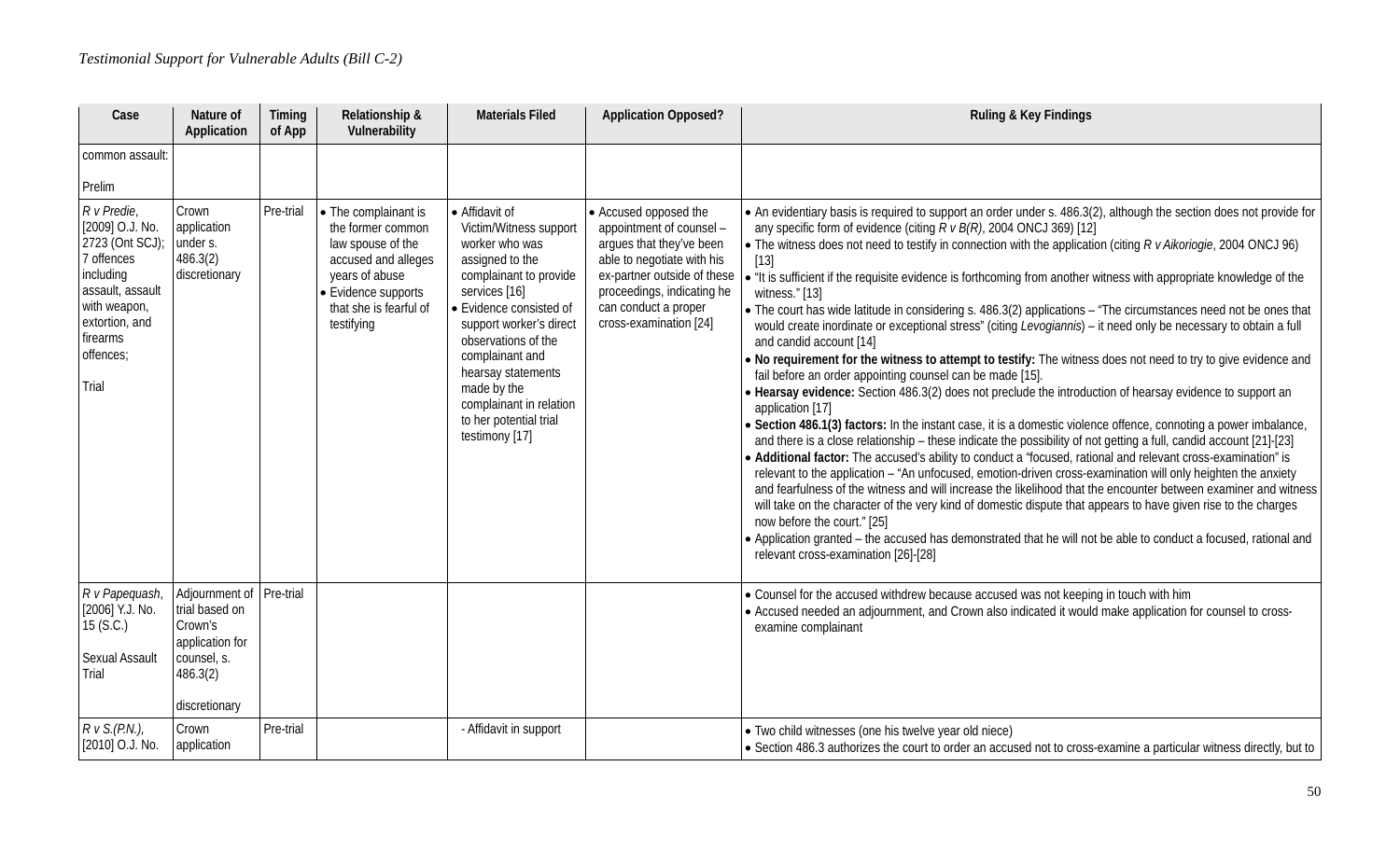| Case                                                                                                                                                                 | Nature of<br>Application                                                                                             | <b>Timing</b><br>of App | Relationship &<br>Vulnerability                                                                                                                                        | <b>Materials Filed</b>                                                                                                                                                                                                                                                                                                               | <b>Application Opposed?</b>                                                                                                                                                                                                | Ruling & Key Findings                                                                                                                                                                                                                                                                                                                                                                                                                                                                                                                                                                                                                                                                                                                                                                                                                                                                                                                                                                                                                                                                                                                                                                                                                                                                                                                                                                                                                                                                                                                                                                                                                                                                                                                                                                                                                                                                                                                                                   |
|----------------------------------------------------------------------------------------------------------------------------------------------------------------------|----------------------------------------------------------------------------------------------------------------------|-------------------------|------------------------------------------------------------------------------------------------------------------------------------------------------------------------|--------------------------------------------------------------------------------------------------------------------------------------------------------------------------------------------------------------------------------------------------------------------------------------------------------------------------------------|----------------------------------------------------------------------------------------------------------------------------------------------------------------------------------------------------------------------------|-------------------------------------------------------------------------------------------------------------------------------------------------------------------------------------------------------------------------------------------------------------------------------------------------------------------------------------------------------------------------------------------------------------------------------------------------------------------------------------------------------------------------------------------------------------------------------------------------------------------------------------------------------------------------------------------------------------------------------------------------------------------------------------------------------------------------------------------------------------------------------------------------------------------------------------------------------------------------------------------------------------------------------------------------------------------------------------------------------------------------------------------------------------------------------------------------------------------------------------------------------------------------------------------------------------------------------------------------------------------------------------------------------------------------------------------------------------------------------------------------------------------------------------------------------------------------------------------------------------------------------------------------------------------------------------------------------------------------------------------------------------------------------------------------------------------------------------------------------------------------------------------------------------------------------------------------------------------------|
| common assault:<br>Prelim                                                                                                                                            |                                                                                                                      |                         |                                                                                                                                                                        |                                                                                                                                                                                                                                                                                                                                      |                                                                                                                                                                                                                            |                                                                                                                                                                                                                                                                                                                                                                                                                                                                                                                                                                                                                                                                                                                                                                                                                                                                                                                                                                                                                                                                                                                                                                                                                                                                                                                                                                                                                                                                                                                                                                                                                                                                                                                                                                                                                                                                                                                                                                         |
| R v Predie,<br>[2009] O.J. No.<br>2723 (Ont SCJ);<br>7 offences<br>including<br>assault, assault<br>with weapon,<br>extortion, and<br>firearms<br>offences;<br>Trial | Crown<br>application<br>under s.<br>486.3(2)<br>discretionary                                                        | Pre-trial               | • The complainant is<br>the former common<br>law spouse of the<br>accused and alleges<br>years of abuse<br>• Evidence supports<br>that she is fearful of<br>testifying | • Affidavit of<br>Victim/Witness support<br>worker who was<br>assigned to the<br>complainant to provide<br>services [16]<br>· Evidence consisted of<br>support worker's direct<br>observations of the<br>complainant and<br>hearsay statements<br>made by the<br>complainant in relation<br>to her potential trial<br>testimony [17] | • Accused opposed the<br>appointment of counsel -<br>argues that they've been<br>able to negotiate with his<br>ex-partner outside of these<br>proceedings, indicating he<br>can conduct a proper<br>cross-examination [24] | • An evidentiary basis is required to support an order under s. 486.3(2), although the section does not provide for<br>any specific form of evidence (citing $R \vee B(R)$ , 2004 ONCJ 369) [12]<br>• The witness does not need to testify in connection with the application (citing $R \nu$ Aikoriogie, 2004 ONCJ 96)<br>$[13]$<br>. "It is sufficient if the requisite evidence is forthcoming from another witness with appropriate knowledge of the<br>witness." [13]<br>• The court has wide latitude in considering s. 486.3(2) applications – "The circumstances need not be ones that<br>would create inordinate or exceptional stress" (citing Levogiannis) - it need only be necessary to obtain a full<br>and candid account [14]<br>. No requirement for the witness to attempt to testify: The witness does not need to try to give evidence and<br>fail before an order appointing counsel can be made [15].<br>• Hearsay evidence: Section 486.3(2) does not preclude the introduction of hearsay evidence to support an<br>application [17]<br>• Section 486.1(3) factors: In the instant case, it is a domestic violence offence, connoting a power imbalance,<br>and there is a close relationship – these indicate the possibility of not getting a full, candid account [21]-[23]<br>• Additional factor: The accused's ability to conduct a "focused, rational and relevant cross-examination" is<br>relevant to the application - "An unfocused, emotion-driven cross-examination will only heighten the anxiety<br>and fearfulness of the witness and will increase the likelihood that the encounter between examiner and witness<br>will take on the character of the very kind of domestic dispute that appears to have given rise to the charges<br>now before the court." [25]<br>• Application granted - the accused has demonstrated that he will not be able to conduct a focused, rational and<br>relevant cross-examination [26]-[28] |
| R v Papequash,<br>[2006] Y.J. No.<br>15 (S.C.)<br><b>Sexual Assault</b><br>Trial                                                                                     | Adjournment of Pre-trial<br>trial based on<br>Crown's<br>application for<br>counsel, s.<br>486.3(2)<br>discretionary |                         |                                                                                                                                                                        |                                                                                                                                                                                                                                                                                                                                      |                                                                                                                                                                                                                            | • Counsel for the accused withdrew because accused was not keeping in touch with him<br>• Accused needed an adjournment, and Crown also indicated it would make application for counsel to cross-<br>examine complainant                                                                                                                                                                                                                                                                                                                                                                                                                                                                                                                                                                                                                                                                                                                                                                                                                                                                                                                                                                                                                                                                                                                                                                                                                                                                                                                                                                                                                                                                                                                                                                                                                                                                                                                                                |
| $R \vee S.(P.N.),$<br>[2010] O.J. No.                                                                                                                                | Crown<br>application                                                                                                 | Pre-trial               |                                                                                                                                                                        | - Affidavit in support                                                                                                                                                                                                                                                                                                               |                                                                                                                                                                                                                            | • Two child witnesses (one his twelve year old niece)<br>• Section 486.3 authorizes the court to order an accused not to cross-examine a particular witness directly, but to                                                                                                                                                                                                                                                                                                                                                                                                                                                                                                                                                                                                                                                                                                                                                                                                                                                                                                                                                                                                                                                                                                                                                                                                                                                                                                                                                                                                                                                                                                                                                                                                                                                                                                                                                                                            |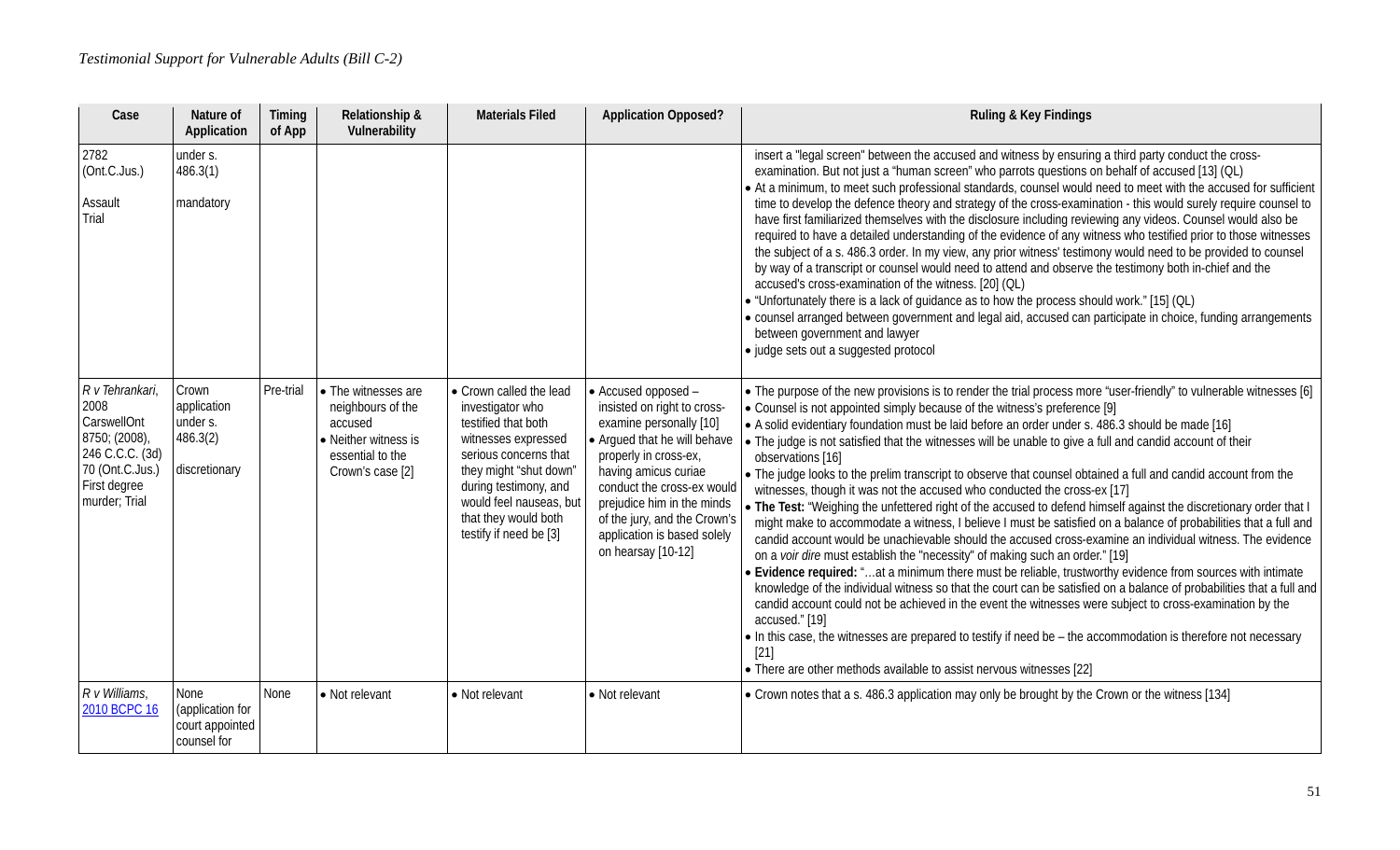| Case                                                                                                                           | Nature of<br>Application                                      | Timing<br>of App | Relationship &<br>Vulnerability                                                                                     | <b>Materials Filed</b>                                                                                                                                                                                                                             | <b>Application Opposed?</b>                                                                                                                                                                                                                                                                                     | <b>Ruling &amp; Key Findings</b>                                                                                                                                                                                                                                                                                                                                                                                                                                                                                                                                                                                                                                                                                                                                                                                                                                                                                                                                                                                                                                                                                                                                                                                                                                                                                                                                                                                                                                                                                                                                                                                                                   |
|--------------------------------------------------------------------------------------------------------------------------------|---------------------------------------------------------------|------------------|---------------------------------------------------------------------------------------------------------------------|----------------------------------------------------------------------------------------------------------------------------------------------------------------------------------------------------------------------------------------------------|-----------------------------------------------------------------------------------------------------------------------------------------------------------------------------------------------------------------------------------------------------------------------------------------------------------------|----------------------------------------------------------------------------------------------------------------------------------------------------------------------------------------------------------------------------------------------------------------------------------------------------------------------------------------------------------------------------------------------------------------------------------------------------------------------------------------------------------------------------------------------------------------------------------------------------------------------------------------------------------------------------------------------------------------------------------------------------------------------------------------------------------------------------------------------------------------------------------------------------------------------------------------------------------------------------------------------------------------------------------------------------------------------------------------------------------------------------------------------------------------------------------------------------------------------------------------------------------------------------------------------------------------------------------------------------------------------------------------------------------------------------------------------------------------------------------------------------------------------------------------------------------------------------------------------------------------------------------------------------|
| 2782<br>(Ont.C.Jus.)<br>Assault<br>Trial                                                                                       | under s.<br>486.3(1)<br>mandatory                             |                  |                                                                                                                     |                                                                                                                                                                                                                                                    |                                                                                                                                                                                                                                                                                                                 | insert a "legal screen" between the accused and witness by ensuring a third party conduct the cross-<br>examination. But not just a "human screen" who parrots questions on behalf of accused [13] (OL)<br>At a minimum, to meet such professional standards, counsel would need to meet with the accused for sufficient<br>time to develop the defence theory and strategy of the cross-examination - this would surely require counsel to<br>have first familiarized themselves with the disclosure including reviewing any videos. Counsel would also be<br>required to have a detailed understanding of the evidence of any witness who testified prior to those witnesses<br>the subject of a s. 486.3 order. In my view, any prior witness' testimony would need to be provided to counsel<br>by way of a transcript or counsel would need to attend and observe the testimony both in-chief and the<br>accused's cross-examination of the witness. [20] (QL)<br>• "Unfortunately there is a lack of guidance as to how the process should work." [15] (QL)<br>• counsel arranged between government and legal aid, accused can participate in choice, funding arrangements<br>between government and lawyer<br>· judge sets out a suggested protocol                                                                                                                                                                                                                                                                                                                                                                                        |
| R v Tehrankari,<br>2008<br>CarswellOnt<br>8750; (2008),<br>246 C.C.C. (3d)<br>70 (Ont.C.Jus.)<br>First degree<br>murder; Trial | Crown<br>application<br>under s.<br>486.3(2)<br>discretionary | Pre-trial        | • The witnesses are<br>neighbours of the<br>accused<br>• Neither witness is<br>essential to the<br>Crown's case [2] | • Crown called the lead<br>investigator who<br>testified that both<br>witnesses expressed<br>serious concerns that<br>they might "shut down"<br>during testimony, and<br>would feel nauseas, but<br>that they would both<br>testify if need be [3] | • Accused opposed -<br>insisted on right to cross-<br>examine personally [10]<br>• Arqued that he will behave<br>properly in cross-ex,<br>having amicus curiae<br>conduct the cross-ex would<br>prejudice him in the minds<br>of the jury, and the Crown's<br>application is based solely<br>on hearsay [10-12] | • The purpose of the new provisions is to render the trial process more "user-friendly" to vulnerable witnesses [6]<br>• Counsel is not appointed simply because of the witness's preference [9]<br>• A solid evidentiary foundation must be laid before an order under s. 486.3 should be made [16]<br>• The judge is not satisfied that the witnesses will be unable to give a full and candid account of their<br>observations [16]<br>• The judge looks to the prelim transcript to observe that counsel obtained a full and candid account from the<br>witnesses, though it was not the accused who conducted the cross-ex [17]<br>. The Test: "Weighing the unfettered right of the accused to defend himself against the discretionary order that I<br>might make to accommodate a witness, I believe I must be satisfied on a balance of probabilities that a full and<br>candid account would be unachievable should the accused cross-examine an individual witness. The evidence<br>on a voir dire must establish the "necessity" of making such an order." [19]<br>• Evidence required: "at a minimum there must be reliable, trustworthy evidence from sources with intimate<br>knowledge of the individual witness so that the court can be satisfied on a balance of probabilities that a full and<br>candid account could not be achieved in the event the witnesses were subject to cross-examination by the<br>accused." [19]<br>In this case, the witnesses are prepared to testify if need be - the accommodation is therefore not necessary<br>$[21]$<br>• There are other methods available to assist nervous witnesses [22] |
| $R$ v Williams,<br>2010 BCPC 16                                                                                                | None<br>(application for<br>court appointed<br>counsel for    | None             | • Not relevant                                                                                                      | • Not relevant                                                                                                                                                                                                                                     | • Not relevant                                                                                                                                                                                                                                                                                                  | • Crown notes that a s. 486.3 application may only be brought by the Crown or the witness [134]                                                                                                                                                                                                                                                                                                                                                                                                                                                                                                                                                                                                                                                                                                                                                                                                                                                                                                                                                                                                                                                                                                                                                                                                                                                                                                                                                                                                                                                                                                                                                    |